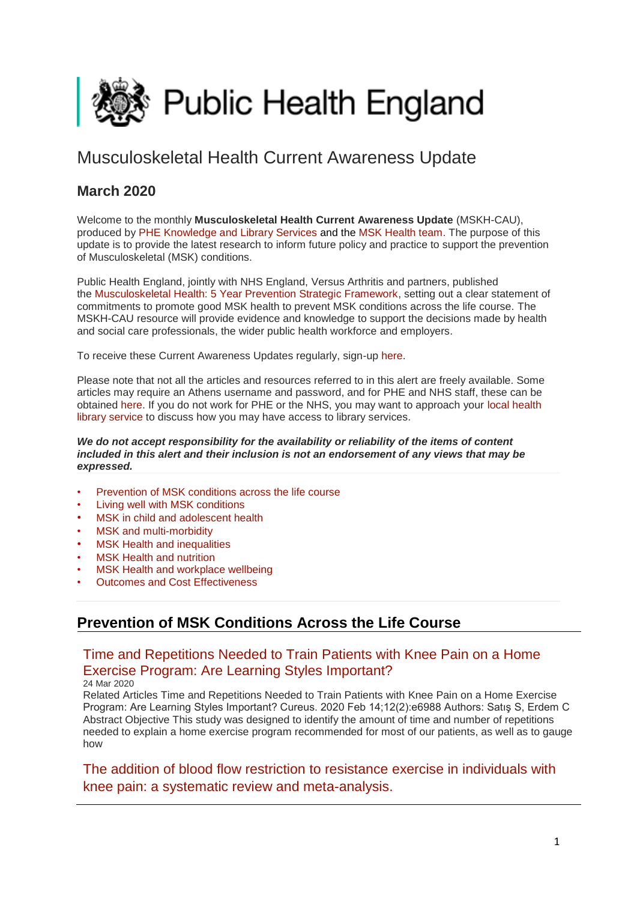<span id="page-0-1"></span>

# Musculoskeletal Health Current Awareness Update

## **March 2020**

Welcome to the monthly **Musculoskeletal Health Current Awareness Update** (MSKH-CAU), produced by [PHE Knowledge and Library Services](http://transit.linexsystems.com/track/click/30370861/phelibrary.koha-ptfs.co.uk?p=eyJzIjoiQ2RGWWVCaVdnN2VqNEhGUU92eldNRUxHVXZvIiwidiI6MSwicCI6IntcInVcIjozMDM3MDg2MSxcInZcIjoxLFwidXJsXCI6XCJodHRwczpcXFwvXFxcL3BoZWxpYnJhcnkua29oYS1wdGZzLmNvLnVrXFxcLz9RTFwiLFwiaWRcIjpcImEyNmRkYzg2OTdmZDQxYmViY2ZhNTNhNmJkNDg0M2U1XCIsXCJ1cmxfaWRzXCI6W1wiMGU4NTg1MDhlNzAyM2VjZjBjODM4YzA5YTYyMGY0OGU5ZjFiMjk5ZFwiXX0ifQ) and the [MSK Health team.](https://www.gov.uk/government/collections/musculoskeletal-health) The purpose of this update is to provide the latest research to inform future policy and practice to support the prevention of Musculoskeletal (MSK) conditions.

Public Health England, jointly with NHS England, Versus Arthritis and partners, published the [Musculoskeletal Health: 5 Year Prevention Strategic Framework,](https://www.gov.uk/government/publications/musculoskeletal-health-5-year-prevention-strategic-framework) setting out a clear statement of commitments to promote good MSK health to prevent MSK conditions across the life course. The MSKH-CAU resource will provide evidence and knowledge to support the decisions made by health and social care professionals, the wider public health workforce and employers.

To receive these Current Awareness Updates regularly, sign-up [here.](http://transit.linexsystems.com/track/click/30370861/public.govdelivery.com?p=eyJzIjoiNjBqQXU0YzJlQXd5Nks5UDhjLWhzME1hN3BNIiwidiI6MSwicCI6IntcInVcIjozMDM3MDg2MSxcInZcIjoxLFwidXJsXCI6XCJodHRwczpcXFwvXFxcL3B1YmxpYy5nb3ZkZWxpdmVyeS5jb21cXFwvYWNjb3VudHNcXFwvVUtIUEFcXFwvc3Vic2NyaWJlcnNcXFwvbmV3XCIsXCJpZFwiOlwiYTNmYjZlY2ViNDBkNGQ1MmJjYTU3YjllNzNiMjU2ZTJcIixcInVybF9pZHNcIjpbXCJjN2IzNWUzNWVhODkyMzhlYmZhOTk0M2MyMThhYTU3OTVkMjIyZjRlXCJdfSJ9)

Please note that not all the articles and resources referred to in this alert are freely available. Some articles may require an Athens username and password, and for PHE and NHS staff, these can be obtained [here.](http://transit.linexsystems.com/track/click/30370861/openathens.nice.org.uk?p=eyJzIjoibndPZXEwbFdCZnYxNUtTX2VCVEhNZ1k5NzFVIiwidiI6MSwicCI6IntcInVcIjozMDM3MDg2MSxcInZcIjoxLFwidXJsXCI6XCJodHRwczpcXFwvXFxcL29wZW5hdGhlbnMubmljZS5vcmcudWtcXFwvXCIsXCJpZFwiOlwiYTI2ZGRjODY5N2ZkNDFiZWJjZmE1M2E2YmQ0ODQzZTVcIixcInVybF9pZHNcIjpbXCJkZDkzMmJmYzNmMTUzNmU2N2MwYTQzOTQwMDE0ZjA4ZjViZjVhNDJlXCJdfSJ9) If you do not work for PHE or the NHS, you may want to approach your [local health](http://transit.linexsystems.com/track/click/30370861/www.hlisd.org?p=eyJzIjoic0hDQXVwcWRwZlJNVXcxM2RFelh2U0R0WkxrIiwidiI6MSwicCI6IntcInVcIjozMDM3MDg2MSxcInZcIjoxLFwidXJsXCI6XCJodHRwczpcXFwvXFxcL3d3dy5obGlzZC5vcmdcXFwvXCIsXCJpZFwiOlwiYTI2ZGRjODY5N2ZkNDFiZWJjZmE1M2E2YmQ0ODQzZTVcIixcInVybF9pZHNcIjpbXCIxYmFkZWVhOWQ0NGY0NWE1YzY4Yzg2N2Y4OTk4YzkwMGU2YjU2MWQ2XCJdfSJ9)  [library service](http://transit.linexsystems.com/track/click/30370861/www.hlisd.org?p=eyJzIjoic0hDQXVwcWRwZlJNVXcxM2RFelh2U0R0WkxrIiwidiI6MSwicCI6IntcInVcIjozMDM3MDg2MSxcInZcIjoxLFwidXJsXCI6XCJodHRwczpcXFwvXFxcL3d3dy5obGlzZC5vcmdcXFwvXCIsXCJpZFwiOlwiYTI2ZGRjODY5N2ZkNDFiZWJjZmE1M2E2YmQ0ODQzZTVcIixcInVybF9pZHNcIjpbXCIxYmFkZWVhOWQ0NGY0NWE1YzY4Yzg2N2Y4OTk4YzkwMGU2YjU2MWQ2XCJdfSJ9) to discuss how you may have access to library services.

### *We do not accept responsibility for the availability or reliability of the items of content included in this alert and their inclusion is not an endorsement of any views that may be expressed.*

- [Prevention of MSK conditions across the life course](#page-0-0)
- [Living well with MSK conditions](#page-2-0)
- MSK in child and adolescent health
- [MSK and multi-morbidity](#page-6-0)
- **MSK Health and inequalities**
- **MSK Health and nutrition**
- [MSK Health and workplace wellbeing](#page-9-0)
- [Outcomes and Cost Effectiveness](#page-9-0)

## <span id="page-0-0"></span>**Prevention of MSK Conditions Across the Life Course**

## [Time and Repetitions Needed to Train Patients with Knee Pain on a Home](http://transit.linexsystems.com/track/click/30370861/ca.linexsystems.com?p=eyJzIjoiRVFiZXVwa0hlTmo2TDhVbUJnUXhsRExQWGwwIiwidiI6MSwicCI6IntcInVcIjozMDM3MDg2MSxcInZcIjoxLFwidXJsXCI6XCJodHRwOlxcXC9cXFwvY2EubGluZXhzeXN0ZW1zLmNvbVxcXC9jb250ZW50c1xcXC90cmFuc2l0XFxcLzM2Njg2NTIwMDU_dXNlcl9pZD00NDM1MTUmbG9nPTc5Y2ZhYjYyNGM2ZjAyMDU3MTQ2YzFjZGFkZmYyZWRmJnA9OTMyOTMzMjUmbT0xJmM9MzUyOTEwODUyNSZvcmdfaWQ9MTc0ODFcIixcImlkXCI6XCIzMTZmODY5MDRhMTE0N2Y3ODcxZDgyZTE3YWVkOTczZlwiLFwidXJsX2lkc1wiOltcIjA1ZTliM2YxZjk4OTA1NGZlM2JjODI0YWQ4ZmExYjhmMWYyMzVkMTNcIl19In0)  [Exercise Program: Are Learning Styles Important?](http://transit.linexsystems.com/track/click/30370861/ca.linexsystems.com?p=eyJzIjoiRVFiZXVwa0hlTmo2TDhVbUJnUXhsRExQWGwwIiwidiI6MSwicCI6IntcInVcIjozMDM3MDg2MSxcInZcIjoxLFwidXJsXCI6XCJodHRwOlxcXC9cXFwvY2EubGluZXhzeXN0ZW1zLmNvbVxcXC9jb250ZW50c1xcXC90cmFuc2l0XFxcLzM2Njg2NTIwMDU_dXNlcl9pZD00NDM1MTUmbG9nPTc5Y2ZhYjYyNGM2ZjAyMDU3MTQ2YzFjZGFkZmYyZWRmJnA9OTMyOTMzMjUmbT0xJmM9MzUyOTEwODUyNSZvcmdfaWQ9MTc0ODFcIixcImlkXCI6XCIzMTZmODY5MDRhMTE0N2Y3ODcxZDgyZTE3YWVkOTczZlwiLFwidXJsX2lkc1wiOltcIjA1ZTliM2YxZjk4OTA1NGZlM2JjODI0YWQ4ZmExYjhmMWYyMzVkMTNcIl19In0)

24 Mar 2020

Related Articles Time and Repetitions Needed to Train Patients with Knee Pain on a Home Exercise Program: Are Learning Styles Important? Cureus. 2020 Feb 14;12(2):e6988 Authors: Satış S, Erdem C Abstract Objective This study was designed to identify the amount of time and number of repetitions needed to explain a home exercise program recommended for most of our patients, as well as to gauge how

[The addition of blood flow restriction to resistance exercise in individuals with](http://transit.linexsystems.com/track/click/30370861/ca.linexsystems.com?p=eyJzIjoiZDVWWFE0eWo1M2JVXy14Zjg1VGZuaXJWb2l3IiwidiI6MSwicCI6IntcInVcIjozMDM3MDg2MSxcInZcIjoxLFwidXJsXCI6XCJodHRwOlxcXC9cXFwvY2EubGluZXhzeXN0ZW1zLmNvbVxcXC9jb250ZW50c1xcXC90cmFuc2l0XFxcLzM2NjY0Nzc1ODU_dXNlcl9pZD00NDM1MTUmbG9nPTc5Y2ZhYjYyNGM2ZjAyMDU3MTQ2YzFjZGFkZmYyZWRmJnA9OTMyOTMzMjUmbT0xJmM9MzUyOTEwODUyNSZvcmdfaWQ9MTc0ODFcIixcImlkXCI6XCIzMTZmODY5MDRhMTE0N2Y3ODcxZDgyZTE3YWVkOTczZlwiLFwidXJsX2lkc1wiOltcIjA1ZTliM2YxZjk4OTA1NGZlM2JjODI0YWQ4ZmExYjhmMWYyMzVkMTNcIl19In0)  [knee pain: a systematic review and meta-analysis.](http://transit.linexsystems.com/track/click/30370861/ca.linexsystems.com?p=eyJzIjoiZDVWWFE0eWo1M2JVXy14Zjg1VGZuaXJWb2l3IiwidiI6MSwicCI6IntcInVcIjozMDM3MDg2MSxcInZcIjoxLFwidXJsXCI6XCJodHRwOlxcXC9cXFwvY2EubGluZXhzeXN0ZW1zLmNvbVxcXC9jb250ZW50c1xcXC90cmFuc2l0XFxcLzM2NjY0Nzc1ODU_dXNlcl9pZD00NDM1MTUmbG9nPTc5Y2ZhYjYyNGM2ZjAyMDU3MTQ2YzFjZGFkZmYyZWRmJnA9OTMyOTMzMjUmbT0xJmM9MzUyOTEwODUyNSZvcmdfaWQ9MTc0ODFcIixcImlkXCI6XCIzMTZmODY5MDRhMTE0N2Y3ODcxZDgyZTE3YWVkOTczZlwiLFwidXJsX2lkc1wiOltcIjA1ZTliM2YxZjk4OTA1NGZlM2JjODI0YWQ4ZmExYjhmMWYyMzVkMTNcIl19In0)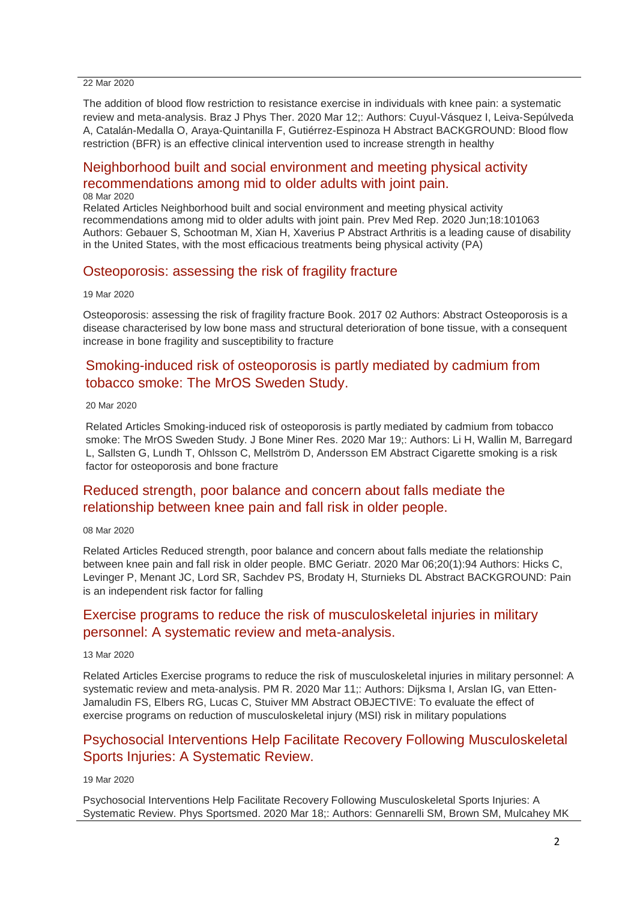#### 22 Mar 2020

The addition of blood flow restriction to resistance exercise in individuals with knee pain: a systematic review and meta-analysis. Braz J Phys Ther. 2020 Mar 12;: Authors: Cuyul-Vásquez I, Leiva-Sepúlveda A, Catalán-Medalla O, Araya-Quintanilla F, Gutiérrez-Espinoza H Abstract BACKGROUND: Blood flow restriction (BFR) is an effective clinical intervention used to increase strength in healthy

## [Neighborhood built and social environment and meeting physical activity](http://transit.linexsystems.com/track/click/30370861/ca.linexsystems.com?p=eyJzIjoiWkxwcEE2cUNpZVFYM0oybDVhSEljSzBodGdZIiwidiI6MSwicCI6IntcInVcIjozMDM3MDg2MSxcInZcIjoxLFwidXJsXCI6XCJodHRwOlxcXC9cXFwvY2EubGluZXhzeXN0ZW1zLmNvbVxcXC9jb250ZW50c1xcXC90cmFuc2l0XFxcLzM2NTA3NTI0MTU_dXNlcl9pZD00NDM1MTUmbG9nPTc5Y2ZhYjYyNGM2ZjAyMDU3MTQ2YzFjZGFkZmYyZWRmJnA9OTMyOTMzMjUmbT0xJmM9MzUyOTEwODUyNSZvcmdfaWQ9MTc0ODFcIixcImlkXCI6XCIzMTZmODY5MDRhMTE0N2Y3ODcxZDgyZTE3YWVkOTczZlwiLFwidXJsX2lkc1wiOltcIjA1ZTliM2YxZjk4OTA1NGZlM2JjODI0YWQ4ZmExYjhmMWYyMzVkMTNcIl19In0)  [recommendations among mid to older adults with joint pain.](http://transit.linexsystems.com/track/click/30370861/ca.linexsystems.com?p=eyJzIjoiWkxwcEE2cUNpZVFYM0oybDVhSEljSzBodGdZIiwidiI6MSwicCI6IntcInVcIjozMDM3MDg2MSxcInZcIjoxLFwidXJsXCI6XCJodHRwOlxcXC9cXFwvY2EubGluZXhzeXN0ZW1zLmNvbVxcXC9jb250ZW50c1xcXC90cmFuc2l0XFxcLzM2NTA3NTI0MTU_dXNlcl9pZD00NDM1MTUmbG9nPTc5Y2ZhYjYyNGM2ZjAyMDU3MTQ2YzFjZGFkZmYyZWRmJnA9OTMyOTMzMjUmbT0xJmM9MzUyOTEwODUyNSZvcmdfaWQ9MTc0ODFcIixcImlkXCI6XCIzMTZmODY5MDRhMTE0N2Y3ODcxZDgyZTE3YWVkOTczZlwiLFwidXJsX2lkc1wiOltcIjA1ZTliM2YxZjk4OTA1NGZlM2JjODI0YWQ4ZmExYjhmMWYyMzVkMTNcIl19In0)

#### 08 Mar 2020

Related Articles Neighborhood built and social environment and meeting physical activity recommendations among mid to older adults with joint pain. Prev Med Rep. 2020 Jun;18:101063 Authors: Gebauer S, Schootman M, Xian H, Xaverius P Abstract Arthritis is a leading cause of disability in the United States, with the most efficacious treatments being physical activity (PA)

### [Osteoporosis: assessing the risk of fragility fracture](http://transit.linexsystems.com/track/click/30370861/ca.linexsystems.com?p=eyJzIjoiRlB2bHNBVVQ2VjlMclE2UXk5Y3NtXzdIUDFzIiwidiI6MSwicCI6IntcInVcIjozMDM3MDg2MSxcInZcIjoxLFwidXJsXCI6XCJodHRwOlxcXC9cXFwvY2EubGluZXhzeXN0ZW1zLmNvbVxcXC9jb250ZW50c1xcXC90cmFuc2l0XFxcLzM2NjM5NjEzMjU_dXNlcl9pZD00NDM1MTUmbG9nPTc5Y2ZhYjYyNGM2ZjAyMDU3MTQ2YzFjZGFkZmYyZWRmJnA9OTMyOTMzMjUmbT0xJmM9MzUyOTEwODkxNSZvcmdfaWQ9MTc0ODFcIixcImlkXCI6XCIzMTZmODY5MDRhMTE0N2Y3ODcxZDgyZTE3YWVkOTczZlwiLFwidXJsX2lkc1wiOltcIjA1ZTliM2YxZjk4OTA1NGZlM2JjODI0YWQ4ZmExYjhmMWYyMzVkMTNcIl19In0)

#### 19 Mar 2020

Osteoporosis: assessing the risk of fragility fracture Book. 2017 02 Authors: Abstract Osteoporosis is a disease characterised by low bone mass and structural deterioration of bone tissue, with a consequent increase in bone fragility and susceptibility to fracture

## [Smoking-induced risk of osteoporosis is partly mediated by cadmium from](http://transit.linexsystems.com/track/click/30370861/ca.linexsystems.com?p=eyJzIjoieXZuV0JkelRHY2tEZE8yU2F3RlhoMGtPWE9JIiwidiI6MSwicCI6IntcInVcIjozMDM3MDg2MSxcInZcIjoxLFwidXJsXCI6XCJodHRwOlxcXC9cXFwvY2EubGluZXhzeXN0ZW1zLmNvbVxcXC9jb250ZW50c1xcXC90cmFuc2l0XFxcLzM2NjUwNTYxMzU_dXNlcl9pZD00NDM1MTUmbG9nPTc5Y2ZhYjYyNGM2ZjAyMDU3MTQ2YzFjZGFkZmYyZWRmJnA9OTMyOTMzMjUmbT0xJmM9MzUyOTEwODkxNSZvcmdfaWQ9MTc0ODFcIixcImlkXCI6XCIzMTZmODY5MDRhMTE0N2Y3ODcxZDgyZTE3YWVkOTczZlwiLFwidXJsX2lkc1wiOltcIjA1ZTliM2YxZjk4OTA1NGZlM2JjODI0YWQ4ZmExYjhmMWYyMzVkMTNcIl19In0)  [tobacco smoke: The MrOS Sweden Study.](http://transit.linexsystems.com/track/click/30370861/ca.linexsystems.com?p=eyJzIjoieXZuV0JkelRHY2tEZE8yU2F3RlhoMGtPWE9JIiwidiI6MSwicCI6IntcInVcIjozMDM3MDg2MSxcInZcIjoxLFwidXJsXCI6XCJodHRwOlxcXC9cXFwvY2EubGluZXhzeXN0ZW1zLmNvbVxcXC9jb250ZW50c1xcXC90cmFuc2l0XFxcLzM2NjUwNTYxMzU_dXNlcl9pZD00NDM1MTUmbG9nPTc5Y2ZhYjYyNGM2ZjAyMDU3MTQ2YzFjZGFkZmYyZWRmJnA9OTMyOTMzMjUmbT0xJmM9MzUyOTEwODkxNSZvcmdfaWQ9MTc0ODFcIixcImlkXCI6XCIzMTZmODY5MDRhMTE0N2Y3ODcxZDgyZTE3YWVkOTczZlwiLFwidXJsX2lkc1wiOltcIjA1ZTliM2YxZjk4OTA1NGZlM2JjODI0YWQ4ZmExYjhmMWYyMzVkMTNcIl19In0)

### 20 Mar 2020

Related Articles Smoking-induced risk of osteoporosis is partly mediated by cadmium from tobacco smoke: The MrOS Sweden Study. J Bone Miner Res. 2020 Mar 19;: Authors: Li H, Wallin M, Barregard L, Sallsten G, Lundh T, Ohlsson C, Mellström D, Andersson EM Abstract Cigarette smoking is a risk factor for osteoporosis and bone fracture

### [Reduced strength, poor balance and concern about falls mediate the](http://transit.linexsystems.com/track/click/30370861/ca.linexsystems.com?p=eyJzIjoidjdkeG94QnJmVElhZDNwSGxtRk10dlUya3ZnIiwidiI6MSwicCI6IntcInVcIjozMDM3MDg2MSxcInZcIjoxLFwidXJsXCI6XCJodHRwOlxcXC9cXFwvY2EubGluZXhzeXN0ZW1zLmNvbVxcXC9jb250ZW50c1xcXC90cmFuc2l0XFxcLzM2NTA3NTIwMjU_dXNlcl9pZD00NDM1MTUmbG9nPTc5Y2ZhYjYyNGM2ZjAyMDU3MTQ2YzFjZGFkZmYyZWRmJnA9OTMyOTMzMjUmbT0xJmM9MzUyOTEwODUyNSZvcmdfaWQ9MTc0ODFcIixcImlkXCI6XCIzMTZmODY5MDRhMTE0N2Y3ODcxZDgyZTE3YWVkOTczZlwiLFwidXJsX2lkc1wiOltcIjA1ZTliM2YxZjk4OTA1NGZlM2JjODI0YWQ4ZmExYjhmMWYyMzVkMTNcIl19In0)  [relationship between knee pain and fall risk in older people.](http://transit.linexsystems.com/track/click/30370861/ca.linexsystems.com?p=eyJzIjoidjdkeG94QnJmVElhZDNwSGxtRk10dlUya3ZnIiwidiI6MSwicCI6IntcInVcIjozMDM3MDg2MSxcInZcIjoxLFwidXJsXCI6XCJodHRwOlxcXC9cXFwvY2EubGluZXhzeXN0ZW1zLmNvbVxcXC9jb250ZW50c1xcXC90cmFuc2l0XFxcLzM2NTA3NTIwMjU_dXNlcl9pZD00NDM1MTUmbG9nPTc5Y2ZhYjYyNGM2ZjAyMDU3MTQ2YzFjZGFkZmYyZWRmJnA9OTMyOTMzMjUmbT0xJmM9MzUyOTEwODUyNSZvcmdfaWQ9MTc0ODFcIixcImlkXCI6XCIzMTZmODY5MDRhMTE0N2Y3ODcxZDgyZTE3YWVkOTczZlwiLFwidXJsX2lkc1wiOltcIjA1ZTliM2YxZjk4OTA1NGZlM2JjODI0YWQ4ZmExYjhmMWYyMzVkMTNcIl19In0)

### 08 Mar 2020

Related Articles Reduced strength, poor balance and concern about falls mediate the relationship between knee pain and fall risk in older people. BMC Geriatr. 2020 Mar 06;20(1):94 Authors: Hicks C, Levinger P, Menant JC, Lord SR, Sachdev PS, Brodaty H, Sturnieks DL Abstract BACKGROUND: Pain is an independent risk factor for falling

## [Exercise programs to reduce the risk of musculoskeletal injuries in military](http://transit.linexsystems.com/track/click/30370861/ca.linexsystems.com?p=eyJzIjoiMXdjMmgxRTZmeG43dWRUVHo2UjZwckVScHZRIiwidiI6MSwicCI6IntcInVcIjozMDM3MDg2MSxcInZcIjoxLFwidXJsXCI6XCJodHRwOlxcXC9cXFwvY2EubGluZXhzeXN0ZW1zLmNvbVxcXC9jb250ZW50c1xcXC90cmFuc2l0XFxcLzM2NTY4OTk5ODU_dXNlcl9pZD00NDM1MTUmbG9nPTc5Y2ZhYjYyNGM2ZjAyMDU3MTQ2YzFjZGFkZmYyZWRmJnA9OTMyOTMzMjUmbT0xJmM9MzUyOTEwODUyNSZvcmdfaWQ9MTc0ODFcIixcImlkXCI6XCIzMTZmODY5MDRhMTE0N2Y3ODcxZDgyZTE3YWVkOTczZlwiLFwidXJsX2lkc1wiOltcIjA1ZTliM2YxZjk4OTA1NGZlM2JjODI0YWQ4ZmExYjhmMWYyMzVkMTNcIl19In0)  [personnel: A systematic review and meta-analysis.](http://transit.linexsystems.com/track/click/30370861/ca.linexsystems.com?p=eyJzIjoiMXdjMmgxRTZmeG43dWRUVHo2UjZwckVScHZRIiwidiI6MSwicCI6IntcInVcIjozMDM3MDg2MSxcInZcIjoxLFwidXJsXCI6XCJodHRwOlxcXC9cXFwvY2EubGluZXhzeXN0ZW1zLmNvbVxcXC9jb250ZW50c1xcXC90cmFuc2l0XFxcLzM2NTY4OTk5ODU_dXNlcl9pZD00NDM1MTUmbG9nPTc5Y2ZhYjYyNGM2ZjAyMDU3MTQ2YzFjZGFkZmYyZWRmJnA9OTMyOTMzMjUmbT0xJmM9MzUyOTEwODUyNSZvcmdfaWQ9MTc0ODFcIixcImlkXCI6XCIzMTZmODY5MDRhMTE0N2Y3ODcxZDgyZTE3YWVkOTczZlwiLFwidXJsX2lkc1wiOltcIjA1ZTliM2YxZjk4OTA1NGZlM2JjODI0YWQ4ZmExYjhmMWYyMzVkMTNcIl19In0)

### 13 Mar 2020

Related Articles Exercise programs to reduce the risk of musculoskeletal injuries in military personnel: A systematic review and meta-analysis. PM R. 2020 Mar 11;: Authors: Dijksma I, Arslan IG, van Etten-Jamaludin FS, Elbers RG, Lucas C, Stuiver MM Abstract OBJECTIVE: To evaluate the effect of exercise programs on reduction of musculoskeletal injury (MSI) risk in military populations

## [Psychosocial Interventions Help Facilitate Recovery Following Musculoskeletal](http://transit.linexsystems.com/track/click/30370861/ca.linexsystems.com?p=eyJzIjoiQ2ktMHg3R2J5bDFJZENuaTFEMkY4ZXJzc1FBIiwidiI6MSwicCI6IntcInVcIjozMDM3MDg2MSxcInZcIjoxLFwidXJsXCI6XCJodHRwOlxcXC9cXFwvY2EubGluZXhzeXN0ZW1zLmNvbVxcXC9jb250ZW50c1xcXC90cmFuc2l0XFxcLzM2NjM4Njc0NTU_dXNlcl9pZD00NDM1MTUmbG9nPTc5Y2ZhYjYyNGM2ZjAyMDU3MTQ2YzFjZGFkZmYyZWRmJnA9OTMyOTMzMjUmbT0xJmM9MzUyOTEwODUyNSZvcmdfaWQ9MTc0ODFcIixcImlkXCI6XCIzMTZmODY5MDRhMTE0N2Y3ODcxZDgyZTE3YWVkOTczZlwiLFwidXJsX2lkc1wiOltcIjA1ZTliM2YxZjk4OTA1NGZlM2JjODI0YWQ4ZmExYjhmMWYyMzVkMTNcIl19In0)  [Sports Injuries: A Systematic Review.](http://transit.linexsystems.com/track/click/30370861/ca.linexsystems.com?p=eyJzIjoiQ2ktMHg3R2J5bDFJZENuaTFEMkY4ZXJzc1FBIiwidiI6MSwicCI6IntcInVcIjozMDM3MDg2MSxcInZcIjoxLFwidXJsXCI6XCJodHRwOlxcXC9cXFwvY2EubGluZXhzeXN0ZW1zLmNvbVxcXC9jb250ZW50c1xcXC90cmFuc2l0XFxcLzM2NjM4Njc0NTU_dXNlcl9pZD00NDM1MTUmbG9nPTc5Y2ZhYjYyNGM2ZjAyMDU3MTQ2YzFjZGFkZmYyZWRmJnA9OTMyOTMzMjUmbT0xJmM9MzUyOTEwODUyNSZvcmdfaWQ9MTc0ODFcIixcImlkXCI6XCIzMTZmODY5MDRhMTE0N2Y3ODcxZDgyZTE3YWVkOTczZlwiLFwidXJsX2lkc1wiOltcIjA1ZTliM2YxZjk4OTA1NGZlM2JjODI0YWQ4ZmExYjhmMWYyMzVkMTNcIl19In0)

### 19 Mar 2020

Psychosocial Interventions Help Facilitate Recovery Following Musculoskeletal Sports Injuries: A Systematic Review. Phys Sportsmed. 2020 Mar 18;: Authors: Gennarelli SM, Brown SM, Mulcahey MK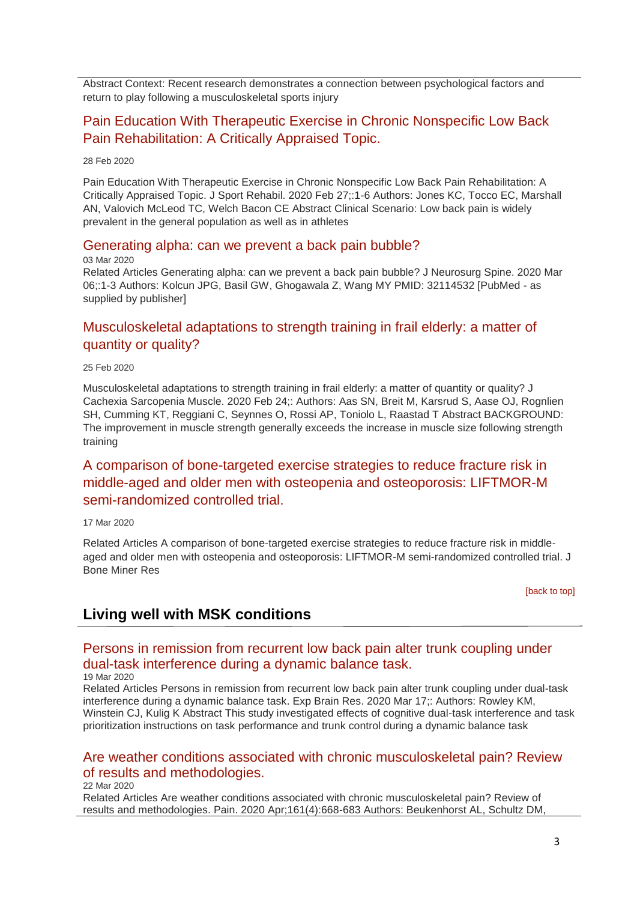Abstract Context: Recent research demonstrates a connection between psychological factors and return to play following a musculoskeletal sports injury

### [Pain Education With Therapeutic Exercise in Chronic Nonspecific Low Back](http://transit.linexsystems.com/track/click/30370861/ca.linexsystems.com?p=eyJzIjoiZzBfQjJvYng4dGUwWVFjakY2TUFuOHQxcGowIiwidiI6MSwicCI6IntcInVcIjozMDM3MDg2MSxcInZcIjoxLFwidXJsXCI6XCJodHRwOlxcXC9cXFwvY2EubGluZXhzeXN0ZW1zLmNvbVxcXC9jb250ZW50c1xcXC90cmFuc2l0XFxcLzM2NDIwNDQ3MzU_dXNlcl9pZD00NDM1MTUmbG9nPTc5Y2ZhYjYyNGM2ZjAyMDU3MTQ2YzFjZGFkZmYyZWRmJnA9OTMyOTMzMjUmbT0xJmM9MzUyOTEwODUyNSZvcmdfaWQ9MTc0ODFcIixcImlkXCI6XCIzMTZmODY5MDRhMTE0N2Y3ODcxZDgyZTE3YWVkOTczZlwiLFwidXJsX2lkc1wiOltcIjA1ZTliM2YxZjk4OTA1NGZlM2JjODI0YWQ4ZmExYjhmMWYyMzVkMTNcIl19In0)  [Pain Rehabilitation: A Critically](http://transit.linexsystems.com/track/click/30370861/ca.linexsystems.com?p=eyJzIjoiZzBfQjJvYng4dGUwWVFjakY2TUFuOHQxcGowIiwidiI6MSwicCI6IntcInVcIjozMDM3MDg2MSxcInZcIjoxLFwidXJsXCI6XCJodHRwOlxcXC9cXFwvY2EubGluZXhzeXN0ZW1zLmNvbVxcXC9jb250ZW50c1xcXC90cmFuc2l0XFxcLzM2NDIwNDQ3MzU_dXNlcl9pZD00NDM1MTUmbG9nPTc5Y2ZhYjYyNGM2ZjAyMDU3MTQ2YzFjZGFkZmYyZWRmJnA9OTMyOTMzMjUmbT0xJmM9MzUyOTEwODUyNSZvcmdfaWQ9MTc0ODFcIixcImlkXCI6XCIzMTZmODY5MDRhMTE0N2Y3ODcxZDgyZTE3YWVkOTczZlwiLFwidXJsX2lkc1wiOltcIjA1ZTliM2YxZjk4OTA1NGZlM2JjODI0YWQ4ZmExYjhmMWYyMzVkMTNcIl19In0) Appraised Topic.

28 Feb 2020

Pain Education With Therapeutic Exercise in Chronic Nonspecific Low Back Pain Rehabilitation: A Critically Appraised Topic. J Sport Rehabil. 2020 Feb 27;:1-6 Authors: Jones KC, Tocco EC, Marshall AN, Valovich McLeod TC, Welch Bacon CE Abstract Clinical Scenario: Low back pain is widely prevalent in the general population as well as in athletes

### [Generating alpha: can we prevent a back pain bubble?](http://transit.linexsystems.com/track/click/30370861/ca.linexsystems.com?p=eyJzIjoiUlFaVXVrbEgwSHZGTW1CZDRTbGdJTlpwUjdFIiwidiI6MSwicCI6IntcInVcIjozMDM3MDg2MSxcInZcIjoxLFwidXJsXCI6XCJodHRwOlxcXC9cXFwvY2EubGluZXhzeXN0ZW1zLmNvbVxcXC9jb250ZW50c1xcXC90cmFuc2l0XFxcLzM2NDU1NTAwMzU_dXNlcl9pZD00NDM1MTUmbG9nPTc5Y2ZhYjYyNGM2ZjAyMDU3MTQ2YzFjZGFkZmYyZWRmJnA9OTMyOTMzMjUmbT0xJmM9MzUyOTEwODUyNSZvcmdfaWQ9MTc0ODFcIixcImlkXCI6XCIzMTZmODY5MDRhMTE0N2Y3ODcxZDgyZTE3YWVkOTczZlwiLFwidXJsX2lkc1wiOltcIjA1ZTliM2YxZjk4OTA1NGZlM2JjODI0YWQ4ZmExYjhmMWYyMzVkMTNcIl19In0)

#### 03 Mar 2020

Related Articles Generating alpha: can we prevent a back pain bubble? J Neurosurg Spine. 2020 Mar 06;:1-3 Authors: Kolcun JPG, Basil GW, Ghogawala Z, Wang MY PMID: 32114532 [PubMed - as supplied by publisher]

### [Musculoskeletal adaptations to strength training in frail elderly: a matter of](http://transit.linexsystems.com/track/click/30370861/ca.linexsystems.com?p=eyJzIjoiZ2lJcjdPb1c2U2NQZGFqMU1wZ19acExOX1k4IiwidiI6MSwicCI6IntcInVcIjozMDM3MDg2MSxcInZcIjoxLFwidXJsXCI6XCJodHRwOlxcXC9cXFwvY2EubGluZXhzeXN0ZW1zLmNvbVxcXC9jb250ZW50c1xcXC90cmFuc2l0XFxcLzM2MzgyMDIxNTU_dXNlcl9pZD00NDM1MTUmbG9nPTc5Y2ZhYjYyNGM2ZjAyMDU3MTQ2YzFjZGFkZmYyZWRmJnA9OTMyOTMzMjUmbT0xJmM9MzUyOTEwODUyNSZvcmdfaWQ9MTc0ODFcIixcImlkXCI6XCIzMTZmODY5MDRhMTE0N2Y3ODcxZDgyZTE3YWVkOTczZlwiLFwidXJsX2lkc1wiOltcIjA1ZTliM2YxZjk4OTA1NGZlM2JjODI0YWQ4ZmExYjhmMWYyMzVkMTNcIl19In0)  [quantity or quality?](http://transit.linexsystems.com/track/click/30370861/ca.linexsystems.com?p=eyJzIjoiZ2lJcjdPb1c2U2NQZGFqMU1wZ19acExOX1k4IiwidiI6MSwicCI6IntcInVcIjozMDM3MDg2MSxcInZcIjoxLFwidXJsXCI6XCJodHRwOlxcXC9cXFwvY2EubGluZXhzeXN0ZW1zLmNvbVxcXC9jb250ZW50c1xcXC90cmFuc2l0XFxcLzM2MzgyMDIxNTU_dXNlcl9pZD00NDM1MTUmbG9nPTc5Y2ZhYjYyNGM2ZjAyMDU3MTQ2YzFjZGFkZmYyZWRmJnA9OTMyOTMzMjUmbT0xJmM9MzUyOTEwODUyNSZvcmdfaWQ9MTc0ODFcIixcImlkXCI6XCIzMTZmODY5MDRhMTE0N2Y3ODcxZDgyZTE3YWVkOTczZlwiLFwidXJsX2lkc1wiOltcIjA1ZTliM2YxZjk4OTA1NGZlM2JjODI0YWQ4ZmExYjhmMWYyMzVkMTNcIl19In0)

#### 25 Feb 2020

Musculoskeletal adaptations to strength training in frail elderly: a matter of quantity or quality? J Cachexia Sarcopenia Muscle. 2020 Feb 24;: Authors: Aas SN, Breit M, Karsrud S, Aase OJ, Rognlien SH, Cumming KT, Reggiani C, Seynnes O, Rossi AP, Toniolo L, Raastad T Abstract BACKGROUND: The improvement in muscle strength generally exceeds the increase in muscle size following strength training

## [A comparison of bone-targeted exercise strategies to reduce fracture risk in](http://transit.linexsystems.com/track/click/30370861/ca.linexsystems.com?p=eyJzIjoiakxsTlJmbElmUkxTdkJwREpSYTNINWM5ZEI0IiwidiI6MSwicCI6IntcInVcIjozMDM3MDg2MSxcInZcIjoxLFwidXJsXCI6XCJodHRwOlxcXC9cXFwvY2EubGluZXhzeXN0ZW1zLmNvbVxcXC9jb250ZW50c1xcXC90cmFuc2l0XFxcLzM2NjA3NzkwMTU_dXNlcl9pZD00NDM1MTUmbG9nPTc5Y2ZhYjYyNGM2ZjAyMDU3MTQ2YzFjZGFkZmYyZWRmJnA9OTMyOTMzMjUmbT0xJmM9MzUyOTEwODUyNSZvcmdfaWQ9MTc0ODFcIixcImlkXCI6XCIzMTZmODY5MDRhMTE0N2Y3ODcxZDgyZTE3YWVkOTczZlwiLFwidXJsX2lkc1wiOltcIjA1ZTliM2YxZjk4OTA1NGZlM2JjODI0YWQ4ZmExYjhmMWYyMzVkMTNcIl19In0)  [middle-aged and older men with osteopenia and osteoporosis: LIFTMOR-M](http://transit.linexsystems.com/track/click/30370861/ca.linexsystems.com?p=eyJzIjoiakxsTlJmbElmUkxTdkJwREpSYTNINWM5ZEI0IiwidiI6MSwicCI6IntcInVcIjozMDM3MDg2MSxcInZcIjoxLFwidXJsXCI6XCJodHRwOlxcXC9cXFwvY2EubGluZXhzeXN0ZW1zLmNvbVxcXC9jb250ZW50c1xcXC90cmFuc2l0XFxcLzM2NjA3NzkwMTU_dXNlcl9pZD00NDM1MTUmbG9nPTc5Y2ZhYjYyNGM2ZjAyMDU3MTQ2YzFjZGFkZmYyZWRmJnA9OTMyOTMzMjUmbT0xJmM9MzUyOTEwODUyNSZvcmdfaWQ9MTc0ODFcIixcImlkXCI6XCIzMTZmODY5MDRhMTE0N2Y3ODcxZDgyZTE3YWVkOTczZlwiLFwidXJsX2lkc1wiOltcIjA1ZTliM2YxZjk4OTA1NGZlM2JjODI0YWQ4ZmExYjhmMWYyMzVkMTNcIl19In0)  [semi-randomized controlled trial.](http://transit.linexsystems.com/track/click/30370861/ca.linexsystems.com?p=eyJzIjoiakxsTlJmbElmUkxTdkJwREpSYTNINWM5ZEI0IiwidiI6MSwicCI6IntcInVcIjozMDM3MDg2MSxcInZcIjoxLFwidXJsXCI6XCJodHRwOlxcXC9cXFwvY2EubGluZXhzeXN0ZW1zLmNvbVxcXC9jb250ZW50c1xcXC90cmFuc2l0XFxcLzM2NjA3NzkwMTU_dXNlcl9pZD00NDM1MTUmbG9nPTc5Y2ZhYjYyNGM2ZjAyMDU3MTQ2YzFjZGFkZmYyZWRmJnA9OTMyOTMzMjUmbT0xJmM9MzUyOTEwODUyNSZvcmdfaWQ9MTc0ODFcIixcImlkXCI6XCIzMTZmODY5MDRhMTE0N2Y3ODcxZDgyZTE3YWVkOTczZlwiLFwidXJsX2lkc1wiOltcIjA1ZTliM2YxZjk4OTA1NGZlM2JjODI0YWQ4ZmExYjhmMWYyMzVkMTNcIl19In0)

#### 17 Mar 2020

Related Articles A comparison of bone-targeted exercise strategies to reduce fracture risk in middleaged and older men with osteopenia and osteoporosis: LIFTMOR-M semi-randomized controlled trial. J Bone Miner Res

[\[back to top\]](#page-0-1)

## <span id="page-2-0"></span>**Living well with MSK conditions**

## [Persons in remission from recurrent low back pain alter trunk coupling under](http://transit.linexsystems.com/track/click/30370861/ca.linexsystems.com?p=eyJzIjoiNmRGRGpPOGlyMDFmLVNMR2lsZm5lWjVFX2ZRIiwidiI6MSwicCI6IntcInVcIjozMDM3MDg2MSxcInZcIjoxLFwidXJsXCI6XCJodHRwOlxcXC9cXFwvY2EubGluZXhzeXN0ZW1zLmNvbVxcXC9jb250ZW50c1xcXC90cmFuc2l0XFxcLzM2NjM5NTQ1NDU_dXNlcl9pZD00NDM1MTUmbG9nPTc5Y2ZhYjYyNGM2ZjAyMDU3MTQ2YzFjZGFkZmYyZWRmJnA9OTMyOTMzMjUmbT0xJmM9MzUyOTEwODUyNSZvcmdfaWQ9MTc0ODFcIixcImlkXCI6XCIzMTZmODY5MDRhMTE0N2Y3ODcxZDgyZTE3YWVkOTczZlwiLFwidXJsX2lkc1wiOltcIjA1ZTliM2YxZjk4OTA1NGZlM2JjODI0YWQ4ZmExYjhmMWYyMzVkMTNcIl19In0)  [dual-task interference during a dynamic balance task.](http://transit.linexsystems.com/track/click/30370861/ca.linexsystems.com?p=eyJzIjoiNmRGRGpPOGlyMDFmLVNMR2lsZm5lWjVFX2ZRIiwidiI6MSwicCI6IntcInVcIjozMDM3MDg2MSxcInZcIjoxLFwidXJsXCI6XCJodHRwOlxcXC9cXFwvY2EubGluZXhzeXN0ZW1zLmNvbVxcXC9jb250ZW50c1xcXC90cmFuc2l0XFxcLzM2NjM5NTQ1NDU_dXNlcl9pZD00NDM1MTUmbG9nPTc5Y2ZhYjYyNGM2ZjAyMDU3MTQ2YzFjZGFkZmYyZWRmJnA9OTMyOTMzMjUmbT0xJmM9MzUyOTEwODUyNSZvcmdfaWQ9MTc0ODFcIixcImlkXCI6XCIzMTZmODY5MDRhMTE0N2Y3ODcxZDgyZTE3YWVkOTczZlwiLFwidXJsX2lkc1wiOltcIjA1ZTliM2YxZjk4OTA1NGZlM2JjODI0YWQ4ZmExYjhmMWYyMzVkMTNcIl19In0)

### 19 Mar 2020

Related Articles Persons in remission from recurrent low back pain alter trunk coupling under dual-task interference during a dynamic balance task. Exp Brain Res. 2020 Mar 17;: Authors: Rowley KM, Winstein CJ, Kulig K Abstract This study investigated effects of cognitive dual-task interference and task prioritization instructions on task performance and trunk control during a dynamic balance task

### [Are weather conditions associated with chronic musculoskeletal pain? Review](http://transit.linexsystems.com/track/click/30370861/ca.linexsystems.com?p=eyJzIjoiM3JSTnNqUkFQNlVVNFg0UTNadG9sM2lQRTYwIiwidiI6MSwicCI6IntcInVcIjozMDM3MDg2MSxcInZcIjoxLFwidXJsXCI6XCJodHRwOlxcXC9cXFwvY2EubGluZXhzeXN0ZW1zLmNvbVxcXC9jb250ZW50c1xcXC90cmFuc2l0XFxcLzM2NjYyNzgyMTU_dXNlcl9pZD00NDM1MTUmbG9nPTc5Y2ZhYjYyNGM2ZjAyMDU3MTQ2YzFjZGFkZmYyZWRmJnA9OTMyOTMzMjUmbT0xJmM9MzUyOTEwODkxNSZvcmdfaWQ9MTc0ODFcIixcImlkXCI6XCIzMTZmODY5MDRhMTE0N2Y3ODcxZDgyZTE3YWVkOTczZlwiLFwidXJsX2lkc1wiOltcIjA1ZTliM2YxZjk4OTA1NGZlM2JjODI0YWQ4ZmExYjhmMWYyMzVkMTNcIl19In0)  [of results and methodologies.](http://transit.linexsystems.com/track/click/30370861/ca.linexsystems.com?p=eyJzIjoiM3JSTnNqUkFQNlVVNFg0UTNadG9sM2lQRTYwIiwidiI6MSwicCI6IntcInVcIjozMDM3MDg2MSxcInZcIjoxLFwidXJsXCI6XCJodHRwOlxcXC9cXFwvY2EubGluZXhzeXN0ZW1zLmNvbVxcXC9jb250ZW50c1xcXC90cmFuc2l0XFxcLzM2NjYyNzgyMTU_dXNlcl9pZD00NDM1MTUmbG9nPTc5Y2ZhYjYyNGM2ZjAyMDU3MTQ2YzFjZGFkZmYyZWRmJnA9OTMyOTMzMjUmbT0xJmM9MzUyOTEwODkxNSZvcmdfaWQ9MTc0ODFcIixcImlkXCI6XCIzMTZmODY5MDRhMTE0N2Y3ODcxZDgyZTE3YWVkOTczZlwiLFwidXJsX2lkc1wiOltcIjA1ZTliM2YxZjk4OTA1NGZlM2JjODI0YWQ4ZmExYjhmMWYyMzVkMTNcIl19In0)

22 Mar 2020

Related Articles Are weather conditions associated with chronic musculoskeletal pain? Review of results and methodologies. Pain. 2020 Apr;161(4):668-683 Authors: Beukenhorst AL, Schultz DM,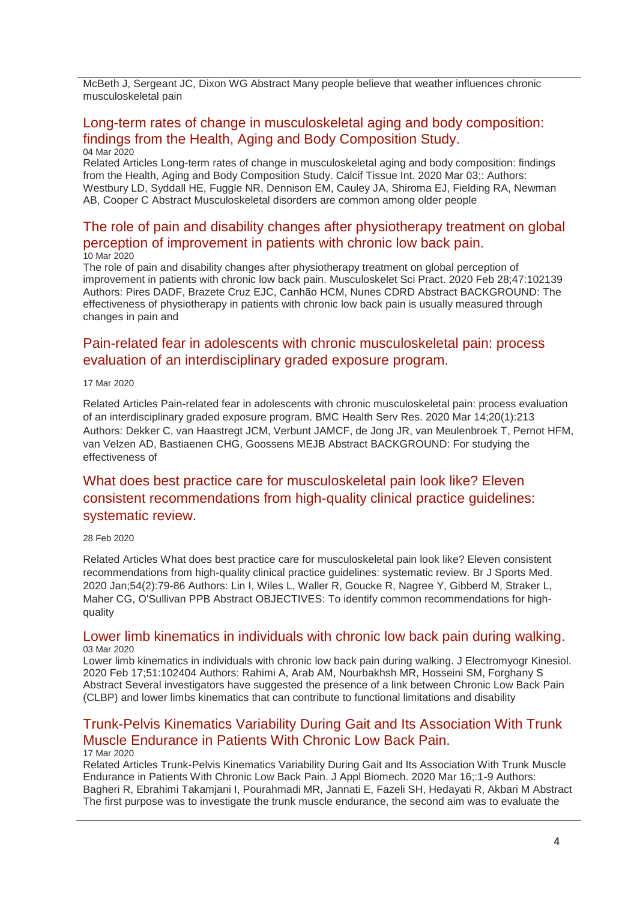McBeth J, Sergeant JC, Dixon WG Abstract Many people believe that weather influences chronic musculoskeletal pain

### [Long-term rates of change in musculoskeletal aging and body composition:](http://transit.linexsystems.com/track/click/30370861/ca.linexsystems.com?p=eyJzIjoieXcwM2g4OHA1cnYxNy1CNUR0dDhQTHdrV2d3IiwidiI6MSwicCI6IntcInVcIjozMDM3MDg2MSxcInZcIjoxLFwidXJsXCI6XCJodHRwOlxcXC9cXFwvY2EubGluZXhzeXN0ZW1zLmNvbVxcXC9jb250ZW50c1xcXC90cmFuc2l0XFxcLzM2NDY5MTk3MjU_dXNlcl9pZD00NDM1MTUmbG9nPTc5Y2ZhYjYyNGM2ZjAyMDU3MTQ2YzFjZGFkZmYyZWRmJnA9OTMyOTMzMjUmbT0xJmM9MzUyOTEwODkxNSZvcmdfaWQ9MTc0ODFcIixcImlkXCI6XCIzMTZmODY5MDRhMTE0N2Y3ODcxZDgyZTE3YWVkOTczZlwiLFwidXJsX2lkc1wiOltcIjA1ZTliM2YxZjk4OTA1NGZlM2JjODI0YWQ4ZmExYjhmMWYyMzVkMTNcIl19In0)  [findings from the Health, Aging and Body Composition Study.](http://transit.linexsystems.com/track/click/30370861/ca.linexsystems.com?p=eyJzIjoieXcwM2g4OHA1cnYxNy1CNUR0dDhQTHdrV2d3IiwidiI6MSwicCI6IntcInVcIjozMDM3MDg2MSxcInZcIjoxLFwidXJsXCI6XCJodHRwOlxcXC9cXFwvY2EubGluZXhzeXN0ZW1zLmNvbVxcXC9jb250ZW50c1xcXC90cmFuc2l0XFxcLzM2NDY5MTk3MjU_dXNlcl9pZD00NDM1MTUmbG9nPTc5Y2ZhYjYyNGM2ZjAyMDU3MTQ2YzFjZGFkZmYyZWRmJnA9OTMyOTMzMjUmbT0xJmM9MzUyOTEwODkxNSZvcmdfaWQ9MTc0ODFcIixcImlkXCI6XCIzMTZmODY5MDRhMTE0N2Y3ODcxZDgyZTE3YWVkOTczZlwiLFwidXJsX2lkc1wiOltcIjA1ZTliM2YxZjk4OTA1NGZlM2JjODI0YWQ4ZmExYjhmMWYyMzVkMTNcIl19In0) 04 Mar 2020

Related Articles Long-term rates of change in musculoskeletal aging and body composition: findings from the Health, Aging and Body Composition Study. Calcif Tissue Int. 2020 Mar 03;: Authors: Westbury LD, Syddall HE, Fuggle NR, Dennison EM, Cauley JA, Shiroma EJ, Fielding RA, Newman AB, Cooper C Abstract Musculoskeletal disorders are common among older people

### [The role of pain and disability changes after physiotherapy treatment on global](http://transit.linexsystems.com/track/click/30370861/ca.linexsystems.com?p=eyJzIjoiaGl6REdXOFJQcy0zU3ozRVNEYmZXR2g5aGhJIiwidiI6MSwicCI6IntcInVcIjozMDM3MDg2MSxcInZcIjoxLFwidXJsXCI6XCJodHRwOlxcXC9cXFwvY2EubGluZXhzeXN0ZW1zLmNvbVxcXC9jb250ZW50c1xcXC90cmFuc2l0XFxcLzM2NTI5Nzk2ODU_dXNlcl9pZD00NDM1MTUmbG9nPTc5Y2ZhYjYyNGM2ZjAyMDU3MTQ2YzFjZGFkZmYyZWRmJnA9OTMyOTMzMjUmbT0xJmM9MzUyOTEwODUyNSZvcmdfaWQ9MTc0ODFcIixcImlkXCI6XCIzMTZmODY5MDRhMTE0N2Y3ODcxZDgyZTE3YWVkOTczZlwiLFwidXJsX2lkc1wiOltcIjA1ZTliM2YxZjk4OTA1NGZlM2JjODI0YWQ4ZmExYjhmMWYyMzVkMTNcIl19In0)  [perception of improvement in patients with chronic low back pain.](http://transit.linexsystems.com/track/click/30370861/ca.linexsystems.com?p=eyJzIjoiaGl6REdXOFJQcy0zU3ozRVNEYmZXR2g5aGhJIiwidiI6MSwicCI6IntcInVcIjozMDM3MDg2MSxcInZcIjoxLFwidXJsXCI6XCJodHRwOlxcXC9cXFwvY2EubGluZXhzeXN0ZW1zLmNvbVxcXC9jb250ZW50c1xcXC90cmFuc2l0XFxcLzM2NTI5Nzk2ODU_dXNlcl9pZD00NDM1MTUmbG9nPTc5Y2ZhYjYyNGM2ZjAyMDU3MTQ2YzFjZGFkZmYyZWRmJnA9OTMyOTMzMjUmbT0xJmM9MzUyOTEwODUyNSZvcmdfaWQ9MTc0ODFcIixcImlkXCI6XCIzMTZmODY5MDRhMTE0N2Y3ODcxZDgyZTE3YWVkOTczZlwiLFwidXJsX2lkc1wiOltcIjA1ZTliM2YxZjk4OTA1NGZlM2JjODI0YWQ4ZmExYjhmMWYyMzVkMTNcIl19In0) 10 Mar 2020

The role of pain and disability changes after physiotherapy treatment on global perception of improvement in patients with chronic low back pain. Musculoskelet Sci Pract. 2020 Feb 28;47:102139 Authors: Pires DADF, Brazete Cruz EJC, Canhão HCM, Nunes CDRD Abstract BACKGROUND: The effectiveness of physiotherapy in patients with chronic low back pain is usually measured through changes in pain and

## [Pain-related fear in adolescents with chronic musculoskeletal pain: process](http://transit.linexsystems.com/track/click/30370861/ca.linexsystems.com?p=eyJzIjoiSy1reGwxUktrSVBJX0FGZmZNZVpLRmQ4RVJjIiwidiI6MSwicCI6IntcInVcIjozMDM3MDg2MSxcInZcIjoxLFwidXJsXCI6XCJodHRwOlxcXC9cXFwvY2EubGluZXhzeXN0ZW1zLmNvbVxcXC9jb250ZW50c1xcXC90cmFuc2l0XFxcLzM2NjA3Nzg2MTU_dXNlcl9pZD00NDM1MTUmbG9nPTc5Y2ZhYjYyNGM2ZjAyMDU3MTQ2YzFjZGFkZmYyZWRmJnA9OTMyOTMzMjUmbT0xJmM9MzUyOTEwODkxNSZvcmdfaWQ9MTc0ODFcIixcImlkXCI6XCIzMTZmODY5MDRhMTE0N2Y3ODcxZDgyZTE3YWVkOTczZlwiLFwidXJsX2lkc1wiOltcIjA1ZTliM2YxZjk4OTA1NGZlM2JjODI0YWQ4ZmExYjhmMWYyMzVkMTNcIl19In0)  [evaluation of an interdisciplinary graded exposure program.](http://transit.linexsystems.com/track/click/30370861/ca.linexsystems.com?p=eyJzIjoiSy1reGwxUktrSVBJX0FGZmZNZVpLRmQ4RVJjIiwidiI6MSwicCI6IntcInVcIjozMDM3MDg2MSxcInZcIjoxLFwidXJsXCI6XCJodHRwOlxcXC9cXFwvY2EubGluZXhzeXN0ZW1zLmNvbVxcXC9jb250ZW50c1xcXC90cmFuc2l0XFxcLzM2NjA3Nzg2MTU_dXNlcl9pZD00NDM1MTUmbG9nPTc5Y2ZhYjYyNGM2ZjAyMDU3MTQ2YzFjZGFkZmYyZWRmJnA9OTMyOTMzMjUmbT0xJmM9MzUyOTEwODkxNSZvcmdfaWQ9MTc0ODFcIixcImlkXCI6XCIzMTZmODY5MDRhMTE0N2Y3ODcxZDgyZTE3YWVkOTczZlwiLFwidXJsX2lkc1wiOltcIjA1ZTliM2YxZjk4OTA1NGZlM2JjODI0YWQ4ZmExYjhmMWYyMzVkMTNcIl19In0)

### 17 Mar 2020

Related Articles Pain-related fear in adolescents with chronic musculoskeletal pain: process evaluation of an interdisciplinary graded exposure program. BMC Health Serv Res. 2020 Mar 14;20(1):213 Authors: Dekker C, van Haastregt JCM, Verbunt JAMCF, de Jong JR, van Meulenbroek T, Pernot HFM, van Velzen AD, Bastiaenen CHG, Goossens MEJB Abstract BACKGROUND: For studying the effectiveness of

## [What does best practice care for musculoskeletal pain look like? Eleven](http://transit.linexsystems.com/track/click/30370861/ca.linexsystems.com?p=eyJzIjoiVXVhVmd2aldTZFMyXy1uUDFlelhPZVppQzJrIiwidiI6MSwicCI6IntcInVcIjozMDM3MDg2MSxcInZcIjoxLFwidXJsXCI6XCJodHRwOlxcXC9cXFwvY2EubGluZXhzeXN0ZW1zLmNvbVxcXC9jb250ZW50c1xcXC90cmFuc2l0XFxcLzM2NDIwNDQ1MDU_dXNlcl9pZD00NDM1MTUmbG9nPTc5Y2ZhYjYyNGM2ZjAyMDU3MTQ2YzFjZGFkZmYyZWRmJnA9OTMyOTMzMjUmbT0xJmM9MzUyOTExMTIyNSZvcmdfaWQ9MTc0ODFcIixcImlkXCI6XCIzMTZmODY5MDRhMTE0N2Y3ODcxZDgyZTE3YWVkOTczZlwiLFwidXJsX2lkc1wiOltcIjA1ZTliM2YxZjk4OTA1NGZlM2JjODI0YWQ4ZmExYjhmMWYyMzVkMTNcIl19In0)  [consistent recommendations from high-quality clinical practice guidelines:](http://transit.linexsystems.com/track/click/30370861/ca.linexsystems.com?p=eyJzIjoiVXVhVmd2aldTZFMyXy1uUDFlelhPZVppQzJrIiwidiI6MSwicCI6IntcInVcIjozMDM3MDg2MSxcInZcIjoxLFwidXJsXCI6XCJodHRwOlxcXC9cXFwvY2EubGluZXhzeXN0ZW1zLmNvbVxcXC9jb250ZW50c1xcXC90cmFuc2l0XFxcLzM2NDIwNDQ1MDU_dXNlcl9pZD00NDM1MTUmbG9nPTc5Y2ZhYjYyNGM2ZjAyMDU3MTQ2YzFjZGFkZmYyZWRmJnA9OTMyOTMzMjUmbT0xJmM9MzUyOTExMTIyNSZvcmdfaWQ9MTc0ODFcIixcImlkXCI6XCIzMTZmODY5MDRhMTE0N2Y3ODcxZDgyZTE3YWVkOTczZlwiLFwidXJsX2lkc1wiOltcIjA1ZTliM2YxZjk4OTA1NGZlM2JjODI0YWQ4ZmExYjhmMWYyMzVkMTNcIl19In0)  [systematic review.](http://transit.linexsystems.com/track/click/30370861/ca.linexsystems.com?p=eyJzIjoiVXVhVmd2aldTZFMyXy1uUDFlelhPZVppQzJrIiwidiI6MSwicCI6IntcInVcIjozMDM3MDg2MSxcInZcIjoxLFwidXJsXCI6XCJodHRwOlxcXC9cXFwvY2EubGluZXhzeXN0ZW1zLmNvbVxcXC9jb250ZW50c1xcXC90cmFuc2l0XFxcLzM2NDIwNDQ1MDU_dXNlcl9pZD00NDM1MTUmbG9nPTc5Y2ZhYjYyNGM2ZjAyMDU3MTQ2YzFjZGFkZmYyZWRmJnA9OTMyOTMzMjUmbT0xJmM9MzUyOTExMTIyNSZvcmdfaWQ9MTc0ODFcIixcImlkXCI6XCIzMTZmODY5MDRhMTE0N2Y3ODcxZDgyZTE3YWVkOTczZlwiLFwidXJsX2lkc1wiOltcIjA1ZTliM2YxZjk4OTA1NGZlM2JjODI0YWQ4ZmExYjhmMWYyMzVkMTNcIl19In0)

#### 28 Feb 2020

Related Articles What does best practice care for musculoskeletal pain look like? Eleven consistent recommendations from high-quality clinical practice guidelines: systematic review. Br J Sports Med. 2020 Jan;54(2):79-86 Authors: Lin I, Wiles L, Waller R, Goucke R, Nagree Y, Gibberd M, Straker L, Maher CG, O'Sullivan PPB Abstract OBJECTIVES: To identify common recommendations for highquality

### [Lower limb kinematics in individuals with chronic low back pain during walking.](http://transit.linexsystems.com/track/click/30370861/ca.linexsystems.com?p=eyJzIjoiRkZQVDVnLTdQNmFrb01razBYNDBBU2NLRm5nIiwidiI6MSwicCI6IntcInVcIjozMDM3MDg2MSxcInZcIjoxLFwidXJsXCI6XCJodHRwOlxcXC9cXFwvY2EubGluZXhzeXN0ZW1zLmNvbVxcXC9jb250ZW50c1xcXC90cmFuc2l0XFxcLzM2NDU1NDM2MTU_dXNlcl9pZD00NDM1MTUmbG9nPTc5Y2ZhYjYyNGM2ZjAyMDU3MTQ2YzFjZGFkZmYyZWRmJnA9OTMyOTMzMjUmbT0xJmM9MzUyOTEwODkxNSZvcmdfaWQ9MTc0ODFcIixcImlkXCI6XCIzMTZmODY5MDRhMTE0N2Y3ODcxZDgyZTE3YWVkOTczZlwiLFwidXJsX2lkc1wiOltcIjA1ZTliM2YxZjk4OTA1NGZlM2JjODI0YWQ4ZmExYjhmMWYyMzVkMTNcIl19In0) 03 Mar 2020

Lower limb kinematics in individuals with chronic low back pain during walking. J Electromyogr Kinesiol. 2020 Feb 17;51:102404 Authors: Rahimi A, Arab AM, Nourbakhsh MR, Hosseini SM, Forghany S Abstract Several investigators have suggested the presence of a link between Chronic Low Back Pain (CLBP) and lower limbs kinematics that can contribute to functional limitations and disability

## [Trunk-Pelvis Kinematics Variability During Gait and Its Association With Trunk](http://transit.linexsystems.com/track/click/30370861/ca.linexsystems.com?p=eyJzIjoiVVFuRlhHel9tUnlsMF9MSlpCbVJnTHRZWXRJIiwidiI6MSwicCI6IntcInVcIjozMDM3MDg2MSxcInZcIjoxLFwidXJsXCI6XCJodHRwOlxcXC9cXFwvY2EubGluZXhzeXN0ZW1zLmNvbVxcXC9jb250ZW50c1xcXC90cmFuc2l0XFxcLzM2NjA3ODY2MTU_dXNlcl9pZD00NDM1MTUmbG9nPTc5Y2ZhYjYyNGM2ZjAyMDU3MTQ2YzFjZGFkZmYyZWRmJnA9OTMyOTMzMjUmbT0xJmM9MzUyOTEwODkxNSZvcmdfaWQ9MTc0ODFcIixcImlkXCI6XCIzMTZmODY5MDRhMTE0N2Y3ODcxZDgyZTE3YWVkOTczZlwiLFwidXJsX2lkc1wiOltcIjA1ZTliM2YxZjk4OTA1NGZlM2JjODI0YWQ4ZmExYjhmMWYyMzVkMTNcIl19In0)  [Muscle Endurance in Patients With Chronic Low Back Pain.](http://transit.linexsystems.com/track/click/30370861/ca.linexsystems.com?p=eyJzIjoiVVFuRlhHel9tUnlsMF9MSlpCbVJnTHRZWXRJIiwidiI6MSwicCI6IntcInVcIjozMDM3MDg2MSxcInZcIjoxLFwidXJsXCI6XCJodHRwOlxcXC9cXFwvY2EubGluZXhzeXN0ZW1zLmNvbVxcXC9jb250ZW50c1xcXC90cmFuc2l0XFxcLzM2NjA3ODY2MTU_dXNlcl9pZD00NDM1MTUmbG9nPTc5Y2ZhYjYyNGM2ZjAyMDU3MTQ2YzFjZGFkZmYyZWRmJnA9OTMyOTMzMjUmbT0xJmM9MzUyOTEwODkxNSZvcmdfaWQ9MTc0ODFcIixcImlkXCI6XCIzMTZmODY5MDRhMTE0N2Y3ODcxZDgyZTE3YWVkOTczZlwiLFwidXJsX2lkc1wiOltcIjA1ZTliM2YxZjk4OTA1NGZlM2JjODI0YWQ4ZmExYjhmMWYyMzVkMTNcIl19In0)

### 17 Mar 2020

Related Articles Trunk-Pelvis Kinematics Variability During Gait and Its Association With Trunk Muscle Endurance in Patients With Chronic Low Back Pain. J Appl Biomech. 2020 Mar 16;:1-9 Authors: Bagheri R, Ebrahimi Takamjani I, Pourahmadi MR, Jannati E, Fazeli SH, Hedayati R, Akbari M Abstract The first purpose was to investigate the trunk muscle endurance, the second aim was to evaluate the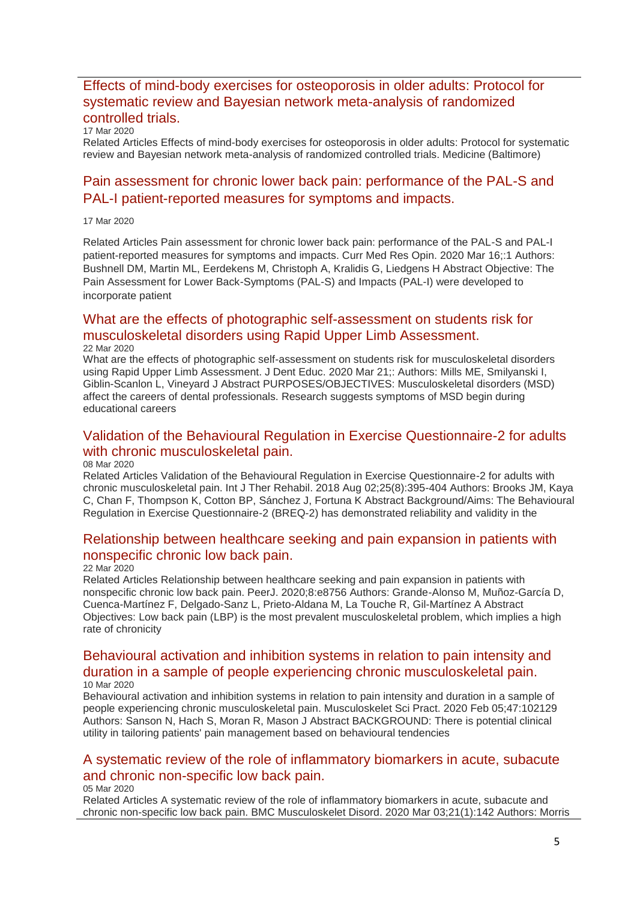## [Effects of mind-body exercises for osteoporosis in older adults: Protocol for](http://transit.linexsystems.com/track/click/30370861/ca.linexsystems.com?p=eyJzIjoiUDFqRm16S0FJeXNTY0c5OVA5blZUWVNKT2NzIiwidiI6MSwicCI6IntcInVcIjozMDM3MDg2MSxcInZcIjoxLFwidXJsXCI6XCJodHRwOlxcXC9cXFwvY2EubGluZXhzeXN0ZW1zLmNvbVxcXC9jb250ZW50c1xcXC90cmFuc2l0XFxcLzM2NjA3ODY1NDU_dXNlcl9pZD00NDM1MTUmbG9nPTc5Y2ZhYjYyNGM2ZjAyMDU3MTQ2YzFjZGFkZmYyZWRmJnA9OTMyOTMzMjUmbT0xJmM9MzUyOTEwOTg3NSZvcmdfaWQ9MTc0ODFcIixcImlkXCI6XCIzMTZmODY5MDRhMTE0N2Y3ODcxZDgyZTE3YWVkOTczZlwiLFwidXJsX2lkc1wiOltcIjA1ZTliM2YxZjk4OTA1NGZlM2JjODI0YWQ4ZmExYjhmMWYyMzVkMTNcIl19In0)  [systematic review and Bayesian network meta-analysis of randomized](http://transit.linexsystems.com/track/click/30370861/ca.linexsystems.com?p=eyJzIjoiUDFqRm16S0FJeXNTY0c5OVA5blZUWVNKT2NzIiwidiI6MSwicCI6IntcInVcIjozMDM3MDg2MSxcInZcIjoxLFwidXJsXCI6XCJodHRwOlxcXC9cXFwvY2EubGluZXhzeXN0ZW1zLmNvbVxcXC9jb250ZW50c1xcXC90cmFuc2l0XFxcLzM2NjA3ODY1NDU_dXNlcl9pZD00NDM1MTUmbG9nPTc5Y2ZhYjYyNGM2ZjAyMDU3MTQ2YzFjZGFkZmYyZWRmJnA9OTMyOTMzMjUmbT0xJmM9MzUyOTEwOTg3NSZvcmdfaWQ9MTc0ODFcIixcImlkXCI6XCIzMTZmODY5MDRhMTE0N2Y3ODcxZDgyZTE3YWVkOTczZlwiLFwidXJsX2lkc1wiOltcIjA1ZTliM2YxZjk4OTA1NGZlM2JjODI0YWQ4ZmExYjhmMWYyMzVkMTNcIl19In0)  [controlled trials.](http://transit.linexsystems.com/track/click/30370861/ca.linexsystems.com?p=eyJzIjoiUDFqRm16S0FJeXNTY0c5OVA5blZUWVNKT2NzIiwidiI6MSwicCI6IntcInVcIjozMDM3MDg2MSxcInZcIjoxLFwidXJsXCI6XCJodHRwOlxcXC9cXFwvY2EubGluZXhzeXN0ZW1zLmNvbVxcXC9jb250ZW50c1xcXC90cmFuc2l0XFxcLzM2NjA3ODY1NDU_dXNlcl9pZD00NDM1MTUmbG9nPTc5Y2ZhYjYyNGM2ZjAyMDU3MTQ2YzFjZGFkZmYyZWRmJnA9OTMyOTMzMjUmbT0xJmM9MzUyOTEwOTg3NSZvcmdfaWQ9MTc0ODFcIixcImlkXCI6XCIzMTZmODY5MDRhMTE0N2Y3ODcxZDgyZTE3YWVkOTczZlwiLFwidXJsX2lkc1wiOltcIjA1ZTliM2YxZjk4OTA1NGZlM2JjODI0YWQ4ZmExYjhmMWYyMzVkMTNcIl19In0)

### 17 Mar 2020

Related Articles Effects of mind-body exercises for osteoporosis in older adults: Protocol for systematic review and Bayesian network meta-analysis of randomized controlled trials. Medicine (Baltimore)

## [Pain assessment for chronic lower back pain: performance of the PAL-S and](http://transit.linexsystems.com/track/click/30370861/ca.linexsystems.com?p=eyJzIjoiSUhQMHQ5ekIyRExXOHJzNXFMRDVaWXdCOGRjIiwidiI6MSwicCI6IntcInVcIjozMDM3MDg2MSxcInZcIjoxLFwidXJsXCI6XCJodHRwOlxcXC9cXFwvY2EubGluZXhzeXN0ZW1zLmNvbVxcXC9jb250ZW50c1xcXC90cmFuc2l0XFxcLzM2NjA3Nzg5NTU_dXNlcl9pZD00NDM1MTUmbG9nPTc5Y2ZhYjYyNGM2ZjAyMDU3MTQ2YzFjZGFkZmYyZWRmJnA9OTMyOTMzMjUmbT0xJmM9MzUyOTEwODkxNSZvcmdfaWQ9MTc0ODFcIixcImlkXCI6XCIzMTZmODY5MDRhMTE0N2Y3ODcxZDgyZTE3YWVkOTczZlwiLFwidXJsX2lkc1wiOltcIjA1ZTliM2YxZjk4OTA1NGZlM2JjODI0YWQ4ZmExYjhmMWYyMzVkMTNcIl19In0)  [PAL-I patient-reported measures for symptoms and impacts.](http://transit.linexsystems.com/track/click/30370861/ca.linexsystems.com?p=eyJzIjoiSUhQMHQ5ekIyRExXOHJzNXFMRDVaWXdCOGRjIiwidiI6MSwicCI6IntcInVcIjozMDM3MDg2MSxcInZcIjoxLFwidXJsXCI6XCJodHRwOlxcXC9cXFwvY2EubGluZXhzeXN0ZW1zLmNvbVxcXC9jb250ZW50c1xcXC90cmFuc2l0XFxcLzM2NjA3Nzg5NTU_dXNlcl9pZD00NDM1MTUmbG9nPTc5Y2ZhYjYyNGM2ZjAyMDU3MTQ2YzFjZGFkZmYyZWRmJnA9OTMyOTMzMjUmbT0xJmM9MzUyOTEwODkxNSZvcmdfaWQ9MTc0ODFcIixcImlkXCI6XCIzMTZmODY5MDRhMTE0N2Y3ODcxZDgyZTE3YWVkOTczZlwiLFwidXJsX2lkc1wiOltcIjA1ZTliM2YxZjk4OTA1NGZlM2JjODI0YWQ4ZmExYjhmMWYyMzVkMTNcIl19In0)

#### 17 Mar 2020

Related Articles Pain assessment for chronic lower back pain: performance of the PAL-S and PAL-I patient-reported measures for symptoms and impacts. Curr Med Res Opin. 2020 Mar 16;:1 Authors: Bushnell DM, Martin ML, Eerdekens M, Christoph A, Kralidis G, Liedgens H Abstract Objective: The Pain Assessment for Lower Back-Symptoms (PAL-S) and Impacts (PAL-I) were developed to incorporate patient

## [What are the effects of photographic self-assessment on students risk for](http://transit.linexsystems.com/track/click/30370861/ca.linexsystems.com?p=eyJzIjoiNHlVY3pqSFVKbnQ5OXk1Sko1Rm1pNzN4cUswIiwidiI6MSwicCI6IntcInVcIjozMDM3MDg2MSxcInZcIjoxLFwidXJsXCI6XCJodHRwOlxcXC9cXFwvY2EubGluZXhzeXN0ZW1zLmNvbVxcXC9jb250ZW50c1xcXC90cmFuc2l0XFxcLzM2NjY0Nzc4MzU_dXNlcl9pZD00NDM1MTUmbG9nPTc5Y2ZhYjYyNGM2ZjAyMDU3MTQ2YzFjZGFkZmYyZWRmJnA9OTMyOTMzMjUmbT0xJmM9MzUyOTEwODkxNSZvcmdfaWQ9MTc0ODFcIixcImlkXCI6XCIzMTZmODY5MDRhMTE0N2Y3ODcxZDgyZTE3YWVkOTczZlwiLFwidXJsX2lkc1wiOltcIjA1ZTliM2YxZjk4OTA1NGZlM2JjODI0YWQ4ZmExYjhmMWYyMzVkMTNcIl19In0)  [musculoskeletal disorders using Rapid Upper Limb Assessment.](http://transit.linexsystems.com/track/click/30370861/ca.linexsystems.com?p=eyJzIjoiNHlVY3pqSFVKbnQ5OXk1Sko1Rm1pNzN4cUswIiwidiI6MSwicCI6IntcInVcIjozMDM3MDg2MSxcInZcIjoxLFwidXJsXCI6XCJodHRwOlxcXC9cXFwvY2EubGluZXhzeXN0ZW1zLmNvbVxcXC9jb250ZW50c1xcXC90cmFuc2l0XFxcLzM2NjY0Nzc4MzU_dXNlcl9pZD00NDM1MTUmbG9nPTc5Y2ZhYjYyNGM2ZjAyMDU3MTQ2YzFjZGFkZmYyZWRmJnA9OTMyOTMzMjUmbT0xJmM9MzUyOTEwODkxNSZvcmdfaWQ9MTc0ODFcIixcImlkXCI6XCIzMTZmODY5MDRhMTE0N2Y3ODcxZDgyZTE3YWVkOTczZlwiLFwidXJsX2lkc1wiOltcIjA1ZTliM2YxZjk4OTA1NGZlM2JjODI0YWQ4ZmExYjhmMWYyMzVkMTNcIl19In0)

### 22 Mar 2020

What are the effects of photographic self-assessment on students risk for musculoskeletal disorders using Rapid Upper Limb Assessment. J Dent Educ. 2020 Mar 21;: Authors: Mills ME, Smilyanski I, Giblin-Scanlon L, Vineyard J Abstract PURPOSES/OBJECTIVES: Musculoskeletal disorders (MSD) affect the careers of dental professionals. Research suggests symptoms of MSD begin during educational careers

## [Validation of the Behavioural Regulation in Exercise Questionnaire-2 for adults](http://transit.linexsystems.com/track/click/30370861/ca.linexsystems.com?p=eyJzIjoiVmpGNUZ5QkRJeXlsOXhvc2hBM2FTNDhpWlJjIiwidiI6MSwicCI6IntcInVcIjozMDM3MDg2MSxcInZcIjoxLFwidXJsXCI6XCJodHRwOlxcXC9cXFwvY2EubGluZXhzeXN0ZW1zLmNvbVxcXC9jb250ZW50c1xcXC90cmFuc2l0XFxcLzM2NTA5NTQzOTU_dXNlcl9pZD00NDM1MTUmbG9nPTc5Y2ZhYjYyNGM2ZjAyMDU3MTQ2YzFjZGFkZmYyZWRmJnA9OTMyOTMzMjUmbT0xJmM9MzUyOTEwODUyNSZvcmdfaWQ9MTc0ODFcIixcImlkXCI6XCIzMTZmODY5MDRhMTE0N2Y3ODcxZDgyZTE3YWVkOTczZlwiLFwidXJsX2lkc1wiOltcIjA1ZTliM2YxZjk4OTA1NGZlM2JjODI0YWQ4ZmExYjhmMWYyMzVkMTNcIl19In0)  [with chronic musculoskeletal pain.](http://transit.linexsystems.com/track/click/30370861/ca.linexsystems.com?p=eyJzIjoiVmpGNUZ5QkRJeXlsOXhvc2hBM2FTNDhpWlJjIiwidiI6MSwicCI6IntcInVcIjozMDM3MDg2MSxcInZcIjoxLFwidXJsXCI6XCJodHRwOlxcXC9cXFwvY2EubGluZXhzeXN0ZW1zLmNvbVxcXC9jb250ZW50c1xcXC90cmFuc2l0XFxcLzM2NTA5NTQzOTU_dXNlcl9pZD00NDM1MTUmbG9nPTc5Y2ZhYjYyNGM2ZjAyMDU3MTQ2YzFjZGFkZmYyZWRmJnA9OTMyOTMzMjUmbT0xJmM9MzUyOTEwODUyNSZvcmdfaWQ9MTc0ODFcIixcImlkXCI6XCIzMTZmODY5MDRhMTE0N2Y3ODcxZDgyZTE3YWVkOTczZlwiLFwidXJsX2lkc1wiOltcIjA1ZTliM2YxZjk4OTA1NGZlM2JjODI0YWQ4ZmExYjhmMWYyMzVkMTNcIl19In0)

### 08 Mar 2020

Related Articles Validation of the Behavioural Regulation in Exercise Questionnaire-2 for adults with chronic musculoskeletal pain. Int J Ther Rehabil. 2018 Aug 02;25(8):395-404 Authors: Brooks JM, Kaya C, Chan F, Thompson K, Cotton BP, Sánchez J, Fortuna K Abstract Background/Aims: The Behavioural Regulation in Exercise Questionnaire-2 (BREQ-2) has demonstrated reliability and validity in the

### [Relationship between healthcare seeking and pain expansion in patients with](http://transit.linexsystems.com/track/click/30370861/ca.linexsystems.com?p=eyJzIjoicTROajhIUW1CWVROYTZEazc2R2xVem41dmNNIiwidiI6MSwicCI6IntcInVcIjozMDM3MDg2MSxcInZcIjoxLFwidXJsXCI6XCJodHRwOlxcXC9cXFwvY2EubGluZXhzeXN0ZW1zLmNvbVxcXC9jb250ZW50c1xcXC90cmFuc2l0XFxcLzM2NjYyODYxOTU_dXNlcl9pZD00NDM1MTUmbG9nPTc5Y2ZhYjYyNGM2ZjAyMDU3MTQ2YzFjZGFkZmYyZWRmJnA9OTMyOTMzMjUmbT0xJmM9MzUyOTEwODkxNSZvcmdfaWQ9MTc0ODFcIixcImlkXCI6XCIzMTZmODY5MDRhMTE0N2Y3ODcxZDgyZTE3YWVkOTczZlwiLFwidXJsX2lkc1wiOltcIjA1ZTliM2YxZjk4OTA1NGZlM2JjODI0YWQ4ZmExYjhmMWYyMzVkMTNcIl19In0)  [nonspecific chronic low back pain.](http://transit.linexsystems.com/track/click/30370861/ca.linexsystems.com?p=eyJzIjoicTROajhIUW1CWVROYTZEazc2R2xVem41dmNNIiwidiI6MSwicCI6IntcInVcIjozMDM3MDg2MSxcInZcIjoxLFwidXJsXCI6XCJodHRwOlxcXC9cXFwvY2EubGluZXhzeXN0ZW1zLmNvbVxcXC9jb250ZW50c1xcXC90cmFuc2l0XFxcLzM2NjYyODYxOTU_dXNlcl9pZD00NDM1MTUmbG9nPTc5Y2ZhYjYyNGM2ZjAyMDU3MTQ2YzFjZGFkZmYyZWRmJnA9OTMyOTMzMjUmbT0xJmM9MzUyOTEwODkxNSZvcmdfaWQ9MTc0ODFcIixcImlkXCI6XCIzMTZmODY5MDRhMTE0N2Y3ODcxZDgyZTE3YWVkOTczZlwiLFwidXJsX2lkc1wiOltcIjA1ZTliM2YxZjk4OTA1NGZlM2JjODI0YWQ4ZmExYjhmMWYyMzVkMTNcIl19In0)

#### 22 Mar 2020

Related Articles Relationship between healthcare seeking and pain expansion in patients with nonspecific chronic low back pain. PeerJ. 2020;8:e8756 Authors: Grande-Alonso M, Muñoz-García D, Cuenca-Martínez F, Delgado-Sanz L, Prieto-Aldana M, La Touche R, Gil-Martínez A Abstract Objectives: Low back pain (LBP) is the most prevalent musculoskeletal problem, which implies a high rate of chronicity

### [Behavioural activation and inhibition systems in relation to pain intensity and](http://transit.linexsystems.com/track/click/30370861/ca.linexsystems.com?p=eyJzIjoiaEt3N3gzXzhEcmRsZ0VFUEZtV3BBd3BIMkVvIiwidiI6MSwicCI6IntcInVcIjozMDM3MDg2MSxcInZcIjoxLFwidXJsXCI6XCJodHRwOlxcXC9cXFwvY2EubGluZXhzeXN0ZW1zLmNvbVxcXC9jb250ZW50c1xcXC90cmFuc2l0XFxcLzM2NTI5ODM4MTU_dXNlcl9pZD00NDM1MTUmbG9nPTc5Y2ZhYjYyNGM2ZjAyMDU3MTQ2YzFjZGFkZmYyZWRmJnA9OTMyOTMzMjUmbT0xJmM9MzUyOTEwODkxNSZvcmdfaWQ9MTc0ODFcIixcImlkXCI6XCIzMTZmODY5MDRhMTE0N2Y3ODcxZDgyZTE3YWVkOTczZlwiLFwidXJsX2lkc1wiOltcIjA1ZTliM2YxZjk4OTA1NGZlM2JjODI0YWQ4ZmExYjhmMWYyMzVkMTNcIl19In0)  [duration in a sample of people experiencing chronic musculoskeletal pain.](http://transit.linexsystems.com/track/click/30370861/ca.linexsystems.com?p=eyJzIjoiaEt3N3gzXzhEcmRsZ0VFUEZtV3BBd3BIMkVvIiwidiI6MSwicCI6IntcInVcIjozMDM3MDg2MSxcInZcIjoxLFwidXJsXCI6XCJodHRwOlxcXC9cXFwvY2EubGluZXhzeXN0ZW1zLmNvbVxcXC9jb250ZW50c1xcXC90cmFuc2l0XFxcLzM2NTI5ODM4MTU_dXNlcl9pZD00NDM1MTUmbG9nPTc5Y2ZhYjYyNGM2ZjAyMDU3MTQ2YzFjZGFkZmYyZWRmJnA9OTMyOTMzMjUmbT0xJmM9MzUyOTEwODkxNSZvcmdfaWQ9MTc0ODFcIixcImlkXCI6XCIzMTZmODY5MDRhMTE0N2Y3ODcxZDgyZTE3YWVkOTczZlwiLFwidXJsX2lkc1wiOltcIjA1ZTliM2YxZjk4OTA1NGZlM2JjODI0YWQ4ZmExYjhmMWYyMzVkMTNcIl19In0) 10 Mar 2020

### Behavioural activation and inhibition systems in relation to pain intensity and duration in a sample of people experiencing chronic musculoskeletal pain. Musculoskelet Sci Pract. 2020 Feb 05;47:102129 Authors: Sanson N, Hach S, Moran R, Mason J Abstract BACKGROUND: There is potential clinical utility in tailoring patients' pain management based on behavioural tendencies

## [A systematic review of the role of inflammatory biomarkers in acute, subacute](http://transit.linexsystems.com/track/click/30370861/ca.linexsystems.com?p=eyJzIjoiSWRCN0lnRVB4TmtXMWMwMVNmMGRkcFV0NHNrIiwidiI6MSwicCI6IntcInVcIjozMDM3MDg2MSxcInZcIjoxLFwidXJsXCI6XCJodHRwOlxcXC9cXFwvY2EubGluZXhzeXN0ZW1zLmNvbVxcXC9jb250ZW50c1xcXC90cmFuc2l0XFxcLzM2NDgyNTQ3OTU_dXNlcl9pZD00NDM1MTUmbG9nPTc5Y2ZhYjYyNGM2ZjAyMDU3MTQ2YzFjZGFkZmYyZWRmJnA9OTMyOTMzMjUmbT0xJmM9MzUyOTEwODkxNSZvcmdfaWQ9MTc0ODFcIixcImlkXCI6XCIzMTZmODY5MDRhMTE0N2Y3ODcxZDgyZTE3YWVkOTczZlwiLFwidXJsX2lkc1wiOltcIjA1ZTliM2YxZjk4OTA1NGZlM2JjODI0YWQ4ZmExYjhmMWYyMzVkMTNcIl19In0)  [and chronic non-specific low back pain.](http://transit.linexsystems.com/track/click/30370861/ca.linexsystems.com?p=eyJzIjoiSWRCN0lnRVB4TmtXMWMwMVNmMGRkcFV0NHNrIiwidiI6MSwicCI6IntcInVcIjozMDM3MDg2MSxcInZcIjoxLFwidXJsXCI6XCJodHRwOlxcXC9cXFwvY2EubGluZXhzeXN0ZW1zLmNvbVxcXC9jb250ZW50c1xcXC90cmFuc2l0XFxcLzM2NDgyNTQ3OTU_dXNlcl9pZD00NDM1MTUmbG9nPTc5Y2ZhYjYyNGM2ZjAyMDU3MTQ2YzFjZGFkZmYyZWRmJnA9OTMyOTMzMjUmbT0xJmM9MzUyOTEwODkxNSZvcmdfaWQ9MTc0ODFcIixcImlkXCI6XCIzMTZmODY5MDRhMTE0N2Y3ODcxZDgyZTE3YWVkOTczZlwiLFwidXJsX2lkc1wiOltcIjA1ZTliM2YxZjk4OTA1NGZlM2JjODI0YWQ4ZmExYjhmMWYyMzVkMTNcIl19In0)

#### 05 Mar 2020

Related Articles A systematic review of the role of inflammatory biomarkers in acute, subacute and chronic non-specific low back pain. BMC Musculoskelet Disord. 2020 Mar 03;21(1):142 Authors: Morris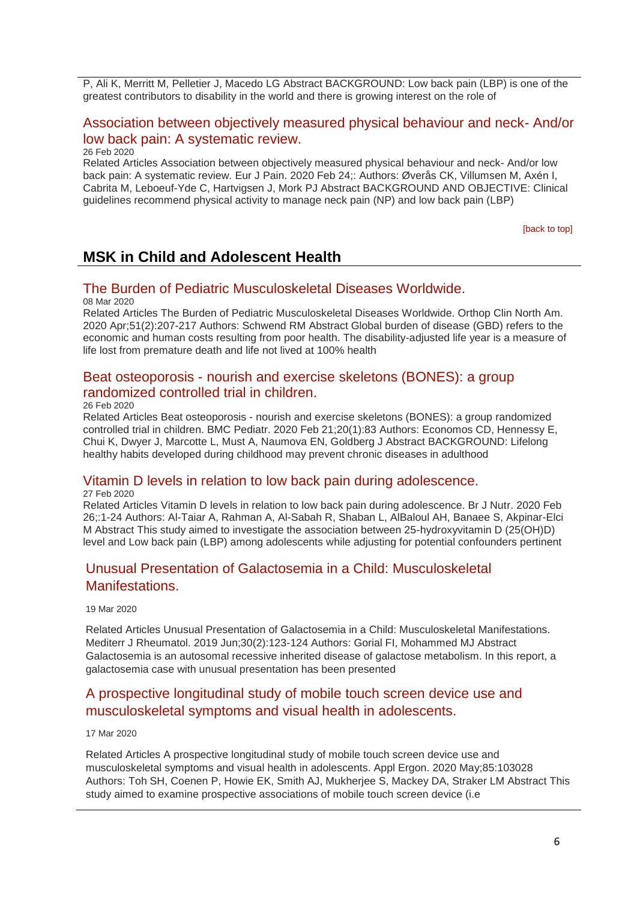P, Ali K, Merritt M, Pelletier J, Macedo LG Abstract BACKGROUND: Low back pain (LBP) is one of the greatest contributors to disability in the world and there is growing interest on the role of

### [Association between objectively measured physical behaviour and neck-](http://transit.linexsystems.com/track/click/30370861/ca.linexsystems.com?p=eyJzIjoiVFhoVWlXQWpTR0QwRGpPZm9RMDNWZ0xmcVprIiwidiI6MSwicCI6IntcInVcIjozMDM3MDg2MSxcInZcIjoxLFwidXJsXCI6XCJodHRwOlxcXC9cXFwvY2EubGluZXhzeXN0ZW1zLmNvbVxcXC9jb250ZW50c1xcXC90cmFuc2l0XFxcLzM2MzkzOTUyNTU_dXNlcl9pZD00NDM1MTUmbG9nPTc5Y2ZhYjYyNGM2ZjAyMDU3MTQ2YzFjZGFkZmYyZWRmJnA9OTMyOTMzMjUmbT0xJmM9MzUyOTEwODkxNSZvcmdfaWQ9MTc0ODFcIixcImlkXCI6XCIzMTZmODY5MDRhMTE0N2Y3ODcxZDgyZTE3YWVkOTczZlwiLFwidXJsX2lkc1wiOltcIjA1ZTliM2YxZjk4OTA1NGZlM2JjODI0YWQ4ZmExYjhmMWYyMzVkMTNcIl19In0) And/or [low back pain: A systematic review.](http://transit.linexsystems.com/track/click/30370861/ca.linexsystems.com?p=eyJzIjoiVFhoVWlXQWpTR0QwRGpPZm9RMDNWZ0xmcVprIiwidiI6MSwicCI6IntcInVcIjozMDM3MDg2MSxcInZcIjoxLFwidXJsXCI6XCJodHRwOlxcXC9cXFwvY2EubGluZXhzeXN0ZW1zLmNvbVxcXC9jb250ZW50c1xcXC90cmFuc2l0XFxcLzM2MzkzOTUyNTU_dXNlcl9pZD00NDM1MTUmbG9nPTc5Y2ZhYjYyNGM2ZjAyMDU3MTQ2YzFjZGFkZmYyZWRmJnA9OTMyOTMzMjUmbT0xJmM9MzUyOTEwODkxNSZvcmdfaWQ9MTc0ODFcIixcImlkXCI6XCIzMTZmODY5MDRhMTE0N2Y3ODcxZDgyZTE3YWVkOTczZlwiLFwidXJsX2lkc1wiOltcIjA1ZTliM2YxZjk4OTA1NGZlM2JjODI0YWQ4ZmExYjhmMWYyMzVkMTNcIl19In0)

26 Feb 2020

Related Articles Association between objectively measured physical behaviour and neck- And/or low back pain: A systematic review. Eur J Pain. 2020 Feb 24;: Authors: Øverås CK, Villumsen M, Axén I, Cabrita M, Leboeuf-Yde C, Hartvigsen J, Mork PJ Abstract BACKGROUND AND OBJECTIVE: Clinical guidelines recommend physical activity to manage neck pain (NP) and low back pain (LBP)

<span id="page-5-0"></span>[\[back to top\]](#page-0-1)

## **MSK in Child and Adolescent Health**

### <span id="page-5-1"></span>[The Burden of Pediatric Musculoskeletal Diseases Worldwide.](http://transit.linexsystems.com/track/click/30370861/ca.linexsystems.com?p=eyJzIjoibUlpSll1azkzVkJiMFFnbjFzbnQ2T1FjT0tnIiwidiI6MSwicCI6IntcInVcIjozMDM3MDg2MSxcInZcIjoxLFwidXJsXCI6XCJodHRwOlxcXC9cXFwvY2EubGluZXhzeXN0ZW1zLmNvbVxcXC9jb250ZW50c1xcXC90cmFuc2l0XFxcLzM2NTA3NTIwOTU_dXNlcl9pZD00NDM1MTUmbG9nPTc5Y2ZhYjYyNGM2ZjAyMDU3MTQ2YzFjZGFkZmYyZWRmJnA9OTMyOTMzMjUmbT0xJmM9MzUyOTEwOTMyNSZvcmdfaWQ9MTc0ODFcIixcImlkXCI6XCIzMTZmODY5MDRhMTE0N2Y3ODcxZDgyZTE3YWVkOTczZlwiLFwidXJsX2lkc1wiOltcIjA1ZTliM2YxZjk4OTA1NGZlM2JjODI0YWQ4ZmExYjhmMWYyMzVkMTNcIl19In0)

08 Mar 2020

Related Articles The Burden of Pediatric Musculoskeletal Diseases Worldwide. Orthop Clin North Am. 2020 Apr;51(2):207-217 Authors: Schwend RM Abstract Global burden of disease (GBD) refers to the economic and human costs resulting from poor health. The disability-adjusted life year is a measure of life lost from premature death and life not lived at 100% health

### Beat osteoporosis - [nourish and exercise skeletons \(BONES\): a group](http://transit.linexsystems.com/track/click/30370861/ca.linexsystems.com?p=eyJzIjoienBvSU9qZE1zdkpLaG41b3Qwa3ItZVRTX0tZIiwidiI6MSwicCI6IntcInVcIjozMDM3MDg2MSxcInZcIjoxLFwidXJsXCI6XCJodHRwOlxcXC9cXFwvY2EubGluZXhzeXN0ZW1zLmNvbVxcXC9jb250ZW50c1xcXC90cmFuc2l0XFxcLzM2Mzk0MDI1NTU_dXNlcl9pZD00NDM1MTUmbG9nPTc5Y2ZhYjYyNGM2ZjAyMDU3MTQ2YzFjZGFkZmYyZWRmJnA9OTMyOTMzMjUmbT0xJmM9MzUyOTEwODUyNSZvcmdfaWQ9MTc0ODFcIixcImlkXCI6XCIzMTZmODY5MDRhMTE0N2Y3ODcxZDgyZTE3YWVkOTczZlwiLFwidXJsX2lkc1wiOltcIjA1ZTliM2YxZjk4OTA1NGZlM2JjODI0YWQ4ZmExYjhmMWYyMzVkMTNcIl19In0)  [randomized controlled trial in children.](http://transit.linexsystems.com/track/click/30370861/ca.linexsystems.com?p=eyJzIjoienBvSU9qZE1zdkpLaG41b3Qwa3ItZVRTX0tZIiwidiI6MSwicCI6IntcInVcIjozMDM3MDg2MSxcInZcIjoxLFwidXJsXCI6XCJodHRwOlxcXC9cXFwvY2EubGluZXhzeXN0ZW1zLmNvbVxcXC9jb250ZW50c1xcXC90cmFuc2l0XFxcLzM2Mzk0MDI1NTU_dXNlcl9pZD00NDM1MTUmbG9nPTc5Y2ZhYjYyNGM2ZjAyMDU3MTQ2YzFjZGFkZmYyZWRmJnA9OTMyOTMzMjUmbT0xJmM9MzUyOTEwODUyNSZvcmdfaWQ9MTc0ODFcIixcImlkXCI6XCIzMTZmODY5MDRhMTE0N2Y3ODcxZDgyZTE3YWVkOTczZlwiLFwidXJsX2lkc1wiOltcIjA1ZTliM2YxZjk4OTA1NGZlM2JjODI0YWQ4ZmExYjhmMWYyMzVkMTNcIl19In0)

26 Feb 2020

Related Articles Beat osteoporosis - nourish and exercise skeletons (BONES): a group randomized controlled trial in children. BMC Pediatr. 2020 Feb 21;20(1):83 Authors: Economos CD, Hennessy E, Chui K, Dwyer J, Marcotte L, Must A, Naumova EN, Goldberg J Abstract BACKGROUND: Lifelong healthy habits developed during childhood may prevent chronic diseases in adulthood

### [Vitamin D levels in relation to low back pain during adolescence.](http://transit.linexsystems.com/track/click/30370861/ca.linexsystems.com?p=eyJzIjoiSTNTTHhweXNVZHBnTEtpM3BSRFNfR2FKNHVrIiwidiI6MSwicCI6IntcInVcIjozMDM3MDg2MSxcInZcIjoxLFwidXJsXCI6XCJodHRwOlxcXC9cXFwvY2EubGluZXhzeXN0ZW1zLmNvbVxcXC9jb250ZW50c1xcXC90cmFuc2l0XFxcLzM2NDA3MzUxMTU_dXNlcl9pZD00NDM1MTUmbG9nPTc5Y2ZhYjYyNGM2ZjAyMDU3MTQ2YzFjZGFkZmYyZWRmJnA9OTMyOTMzMjUmbT0xJmM9MzUyOTExMDAyNSZvcmdfaWQ9MTc0ODFcIixcImlkXCI6XCIzMTZmODY5MDRhMTE0N2Y3ODcxZDgyZTE3YWVkOTczZlwiLFwidXJsX2lkc1wiOltcIjA1ZTliM2YxZjk4OTA1NGZlM2JjODI0YWQ4ZmExYjhmMWYyMzVkMTNcIl19In0)

27 Feb 2020

Related Articles Vitamin D levels in relation to low back pain during adolescence. Br J Nutr. 2020 Feb 26;:1-24 Authors: Al-Taiar A, Rahman A, Al-Sabah R, Shaban L, AlBaloul AH, Banaee S, Akpinar-Elci M Abstract This study aimed to investigate the association between 25-hydroxyvitamin D (25(OH)D) level and Low back pain (LBP) among adolescents while adjusting for potential confounders pertinent

## [Unusual Presentation of Galactosemia in a Child: Musculoskeletal](http://transit.linexsystems.com/track/click/30370861/ca.linexsystems.com?p=eyJzIjoiWi1KT0p4SzNtcWs0NWRHVFpYQUM3bEpxUUQ0IiwidiI6MSwicCI6IntcInVcIjozMDM3MDg2MSxcInZcIjoxLFwidXJsXCI6XCJodHRwOlxcXC9cXFwvY2EubGluZXhzeXN0ZW1zLmNvbVxcXC9jb250ZW50c1xcXC90cmFuc2l0XFxcLzM2NjM5NTQ1MzU_dXNlcl9pZD00NDM1MTUmbG9nPTc5Y2ZhYjYyNGM2ZjAyMDU3MTQ2YzFjZGFkZmYyZWRmJnA9OTMyOTMzMjUmbT0xJmM9MzUyOTEwOTMyNSZvcmdfaWQ9MTc0ODFcIixcImlkXCI6XCIzMTZmODY5MDRhMTE0N2Y3ODcxZDgyZTE3YWVkOTczZlwiLFwidXJsX2lkc1wiOltcIjA1ZTliM2YxZjk4OTA1NGZlM2JjODI0YWQ4ZmExYjhmMWYyMzVkMTNcIl19In0)  **Manifestations**

19 Mar 2020

Related Articles Unusual Presentation of Galactosemia in a Child: Musculoskeletal Manifestations. Mediterr J Rheumatol. 2019 Jun;30(2):123-124 Authors: Gorial FI, Mohammed MJ Abstract Galactosemia is an autosomal recessive inherited disease of galactose metabolism. In this report, a galactosemia case with unusual presentation has been presented

## [A prospective longitudinal study of mobile touch screen device use and](http://transit.linexsystems.com/track/click/30370861/ca.linexsystems.com?p=eyJzIjoiZDlhMmRlS29mUVh6SEIya2Q5N1pTTk9yeWlBIiwidiI6MSwicCI6IntcInVcIjozMDM3MDg2MSxcInZcIjoxLFwidXJsXCI6XCJodHRwOlxcXC9cXFwvY2EubGluZXhzeXN0ZW1zLmNvbVxcXC9jb250ZW50c1xcXC90cmFuc2l0XFxcLzM2NjA3ODY0NTU_dXNlcl9pZD00NDM1MTUmbG9nPTc5Y2ZhYjYyNGM2ZjAyMDU3MTQ2YzFjZGFkZmYyZWRmJnA9OTMyOTMzMjUmbT0xJmM9MzUyOTEwOTMyNSZvcmdfaWQ9MTc0ODFcIixcImlkXCI6XCIzMTZmODY5MDRhMTE0N2Y3ODcxZDgyZTE3YWVkOTczZlwiLFwidXJsX2lkc1wiOltcIjA1ZTliM2YxZjk4OTA1NGZlM2JjODI0YWQ4ZmExYjhmMWYyMzVkMTNcIl19In0)  [musculoskeletal symptoms and visual health in adolescents.](http://transit.linexsystems.com/track/click/30370861/ca.linexsystems.com?p=eyJzIjoiZDlhMmRlS29mUVh6SEIya2Q5N1pTTk9yeWlBIiwidiI6MSwicCI6IntcInVcIjozMDM3MDg2MSxcInZcIjoxLFwidXJsXCI6XCJodHRwOlxcXC9cXFwvY2EubGluZXhzeXN0ZW1zLmNvbVxcXC9jb250ZW50c1xcXC90cmFuc2l0XFxcLzM2NjA3ODY0NTU_dXNlcl9pZD00NDM1MTUmbG9nPTc5Y2ZhYjYyNGM2ZjAyMDU3MTQ2YzFjZGFkZmYyZWRmJnA9OTMyOTMzMjUmbT0xJmM9MzUyOTEwOTMyNSZvcmdfaWQ9MTc0ODFcIixcImlkXCI6XCIzMTZmODY5MDRhMTE0N2Y3ODcxZDgyZTE3YWVkOTczZlwiLFwidXJsX2lkc1wiOltcIjA1ZTliM2YxZjk4OTA1NGZlM2JjODI0YWQ4ZmExYjhmMWYyMzVkMTNcIl19In0)

17 Mar 2020

Related Articles A prospective longitudinal study of mobile touch screen device use and musculoskeletal symptoms and visual health in adolescents. Appl Ergon. 2020 May;85:103028 Authors: Toh SH, Coenen P, Howie EK, Smith AJ, Mukherjee S, Mackey DA, Straker LM Abstract This study aimed to examine prospective associations of mobile touch screen device (i.e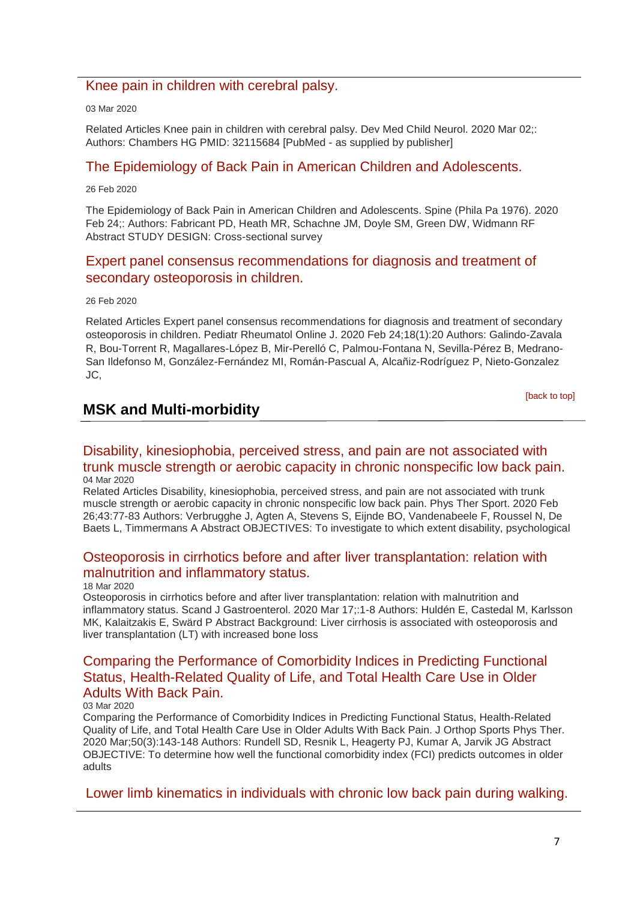### [Knee pain in children with cerebral palsy.](http://transit.linexsystems.com/track/click/30370861/ca.linexsystems.com?p=eyJzIjoiUU5UOGFBMlB0TnlVWXNKRTFXclNaMXNjSEt3IiwidiI6MSwicCI6IntcInVcIjozMDM3MDg2MSxcInZcIjoxLFwidXJsXCI6XCJodHRwOlxcXC9cXFwvY2EubGluZXhzeXN0ZW1zLmNvbVxcXC9jb250ZW50c1xcXC90cmFuc2l0XFxcLzM2NDU1NDMwMDU_dXNlcl9pZD00NDM1MTUmbG9nPTc5Y2ZhYjYyNGM2ZjAyMDU3MTQ2YzFjZGFkZmYyZWRmJnA9OTMyOTMzMjUmbT0xJmM9MzUyOTEwOTMyNSZvcmdfaWQ9MTc0ODFcIixcImlkXCI6XCIzMTZmODY5MDRhMTE0N2Y3ODcxZDgyZTE3YWVkOTczZlwiLFwidXJsX2lkc1wiOltcIjA1ZTliM2YxZjk4OTA1NGZlM2JjODI0YWQ4ZmExYjhmMWYyMzVkMTNcIl19In0)

03 Mar 2020

Related Articles Knee pain in children with cerebral palsy. Dev Med Child Neurol. 2020 Mar 02;: Authors: Chambers HG PMID: 32115684 [PubMed - as supplied by publisher]

### [The Epidemiology of Back Pain in American Children and Adolescents.](http://transit.linexsystems.com/track/click/30370861/ca.linexsystems.com?p=eyJzIjoiXzY5T2FtcER2MGREaHFkOXdlNDZWTWVHRHhnIiwidiI6MSwicCI6IntcInVcIjozMDM3MDg2MSxcInZcIjoxLFwidXJsXCI6XCJodHRwOlxcXC9cXFwvY2EubGluZXhzeXN0ZW1zLmNvbVxcXC9jb250ZW50c1xcXC90cmFuc2l0XFxcLzM2Mzk0MDI5MTU_dXNlcl9pZD00NDM1MTUmbG9nPTc5Y2ZhYjYyNGM2ZjAyMDU3MTQ2YzFjZGFkZmYyZWRmJnA9OTMyOTMzMjUmbT0xJmM9MzUyOTEwOTMyNSZvcmdfaWQ9MTc0ODFcIixcImlkXCI6XCIzMTZmODY5MDRhMTE0N2Y3ODcxZDgyZTE3YWVkOTczZlwiLFwidXJsX2lkc1wiOltcIjA1ZTliM2YxZjk4OTA1NGZlM2JjODI0YWQ4ZmExYjhmMWYyMzVkMTNcIl19In0)

26 Feb 2020

The Epidemiology of Back Pain in American Children and Adolescents. Spine (Phila Pa 1976). 2020 Feb 24;: Authors: Fabricant PD, Heath MR, Schachne JM, Doyle SM, Green DW, Widmann RF Abstract STUDY DESIGN: Cross-sectional survey

## [Expert panel consensus recommendations for diagnosis and treatment of](http://transit.linexsystems.com/track/click/30370861/ca.linexsystems.com?p=eyJzIjoiQUs0ZkhzZ0VLcXZsWUZ3NTlzQm51ek1uLTI0IiwidiI6MSwicCI6IntcInVcIjozMDM3MDg2MSxcInZcIjoxLFwidXJsXCI6XCJodHRwOlxcXC9cXFwvY2EubGluZXhzeXN0ZW1zLmNvbVxcXC9jb250ZW50c1xcXC90cmFuc2l0XFxcLzM2MzkzOTQ4NTU_dXNlcl9pZD00NDM1MTUmbG9nPTc5Y2ZhYjYyNGM2ZjAyMDU3MTQ2YzFjZGFkZmYyZWRmJnA9OTMyOTMzMjUmbT0xJmM9MzUyOTEwOTMyNSZvcmdfaWQ9MTc0ODFcIixcImlkXCI6XCIzMTZmODY5MDRhMTE0N2Y3ODcxZDgyZTE3YWVkOTczZlwiLFwidXJsX2lkc1wiOltcIjA1ZTliM2YxZjk4OTA1NGZlM2JjODI0YWQ4ZmExYjhmMWYyMzVkMTNcIl19In0)  [secondary osteoporosis in children.](http://transit.linexsystems.com/track/click/30370861/ca.linexsystems.com?p=eyJzIjoiQUs0ZkhzZ0VLcXZsWUZ3NTlzQm51ek1uLTI0IiwidiI6MSwicCI6IntcInVcIjozMDM3MDg2MSxcInZcIjoxLFwidXJsXCI6XCJodHRwOlxcXC9cXFwvY2EubGluZXhzeXN0ZW1zLmNvbVxcXC9jb250ZW50c1xcXC90cmFuc2l0XFxcLzM2MzkzOTQ4NTU_dXNlcl9pZD00NDM1MTUmbG9nPTc5Y2ZhYjYyNGM2ZjAyMDU3MTQ2YzFjZGFkZmYyZWRmJnA9OTMyOTMzMjUmbT0xJmM9MzUyOTEwOTMyNSZvcmdfaWQ9MTc0ODFcIixcImlkXCI6XCIzMTZmODY5MDRhMTE0N2Y3ODcxZDgyZTE3YWVkOTczZlwiLFwidXJsX2lkc1wiOltcIjA1ZTliM2YxZjk4OTA1NGZlM2JjODI0YWQ4ZmExYjhmMWYyMzVkMTNcIl19In0)

26 Feb 2020

Related Articles Expert panel consensus recommendations for diagnosis and treatment of secondary osteoporosis in children. Pediatr Rheumatol Online J. 2020 Feb 24;18(1):20 Authors: Galindo-Zavala R, Bou-Torrent R, Magallares-López B, Mir-Perelló C, Palmou-Fontana N, Sevilla-Pérez B, Medrano-San Ildefonso M, González-Fernández MI, Román-Pascual A, Alcañiz-Rodríguez P, Nieto-Gonzalez JC,

[\[back to top\]](#page-0-1)

## <span id="page-6-0"></span>**MSK and Multi-morbidity**

### [Disability, kinesiophobia, perceived stress, and pain are not associated with](http://transit.linexsystems.com/track/click/30370861/ca.linexsystems.com?p=eyJzIjoibU1iOTdFR0dMQUhncERfUmdwVmVQMDNJWF9zIiwidiI6MSwicCI6IntcInVcIjozMDM3MDg2MSxcInZcIjoxLFwidXJsXCI6XCJodHRwOlxcXC9cXFwvY2EubGluZXhzeXN0ZW1zLmNvbVxcXC9jb250ZW50c1xcXC90cmFuc2l0XFxcLzM2NDY5MTk4MzU_dXNlcl9pZD00NDM1MTUmbG9nPTc5Y2ZhYjYyNGM2ZjAyMDU3MTQ2YzFjZGFkZmYyZWRmJnA9OTMyOTMzMjUmbT0xJmM9MzUyOTEwODUyNSZvcmdfaWQ9MTc0ODFcIixcImlkXCI6XCIzMTZmODY5MDRhMTE0N2Y3ODcxZDgyZTE3YWVkOTczZlwiLFwidXJsX2lkc1wiOltcIjA1ZTliM2YxZjk4OTA1NGZlM2JjODI0YWQ4ZmExYjhmMWYyMzVkMTNcIl19In0)  [trunk muscle strength or aerobic capacity in chronic nonspecific low back pain.](http://transit.linexsystems.com/track/click/30370861/ca.linexsystems.com?p=eyJzIjoibU1iOTdFR0dMQUhncERfUmdwVmVQMDNJWF9zIiwidiI6MSwicCI6IntcInVcIjozMDM3MDg2MSxcInZcIjoxLFwidXJsXCI6XCJodHRwOlxcXC9cXFwvY2EubGluZXhzeXN0ZW1zLmNvbVxcXC9jb250ZW50c1xcXC90cmFuc2l0XFxcLzM2NDY5MTk4MzU_dXNlcl9pZD00NDM1MTUmbG9nPTc5Y2ZhYjYyNGM2ZjAyMDU3MTQ2YzFjZGFkZmYyZWRmJnA9OTMyOTMzMjUmbT0xJmM9MzUyOTEwODUyNSZvcmdfaWQ9MTc0ODFcIixcImlkXCI6XCIzMTZmODY5MDRhMTE0N2Y3ODcxZDgyZTE3YWVkOTczZlwiLFwidXJsX2lkc1wiOltcIjA1ZTliM2YxZjk4OTA1NGZlM2JjODI0YWQ4ZmExYjhmMWYyMzVkMTNcIl19In0) 04 Mar 2020

Related Articles Disability, kinesiophobia, perceived stress, and pain are not associated with trunk muscle strength or aerobic capacity in chronic nonspecific low back pain. Phys Ther Sport. 2020 Feb 26;43:77-83 Authors: Verbrugghe J, Agten A, Stevens S, Eijnde BO, Vandenabeele F, Roussel N, De Baets L, Timmermans A Abstract OBJECTIVES: To investigate to which extent disability, psychological

### [Osteoporosis in cirrhotics before and after liver transplantation: relation with](http://transit.linexsystems.com/track/click/30370861/ca.linexsystems.com?p=eyJzIjoiRFR0MVZyZmtKM3FOMEVUZXlxQzRyY3puTmNJIiwidiI6MSwicCI6IntcInVcIjozMDM3MDg2MSxcInZcIjoxLFwidXJsXCI6XCJodHRwOlxcXC9cXFwvY2EubGluZXhzeXN0ZW1zLmNvbVxcXC9jb250ZW50c1xcXC90cmFuc2l0XFxcLzM2NjIzOTM0NDU_dXNlcl9pZD00NDM1MTUmbG9nPTc5Y2ZhYjYyNGM2ZjAyMDU3MTQ2YzFjZGFkZmYyZWRmJnA9OTMyOTMzMjUmbT0xJmM9MzUyOTExMDAyNSZvcmdfaWQ9MTc0ODFcIixcImlkXCI6XCIzMTZmODY5MDRhMTE0N2Y3ODcxZDgyZTE3YWVkOTczZlwiLFwidXJsX2lkc1wiOltcIjA1ZTliM2YxZjk4OTA1NGZlM2JjODI0YWQ4ZmExYjhmMWYyMzVkMTNcIl19In0)  [malnutrition and inflammatory status.](http://transit.linexsystems.com/track/click/30370861/ca.linexsystems.com?p=eyJzIjoiRFR0MVZyZmtKM3FOMEVUZXlxQzRyY3puTmNJIiwidiI6MSwicCI6IntcInVcIjozMDM3MDg2MSxcInZcIjoxLFwidXJsXCI6XCJodHRwOlxcXC9cXFwvY2EubGluZXhzeXN0ZW1zLmNvbVxcXC9jb250ZW50c1xcXC90cmFuc2l0XFxcLzM2NjIzOTM0NDU_dXNlcl9pZD00NDM1MTUmbG9nPTc5Y2ZhYjYyNGM2ZjAyMDU3MTQ2YzFjZGFkZmYyZWRmJnA9OTMyOTMzMjUmbT0xJmM9MzUyOTExMDAyNSZvcmdfaWQ9MTc0ODFcIixcImlkXCI6XCIzMTZmODY5MDRhMTE0N2Y3ODcxZDgyZTE3YWVkOTczZlwiLFwidXJsX2lkc1wiOltcIjA1ZTliM2YxZjk4OTA1NGZlM2JjODI0YWQ4ZmExYjhmMWYyMzVkMTNcIl19In0)

#### 18 Mar 2020

Osteoporosis in cirrhotics before and after liver transplantation: relation with malnutrition and inflammatory status. Scand J Gastroenterol. 2020 Mar 17;:1-8 Authors: Huldén E, Castedal M, Karlsson MK, Kalaitzakis E, Swärd P Abstract Background: Liver cirrhosis is associated with osteoporosis and liver transplantation (LT) with increased bone loss

### [Comparing the Performance of Comorbidity Indices in Predicting Functional](http://transit.linexsystems.com/track/click/30370861/ca.linexsystems.com?p=eyJzIjoiWUlHZjEyXzdhMFNUcG1veXdaRklDdFdkMXUwIiwidiI6MSwicCI6IntcInVcIjozMDM3MDg2MSxcInZcIjoxLFwidXJsXCI6XCJodHRwOlxcXC9cXFwvY2EubGluZXhzeXN0ZW1zLmNvbVxcXC9jb250ZW50c1xcXC90cmFuc2l0XFxcLzM2NDU1NDMwNDU_dXNlcl9pZD00NDM1MTUmbG9nPTc5Y2ZhYjYyNGM2ZjAyMDU3MTQ2YzFjZGFkZmYyZWRmJnA9OTMyOTMzMjUmbT0xJmM9MzUyOTEwODUyNSZvcmdfaWQ9MTc0ODFcIixcImlkXCI6XCIzMTZmODY5MDRhMTE0N2Y3ODcxZDgyZTE3YWVkOTczZlwiLFwidXJsX2lkc1wiOltcIjA1ZTliM2YxZjk4OTA1NGZlM2JjODI0YWQ4ZmExYjhmMWYyMzVkMTNcIl19In0)  [Status, Health-Related Quality of Life, and Total Health Care Use in Older](http://transit.linexsystems.com/track/click/30370861/ca.linexsystems.com?p=eyJzIjoiWUlHZjEyXzdhMFNUcG1veXdaRklDdFdkMXUwIiwidiI6MSwicCI6IntcInVcIjozMDM3MDg2MSxcInZcIjoxLFwidXJsXCI6XCJodHRwOlxcXC9cXFwvY2EubGluZXhzeXN0ZW1zLmNvbVxcXC9jb250ZW50c1xcXC90cmFuc2l0XFxcLzM2NDU1NDMwNDU_dXNlcl9pZD00NDM1MTUmbG9nPTc5Y2ZhYjYyNGM2ZjAyMDU3MTQ2YzFjZGFkZmYyZWRmJnA9OTMyOTMzMjUmbT0xJmM9MzUyOTEwODUyNSZvcmdfaWQ9MTc0ODFcIixcImlkXCI6XCIzMTZmODY5MDRhMTE0N2Y3ODcxZDgyZTE3YWVkOTczZlwiLFwidXJsX2lkc1wiOltcIjA1ZTliM2YxZjk4OTA1NGZlM2JjODI0YWQ4ZmExYjhmMWYyMzVkMTNcIl19In0)  [Adults With Back Pain.](http://transit.linexsystems.com/track/click/30370861/ca.linexsystems.com?p=eyJzIjoiWUlHZjEyXzdhMFNUcG1veXdaRklDdFdkMXUwIiwidiI6MSwicCI6IntcInVcIjozMDM3MDg2MSxcInZcIjoxLFwidXJsXCI6XCJodHRwOlxcXC9cXFwvY2EubGluZXhzeXN0ZW1zLmNvbVxcXC9jb250ZW50c1xcXC90cmFuc2l0XFxcLzM2NDU1NDMwNDU_dXNlcl9pZD00NDM1MTUmbG9nPTc5Y2ZhYjYyNGM2ZjAyMDU3MTQ2YzFjZGFkZmYyZWRmJnA9OTMyOTMzMjUmbT0xJmM9MzUyOTEwODUyNSZvcmdfaWQ9MTc0ODFcIixcImlkXCI6XCIzMTZmODY5MDRhMTE0N2Y3ODcxZDgyZTE3YWVkOTczZlwiLFwidXJsX2lkc1wiOltcIjA1ZTliM2YxZjk4OTA1NGZlM2JjODI0YWQ4ZmExYjhmMWYyMzVkMTNcIl19In0)

#### 03 Mar 2020

Comparing the Performance of Comorbidity Indices in Predicting Functional Status, Health-Related Quality of Life, and Total Health Care Use in Older Adults With Back Pain. J Orthop Sports Phys Ther. 2020 Mar;50(3):143-148 Authors: Rundell SD, Resnik L, Heagerty PJ, Kumar A, Jarvik JG Abstract OBJECTIVE: To determine how well the functional comorbidity index (FCI) predicts outcomes in older adults

[Lower limb kinematics in individuals with chronic low back pain during walking.](http://transit.linexsystems.com/track/click/30370861/ca.linexsystems.com?p=eyJzIjoiRkZQVDVnLTdQNmFrb01razBYNDBBU2NLRm5nIiwidiI6MSwicCI6IntcInVcIjozMDM3MDg2MSxcInZcIjoxLFwidXJsXCI6XCJodHRwOlxcXC9cXFwvY2EubGluZXhzeXN0ZW1zLmNvbVxcXC9jb250ZW50c1xcXC90cmFuc2l0XFxcLzM2NDU1NDM2MTU_dXNlcl9pZD00NDM1MTUmbG9nPTc5Y2ZhYjYyNGM2ZjAyMDU3MTQ2YzFjZGFkZmYyZWRmJnA9OTMyOTMzMjUmbT0xJmM9MzUyOTEwODkxNSZvcmdfaWQ9MTc0ODFcIixcImlkXCI6XCIzMTZmODY5MDRhMTE0N2Y3ODcxZDgyZTE3YWVkOTczZlwiLFwidXJsX2lkc1wiOltcIjA1ZTliM2YxZjk4OTA1NGZlM2JjODI0YWQ4ZmExYjhmMWYyMzVkMTNcIl19In0)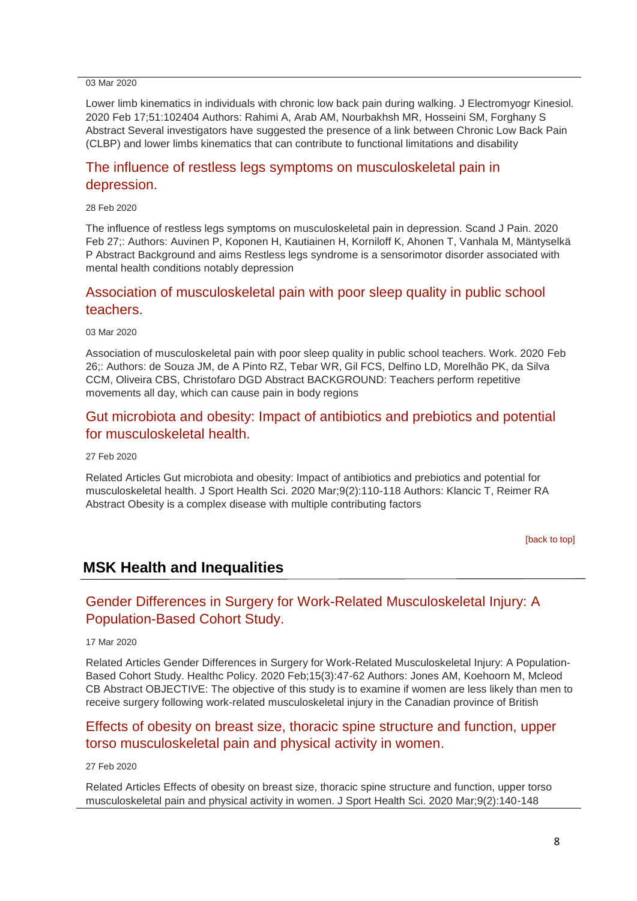03 Mar 2020

Lower limb kinematics in individuals with chronic low back pain during walking. J Electromyogr Kinesiol. 2020 Feb 17;51:102404 Authors: Rahimi A, Arab AM, Nourbakhsh MR, Hosseini SM, Forghany S Abstract Several investigators have suggested the presence of a link between Chronic Low Back Pain (CLBP) and lower limbs kinematics that can contribute to functional limitations and disability

### [The influence of restless legs symptoms on musculoskeletal pain in](http://transit.linexsystems.com/track/click/30370861/ca.linexsystems.com?p=eyJzIjoibmtvLXZvczBEa0ZkbFRCNmwyM1NpcHpKU01vIiwidiI6MSwicCI6IntcInVcIjozMDM3MDg2MSxcInZcIjoxLFwidXJsXCI6XCJodHRwOlxcXC9cXFwvY2EubGluZXhzeXN0ZW1zLmNvbVxcXC9jb250ZW50c1xcXC90cmFuc2l0XFxcLzM2NDIxMDQ1NDU_dXNlcl9pZD00NDM1MTUmbG9nPTc5Y2ZhYjYyNGM2ZjAyMDU3MTQ2YzFjZGFkZmYyZWRmJnA9OTMyOTMzMjUmbT0xJmM9MzUyOTEwOTY3NSZvcmdfaWQ9MTc0ODFcIixcImlkXCI6XCIzMTZmODY5MDRhMTE0N2Y3ODcxZDgyZTE3YWVkOTczZlwiLFwidXJsX2lkc1wiOltcIjA1ZTliM2YxZjk4OTA1NGZlM2JjODI0YWQ4ZmExYjhmMWYyMzVkMTNcIl19In0)  [depression.](http://transit.linexsystems.com/track/click/30370861/ca.linexsystems.com?p=eyJzIjoibmtvLXZvczBEa0ZkbFRCNmwyM1NpcHpKU01vIiwidiI6MSwicCI6IntcInVcIjozMDM3MDg2MSxcInZcIjoxLFwidXJsXCI6XCJodHRwOlxcXC9cXFwvY2EubGluZXhzeXN0ZW1zLmNvbVxcXC9jb250ZW50c1xcXC90cmFuc2l0XFxcLzM2NDIxMDQ1NDU_dXNlcl9pZD00NDM1MTUmbG9nPTc5Y2ZhYjYyNGM2ZjAyMDU3MTQ2YzFjZGFkZmYyZWRmJnA9OTMyOTMzMjUmbT0xJmM9MzUyOTEwOTY3NSZvcmdfaWQ9MTc0ODFcIixcImlkXCI6XCIzMTZmODY5MDRhMTE0N2Y3ODcxZDgyZTE3YWVkOTczZlwiLFwidXJsX2lkc1wiOltcIjA1ZTliM2YxZjk4OTA1NGZlM2JjODI0YWQ4ZmExYjhmMWYyMzVkMTNcIl19In0)

28 Feb 2020

The influence of restless legs symptoms on musculoskeletal pain in depression. Scand J Pain. 2020 Feb 27;: Authors: Auvinen P, Koponen H, Kautiainen H, Korniloff K, Ahonen T, Vanhala M, Mäntyselkä P Abstract Background and aims Restless legs syndrome is a sensorimotor disorder associated with mental health conditions notably depression

### [Association of musculoskeletal pain with poor sleep quality in public school](http://transit.linexsystems.com/track/click/30370861/ca.linexsystems.com?p=eyJzIjoiZ1F1akVkSlQ2ck1aWnRfNGpRZy1wUGY2Z09zIiwidiI6MSwicCI6IntcInVcIjozMDM3MDg2MSxcInZcIjoxLFwidXJsXCI6XCJodHRwOlxcXC9cXFwvY2EubGluZXhzeXN0ZW1zLmNvbVxcXC9jb250ZW50c1xcXC90cmFuc2l0XFxcLzM2NDU1NDMwNjU_dXNlcl9pZD00NDM1MTUmbG9nPTc5Y2ZhYjYyNGM2ZjAyMDU3MTQ2YzFjZGFkZmYyZWRmJnA9OTMyOTMzMjUmbT0xJmM9MzUyOTEwODUyNSZvcmdfaWQ9MTc0ODFcIixcImlkXCI6XCIzMTZmODY5MDRhMTE0N2Y3ODcxZDgyZTE3YWVkOTczZlwiLFwidXJsX2lkc1wiOltcIjA1ZTliM2YxZjk4OTA1NGZlM2JjODI0YWQ4ZmExYjhmMWYyMzVkMTNcIl19In0)  [teachers.](http://transit.linexsystems.com/track/click/30370861/ca.linexsystems.com?p=eyJzIjoiZ1F1akVkSlQ2ck1aWnRfNGpRZy1wUGY2Z09zIiwidiI6MSwicCI6IntcInVcIjozMDM3MDg2MSxcInZcIjoxLFwidXJsXCI6XCJodHRwOlxcXC9cXFwvY2EubGluZXhzeXN0ZW1zLmNvbVxcXC9jb250ZW50c1xcXC90cmFuc2l0XFxcLzM2NDU1NDMwNjU_dXNlcl9pZD00NDM1MTUmbG9nPTc5Y2ZhYjYyNGM2ZjAyMDU3MTQ2YzFjZGFkZmYyZWRmJnA9OTMyOTMzMjUmbT0xJmM9MzUyOTEwODUyNSZvcmdfaWQ9MTc0ODFcIixcImlkXCI6XCIzMTZmODY5MDRhMTE0N2Y3ODcxZDgyZTE3YWVkOTczZlwiLFwidXJsX2lkc1wiOltcIjA1ZTliM2YxZjk4OTA1NGZlM2JjODI0YWQ4ZmExYjhmMWYyMzVkMTNcIl19In0)

03 Mar 2020

Association of musculoskeletal pain with poor sleep quality in public school teachers. Work. 2020 Feb 26;: Authors: de Souza JM, de A Pinto RZ, Tebar WR, Gil FCS, Delfino LD, Morelhão PK, da Silva CCM, Oliveira CBS, Christofaro DGD Abstract BACKGROUND: Teachers perform repetitive movements all day, which can cause pain in body regions

## [Gut microbiota and obesity: Impact of antibiotics and prebiotics and potential](http://transit.linexsystems.com/track/click/30370861/ca.linexsystems.com?p=eyJzIjoiT2U0S0hpQTJvekRKWjJPaURCYVF4R2xNUFJVIiwidiI6MSwicCI6IntcInVcIjozMDM3MDg2MSxcInZcIjoxLFwidXJsXCI6XCJodHRwOlxcXC9cXFwvY2EubGluZXhzeXN0ZW1zLmNvbVxcXC9jb250ZW50c1xcXC90cmFuc2l0XFxcLzM2NDA3Mzk4NjU_dXNlcl9pZD00NDM1MTUmbG9nPTc5Y2ZhYjYyNGM2ZjAyMDU3MTQ2YzFjZGFkZmYyZWRmJnA9OTMyOTMzMjUmbT0xJmM9MzUyOTEwOTY3NSZvcmdfaWQ9MTc0ODFcIixcImlkXCI6XCIzMTZmODY5MDRhMTE0N2Y3ODcxZDgyZTE3YWVkOTczZlwiLFwidXJsX2lkc1wiOltcIjA1ZTliM2YxZjk4OTA1NGZlM2JjODI0YWQ4ZmExYjhmMWYyMzVkMTNcIl19In0)  [for musculoskeletal health.](http://transit.linexsystems.com/track/click/30370861/ca.linexsystems.com?p=eyJzIjoiT2U0S0hpQTJvekRKWjJPaURCYVF4R2xNUFJVIiwidiI6MSwicCI6IntcInVcIjozMDM3MDg2MSxcInZcIjoxLFwidXJsXCI6XCJodHRwOlxcXC9cXFwvY2EubGluZXhzeXN0ZW1zLmNvbVxcXC9jb250ZW50c1xcXC90cmFuc2l0XFxcLzM2NDA3Mzk4NjU_dXNlcl9pZD00NDM1MTUmbG9nPTc5Y2ZhYjYyNGM2ZjAyMDU3MTQ2YzFjZGFkZmYyZWRmJnA9OTMyOTMzMjUmbT0xJmM9MzUyOTEwOTY3NSZvcmdfaWQ9MTc0ODFcIixcImlkXCI6XCIzMTZmODY5MDRhMTE0N2Y3ODcxZDgyZTE3YWVkOTczZlwiLFwidXJsX2lkc1wiOltcIjA1ZTliM2YxZjk4OTA1NGZlM2JjODI0YWQ4ZmExYjhmMWYyMzVkMTNcIl19In0)

27 Feb 2020

Related Articles Gut microbiota and obesity: Impact of antibiotics and prebiotics and potential for musculoskeletal health. J Sport Health Sci. 2020 Mar;9(2):110-118 Authors: Klancic T, Reimer RA Abstract Obesity is a complex disease with multiple contributing factors

[\[back to top\]](#page-0-1)

## **MSK Health and Inequalities**

## [Gender Differences in Surgery for Work-Related Musculoskeletal Injury: A](http://transit.linexsystems.com/track/click/30370861/ca.linexsystems.com?p=eyJzIjoiT3VTMk5yWUpNdUNBVENXTm1SYWJGb21BVllzIiwidiI6MSwicCI6IntcInVcIjozMDM3MDg2MSxcInZcIjoxLFwidXJsXCI6XCJodHRwOlxcXC9cXFwvY2EubGluZXhzeXN0ZW1zLmNvbVxcXC9jb250ZW50c1xcXC90cmFuc2l0XFxcLzM2NjA3ODY1NjU_dXNlcl9pZD00NDM1MTUmbG9nPTc5Y2ZhYjYyNGM2ZjAyMDU3MTQ2YzFjZGFkZmYyZWRmJnA9OTMyOTMzMjUmbT0xJmM9MzUyOTEwOTg3NSZvcmdfaWQ9MTc0ODFcIixcImlkXCI6XCIzMTZmODY5MDRhMTE0N2Y3ODcxZDgyZTE3YWVkOTczZlwiLFwidXJsX2lkc1wiOltcIjA1ZTliM2YxZjk4OTA1NGZlM2JjODI0YWQ4ZmExYjhmMWYyMzVkMTNcIl19In0)  [Population-Based Cohort Study.](http://transit.linexsystems.com/track/click/30370861/ca.linexsystems.com?p=eyJzIjoiT3VTMk5yWUpNdUNBVENXTm1SYWJGb21BVllzIiwidiI6MSwicCI6IntcInVcIjozMDM3MDg2MSxcInZcIjoxLFwidXJsXCI6XCJodHRwOlxcXC9cXFwvY2EubGluZXhzeXN0ZW1zLmNvbVxcXC9jb250ZW50c1xcXC90cmFuc2l0XFxcLzM2NjA3ODY1NjU_dXNlcl9pZD00NDM1MTUmbG9nPTc5Y2ZhYjYyNGM2ZjAyMDU3MTQ2YzFjZGFkZmYyZWRmJnA9OTMyOTMzMjUmbT0xJmM9MzUyOTEwOTg3NSZvcmdfaWQ9MTc0ODFcIixcImlkXCI6XCIzMTZmODY5MDRhMTE0N2Y3ODcxZDgyZTE3YWVkOTczZlwiLFwidXJsX2lkc1wiOltcIjA1ZTliM2YxZjk4OTA1NGZlM2JjODI0YWQ4ZmExYjhmMWYyMzVkMTNcIl19In0)

17 Mar 2020

Related Articles Gender Differences in Surgery for Work-Related Musculoskeletal Injury: A Population-Based Cohort Study. Healthc Policy. 2020 Feb;15(3):47-62 Authors: Jones AM, Koehoorn M, Mcleod CB Abstract OBJECTIVE: The objective of this study is to examine if women are less likely than men to receive surgery following work-related musculoskeletal injury in the Canadian province of British

## [Effects of obesity on breast size, thoracic spine structure and function, upper](http://transit.linexsystems.com/track/click/30370861/ca.linexsystems.com?p=eyJzIjoiV2ZMdVcwQ1VFV2F5blV0TXNXMlg5bzRiakhBIiwidiI6MSwicCI6IntcInVcIjozMDM3MDg2MSxcInZcIjoxLFwidXJsXCI6XCJodHRwOlxcXC9cXFwvY2EubGluZXhzeXN0ZW1zLmNvbVxcXC9jb250ZW50c1xcXC90cmFuc2l0XFxcLzM2NDA3Mzk4NzU_dXNlcl9pZD00NDM1MTUmbG9nPTc5Y2ZhYjYyNGM2ZjAyMDU3MTQ2YzFjZGFkZmYyZWRmJnA9OTMyOTMzMjUmbT0xJmM9MzUyOTEwODUyNSZvcmdfaWQ9MTc0ODFcIixcImlkXCI6XCIzMTZmODY5MDRhMTE0N2Y3ODcxZDgyZTE3YWVkOTczZlwiLFwidXJsX2lkc1wiOltcIjA1ZTliM2YxZjk4OTA1NGZlM2JjODI0YWQ4ZmExYjhmMWYyMzVkMTNcIl19In0)  [torso musculoskeletal pain and physical activity in women.](http://transit.linexsystems.com/track/click/30370861/ca.linexsystems.com?p=eyJzIjoiV2ZMdVcwQ1VFV2F5blV0TXNXMlg5bzRiakhBIiwidiI6MSwicCI6IntcInVcIjozMDM3MDg2MSxcInZcIjoxLFwidXJsXCI6XCJodHRwOlxcXC9cXFwvY2EubGluZXhzeXN0ZW1zLmNvbVxcXC9jb250ZW50c1xcXC90cmFuc2l0XFxcLzM2NDA3Mzk4NzU_dXNlcl9pZD00NDM1MTUmbG9nPTc5Y2ZhYjYyNGM2ZjAyMDU3MTQ2YzFjZGFkZmYyZWRmJnA9OTMyOTMzMjUmbT0xJmM9MzUyOTEwODUyNSZvcmdfaWQ9MTc0ODFcIixcImlkXCI6XCIzMTZmODY5MDRhMTE0N2Y3ODcxZDgyZTE3YWVkOTczZlwiLFwidXJsX2lkc1wiOltcIjA1ZTliM2YxZjk4OTA1NGZlM2JjODI0YWQ4ZmExYjhmMWYyMzVkMTNcIl19In0)

### 27 Feb 2020

Related Articles Effects of obesity on breast size, thoracic spine structure and function, upper torso musculoskeletal pain and physical activity in women. J Sport Health Sci. 2020 Mar;9(2):140-148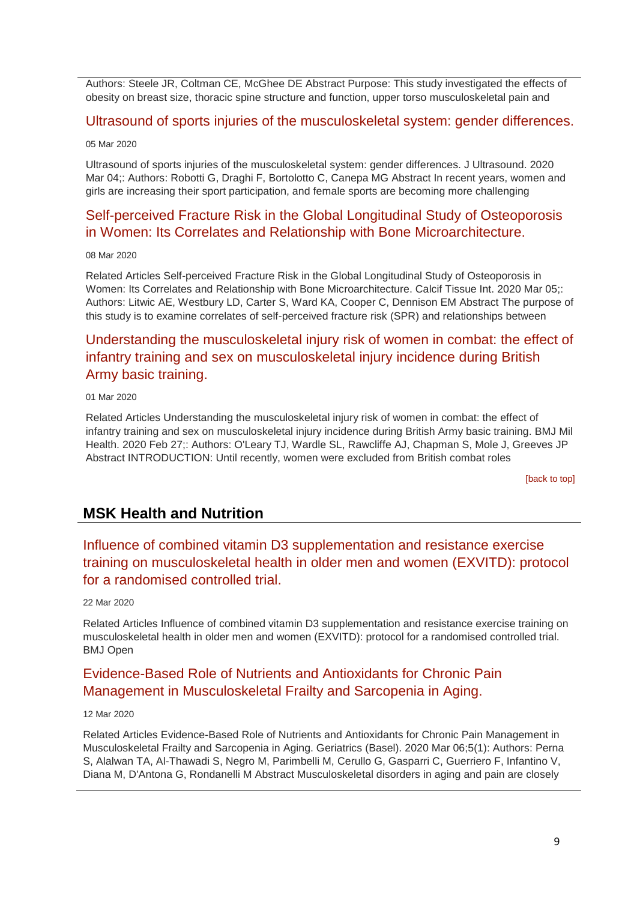Authors: Steele JR, Coltman CE, McGhee DE Abstract Purpose: This study investigated the effects of obesity on breast size, thoracic spine structure and function, upper torso musculoskeletal pain and

### [Ultrasound of sports injuries of the musculoskeletal system: gender differences.](http://transit.linexsystems.com/track/click/30370861/ca.linexsystems.com?p=eyJzIjoiOFV6QUFGRUo0Sk1mUnVFbnQwYjBaRHlZOEkwIiwidiI6MSwicCI6IntcInVcIjozMDM3MDg2MSxcInZcIjoxLFwidXJsXCI6XCJodHRwOlxcXC9cXFwvY2EubGluZXhzeXN0ZW1zLmNvbVxcXC9jb250ZW50c1xcXC90cmFuc2l0XFxcLzM2NDgyNTU1MjU_dXNlcl9pZD00NDM1MTUmbG9nPTc5Y2ZhYjYyNGM2ZjAyMDU3MTQ2YzFjZGFkZmYyZWRmJnA9OTMyOTMzMjUmbT0xJmM9MzUyOTEwODUyNSZvcmdfaWQ9MTc0ODFcIixcImlkXCI6XCIzMTZmODY5MDRhMTE0N2Y3ODcxZDgyZTE3YWVkOTczZlwiLFwidXJsX2lkc1wiOltcIjA1ZTliM2YxZjk4OTA1NGZlM2JjODI0YWQ4ZmExYjhmMWYyMzVkMTNcIl19In0)

#### 05 Mar 2020

Ultrasound of sports injuries of the musculoskeletal system: gender differences. J Ultrasound. 2020 Mar 04;: Authors: Robotti G, Draghi F, Bortolotto C, Canepa MG Abstract In recent years, women and girls are increasing their sport participation, and female sports are becoming more challenging

## [Self-perceived Fracture Risk in the Global Longitudinal Study of Osteoporosis](http://transit.linexsystems.com/track/click/30370861/ca.linexsystems.com?p=eyJzIjoib05iUXYzdnR6ZktDYmNvdWZISmt0YUZHVzJzIiwidiI6MSwicCI6IntcInVcIjozMDM3MDg2MSxcInZcIjoxLFwidXJsXCI6XCJodHRwOlxcXC9cXFwvY2EubGluZXhzeXN0ZW1zLmNvbVxcXC9jb250ZW50c1xcXC90cmFuc2l0XFxcLzM2NTA3NDQxMDU_dXNlcl9pZD00NDM1MTUmbG9nPTc5Y2ZhYjYyNGM2ZjAyMDU3MTQ2YzFjZGFkZmYyZWRmJnA9OTMyOTMzMjUmbT0xJmM9MzUyOTEwODkxNSZvcmdfaWQ9MTc0ODFcIixcImlkXCI6XCIzMTZmODY5MDRhMTE0N2Y3ODcxZDgyZTE3YWVkOTczZlwiLFwidXJsX2lkc1wiOltcIjA1ZTliM2YxZjk4OTA1NGZlM2JjODI0YWQ4ZmExYjhmMWYyMzVkMTNcIl19In0)  [in Women: Its Correlates and Relationship with Bone Microarchitecture.](http://transit.linexsystems.com/track/click/30370861/ca.linexsystems.com?p=eyJzIjoib05iUXYzdnR6ZktDYmNvdWZISmt0YUZHVzJzIiwidiI6MSwicCI6IntcInVcIjozMDM3MDg2MSxcInZcIjoxLFwidXJsXCI6XCJodHRwOlxcXC9cXFwvY2EubGluZXhzeXN0ZW1zLmNvbVxcXC9jb250ZW50c1xcXC90cmFuc2l0XFxcLzM2NTA3NDQxMDU_dXNlcl9pZD00NDM1MTUmbG9nPTc5Y2ZhYjYyNGM2ZjAyMDU3MTQ2YzFjZGFkZmYyZWRmJnA9OTMyOTMzMjUmbT0xJmM9MzUyOTEwODkxNSZvcmdfaWQ9MTc0ODFcIixcImlkXCI6XCIzMTZmODY5MDRhMTE0N2Y3ODcxZDgyZTE3YWVkOTczZlwiLFwidXJsX2lkc1wiOltcIjA1ZTliM2YxZjk4OTA1NGZlM2JjODI0YWQ4ZmExYjhmMWYyMzVkMTNcIl19In0)

#### 08 Mar 2020

Related Articles Self-perceived Fracture Risk in the Global Longitudinal Study of Osteoporosis in Women: Its Correlates and Relationship with Bone Microarchitecture. Calcif Tissue Int. 2020 Mar 05;: Authors: Litwic AE, Westbury LD, Carter S, Ward KA, Cooper C, Dennison EM Abstract The purpose of this study is to examine correlates of self-perceived fracture risk (SPR) and relationships between

## [Understanding the musculoskeletal injury risk of women in combat: the effect of](http://transit.linexsystems.com/track/click/30370861/ca.linexsystems.com?p=eyJzIjoiYVMzTjlIWlhJdWJ4Z2g2Q1NxQklLR2VBZ2xBIiwidiI6MSwicCI6IntcInVcIjozMDM3MDg2MSxcInZcIjoxLFwidXJsXCI6XCJodHRwOlxcXC9cXFwvY2EubGluZXhzeXN0ZW1zLmNvbVxcXC9jb250ZW50c1xcXC90cmFuc2l0XFxcLzM2NDM0OTM1OTU_dXNlcl9pZD00NDM1MTUmbG9nPTc5Y2ZhYjYyNGM2ZjAyMDU3MTQ2YzFjZGFkZmYyZWRmJnA9OTMyOTMzMjUmbT0xJmM9MzUyOTEwODkxNSZvcmdfaWQ9MTc0ODFcIixcImlkXCI6XCIzMTZmODY5MDRhMTE0N2Y3ODcxZDgyZTE3YWVkOTczZlwiLFwidXJsX2lkc1wiOltcIjA1ZTliM2YxZjk4OTA1NGZlM2JjODI0YWQ4ZmExYjhmMWYyMzVkMTNcIl19In0)  [infantry training and sex on musculoskeletal injury incidence during British](http://transit.linexsystems.com/track/click/30370861/ca.linexsystems.com?p=eyJzIjoiYVMzTjlIWlhJdWJ4Z2g2Q1NxQklLR2VBZ2xBIiwidiI6MSwicCI6IntcInVcIjozMDM3MDg2MSxcInZcIjoxLFwidXJsXCI6XCJodHRwOlxcXC9cXFwvY2EubGluZXhzeXN0ZW1zLmNvbVxcXC9jb250ZW50c1xcXC90cmFuc2l0XFxcLzM2NDM0OTM1OTU_dXNlcl9pZD00NDM1MTUmbG9nPTc5Y2ZhYjYyNGM2ZjAyMDU3MTQ2YzFjZGFkZmYyZWRmJnA9OTMyOTMzMjUmbT0xJmM9MzUyOTEwODkxNSZvcmdfaWQ9MTc0ODFcIixcImlkXCI6XCIzMTZmODY5MDRhMTE0N2Y3ODcxZDgyZTE3YWVkOTczZlwiLFwidXJsX2lkc1wiOltcIjA1ZTliM2YxZjk4OTA1NGZlM2JjODI0YWQ4ZmExYjhmMWYyMzVkMTNcIl19In0) [Army basic training.](http://transit.linexsystems.com/track/click/30370861/ca.linexsystems.com?p=eyJzIjoiYVMzTjlIWlhJdWJ4Z2g2Q1NxQklLR2VBZ2xBIiwidiI6MSwicCI6IntcInVcIjozMDM3MDg2MSxcInZcIjoxLFwidXJsXCI6XCJodHRwOlxcXC9cXFwvY2EubGluZXhzeXN0ZW1zLmNvbVxcXC9jb250ZW50c1xcXC90cmFuc2l0XFxcLzM2NDM0OTM1OTU_dXNlcl9pZD00NDM1MTUmbG9nPTc5Y2ZhYjYyNGM2ZjAyMDU3MTQ2YzFjZGFkZmYyZWRmJnA9OTMyOTMzMjUmbT0xJmM9MzUyOTEwODkxNSZvcmdfaWQ9MTc0ODFcIixcImlkXCI6XCIzMTZmODY5MDRhMTE0N2Y3ODcxZDgyZTE3YWVkOTczZlwiLFwidXJsX2lkc1wiOltcIjA1ZTliM2YxZjk4OTA1NGZlM2JjODI0YWQ4ZmExYjhmMWYyMzVkMTNcIl19In0)

### 01 Mar 2020

Related Articles Understanding the musculoskeletal injury risk of women in combat: the effect of infantry training and sex on musculoskeletal injury incidence during British Army basic training. BMJ Mil Health. 2020 Feb 27;: Authors: O'Leary TJ, Wardle SL, Rawcliffe AJ, Chapman S, Mole J, Greeves JP Abstract INTRODUCTION: Until recently, women were excluded from British combat roles

[\[back to top\]](#page-0-1)

## **MSK Health and Nutrition**

## [Influence of combined vitamin D3 supplementation and resistance exercise](http://transit.linexsystems.com/track/click/30370861/ca.linexsystems.com?p=eyJzIjoid1E5U3lQRk5NX1MxVzd5OE1qdjFvY3E3QWFRIiwidiI6MSwicCI6IntcInVcIjozMDM3MDg2MSxcInZcIjoxLFwidXJsXCI6XCJodHRwOlxcXC9cXFwvY2EubGluZXhzeXN0ZW1zLmNvbVxcXC9jb250ZW50c1xcXC90cmFuc2l0XFxcLzM2NjYyNzc3MzU_dXNlcl9pZD00NDM1MTUmbG9nPTc5Y2ZhYjYyNGM2ZjAyMDU3MTQ2YzFjZGFkZmYyZWRmJnA9OTMyOTMzMjUmbT0xJmM9MzUyOTEwODUyNSZvcmdfaWQ9MTc0ODFcIixcImlkXCI6XCIzMTZmODY5MDRhMTE0N2Y3ODcxZDgyZTE3YWVkOTczZlwiLFwidXJsX2lkc1wiOltcIjA1ZTliM2YxZjk4OTA1NGZlM2JjODI0YWQ4ZmExYjhmMWYyMzVkMTNcIl19In0)  [training on musculoskeletal health in older men and women \(EXVITD\): protocol](http://transit.linexsystems.com/track/click/30370861/ca.linexsystems.com?p=eyJzIjoid1E5U3lQRk5NX1MxVzd5OE1qdjFvY3E3QWFRIiwidiI6MSwicCI6IntcInVcIjozMDM3MDg2MSxcInZcIjoxLFwidXJsXCI6XCJodHRwOlxcXC9cXFwvY2EubGluZXhzeXN0ZW1zLmNvbVxcXC9jb250ZW50c1xcXC90cmFuc2l0XFxcLzM2NjYyNzc3MzU_dXNlcl9pZD00NDM1MTUmbG9nPTc5Y2ZhYjYyNGM2ZjAyMDU3MTQ2YzFjZGFkZmYyZWRmJnA9OTMyOTMzMjUmbT0xJmM9MzUyOTEwODUyNSZvcmdfaWQ9MTc0ODFcIixcImlkXCI6XCIzMTZmODY5MDRhMTE0N2Y3ODcxZDgyZTE3YWVkOTczZlwiLFwidXJsX2lkc1wiOltcIjA1ZTliM2YxZjk4OTA1NGZlM2JjODI0YWQ4ZmExYjhmMWYyMzVkMTNcIl19In0)  [for a randomised controlled trial.](http://transit.linexsystems.com/track/click/30370861/ca.linexsystems.com?p=eyJzIjoid1E5U3lQRk5NX1MxVzd5OE1qdjFvY3E3QWFRIiwidiI6MSwicCI6IntcInVcIjozMDM3MDg2MSxcInZcIjoxLFwidXJsXCI6XCJodHRwOlxcXC9cXFwvY2EubGluZXhzeXN0ZW1zLmNvbVxcXC9jb250ZW50c1xcXC90cmFuc2l0XFxcLzM2NjYyNzc3MzU_dXNlcl9pZD00NDM1MTUmbG9nPTc5Y2ZhYjYyNGM2ZjAyMDU3MTQ2YzFjZGFkZmYyZWRmJnA9OTMyOTMzMjUmbT0xJmM9MzUyOTEwODUyNSZvcmdfaWQ9MTc0ODFcIixcImlkXCI6XCIzMTZmODY5MDRhMTE0N2Y3ODcxZDgyZTE3YWVkOTczZlwiLFwidXJsX2lkc1wiOltcIjA1ZTliM2YxZjk4OTA1NGZlM2JjODI0YWQ4ZmExYjhmMWYyMzVkMTNcIl19In0)

### 22 Mar 2020

Related Articles Influence of combined vitamin D3 supplementation and resistance exercise training on musculoskeletal health in older men and women (EXVITD): protocol for a randomised controlled trial. BMJ Open

## [Evidence-Based Role of Nutrients and Antioxidants for Chronic Pain](http://transit.linexsystems.com/track/click/30370861/ca.linexsystems.com?p=eyJzIjoiSjN4MXBSNnVUMmoydDRCYTVRWVl4NWMwOE84IiwidiI6MSwicCI6IntcInVcIjozMDM3MDg2MSxcInZcIjoxLFwidXJsXCI6XCJodHRwOlxcXC9cXFwvY2EubGluZXhzeXN0ZW1zLmNvbVxcXC9jb250ZW50c1xcXC90cmFuc2l0XFxcLzM2NTU1OTg0NDU_dXNlcl9pZD00NDM1MTUmbG9nPTc5Y2ZhYjYyNGM2ZjAyMDU3MTQ2YzFjZGFkZmYyZWRmJnA9OTMyOTMzMjUmbT0xJmM9MzUyOTEwODUyNSZvcmdfaWQ9MTc0ODFcIixcImlkXCI6XCIzMTZmODY5MDRhMTE0N2Y3ODcxZDgyZTE3YWVkOTczZlwiLFwidXJsX2lkc1wiOltcIjA1ZTliM2YxZjk4OTA1NGZlM2JjODI0YWQ4ZmExYjhmMWYyMzVkMTNcIl19In0)  [Management in Musculoskeletal Frailty and Sarcopenia in Aging.](http://transit.linexsystems.com/track/click/30370861/ca.linexsystems.com?p=eyJzIjoiSjN4MXBSNnVUMmoydDRCYTVRWVl4NWMwOE84IiwidiI6MSwicCI6IntcInVcIjozMDM3MDg2MSxcInZcIjoxLFwidXJsXCI6XCJodHRwOlxcXC9cXFwvY2EubGluZXhzeXN0ZW1zLmNvbVxcXC9jb250ZW50c1xcXC90cmFuc2l0XFxcLzM2NTU1OTg0NDU_dXNlcl9pZD00NDM1MTUmbG9nPTc5Y2ZhYjYyNGM2ZjAyMDU3MTQ2YzFjZGFkZmYyZWRmJnA9OTMyOTMzMjUmbT0xJmM9MzUyOTEwODUyNSZvcmdfaWQ9MTc0ODFcIixcImlkXCI6XCIzMTZmODY5MDRhMTE0N2Y3ODcxZDgyZTE3YWVkOTczZlwiLFwidXJsX2lkc1wiOltcIjA1ZTliM2YxZjk4OTA1NGZlM2JjODI0YWQ4ZmExYjhmMWYyMzVkMTNcIl19In0)

### 12 Mar 2020

Related Articles Evidence-Based Role of Nutrients and Antioxidants for Chronic Pain Management in Musculoskeletal Frailty and Sarcopenia in Aging. Geriatrics (Basel). 2020 Mar 06;5(1): Authors: Perna S, Alalwan TA, Al-Thawadi S, Negro M, Parimbelli M, Cerullo G, Gasparri C, Guerriero F, Infantino V, Diana M, D'Antona G, Rondanelli M Abstract Musculoskeletal disorders in aging and pain are closely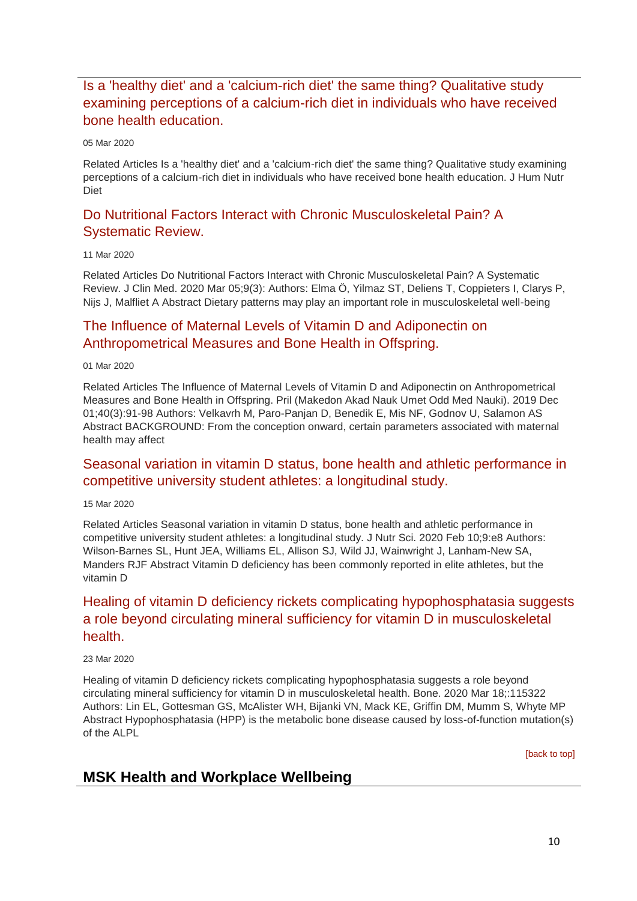## [Is a 'healthy diet' and a 'calcium-rich diet' the same thing? Qualitative study](http://transit.linexsystems.com/track/click/30370861/ca.linexsystems.com?p=eyJzIjoickR0MUNJWlNWeXJ0bjhaZ3l0Y0p6cWN4aDNvIiwidiI6MSwicCI6IntcInVcIjozMDM3MDg2MSxcInZcIjoxLFwidXJsXCI6XCJodHRwOlxcXC9cXFwvY2EubGluZXhzeXN0ZW1zLmNvbVxcXC9jb250ZW50c1xcXC90cmFuc2l0XFxcLzM2NDgyNTUzMzU_dXNlcl9pZD00NDM1MTUmbG9nPTc5Y2ZhYjYyNGM2ZjAyMDU3MTQ2YzFjZGFkZmYyZWRmJnA9OTMyOTMzMjUmbT0xJmM9MzUyOTExMDAyNSZvcmdfaWQ9MTc0ODFcIixcImlkXCI6XCIzMTZmODY5MDRhMTE0N2Y3ODcxZDgyZTE3YWVkOTczZlwiLFwidXJsX2lkc1wiOltcIjA1ZTliM2YxZjk4OTA1NGZlM2JjODI0YWQ4ZmExYjhmMWYyMzVkMTNcIl19In0)  [examining perceptions of a calcium-rich diet in individuals who have received](http://transit.linexsystems.com/track/click/30370861/ca.linexsystems.com?p=eyJzIjoickR0MUNJWlNWeXJ0bjhaZ3l0Y0p6cWN4aDNvIiwidiI6MSwicCI6IntcInVcIjozMDM3MDg2MSxcInZcIjoxLFwidXJsXCI6XCJodHRwOlxcXC9cXFwvY2EubGluZXhzeXN0ZW1zLmNvbVxcXC9jb250ZW50c1xcXC90cmFuc2l0XFxcLzM2NDgyNTUzMzU_dXNlcl9pZD00NDM1MTUmbG9nPTc5Y2ZhYjYyNGM2ZjAyMDU3MTQ2YzFjZGFkZmYyZWRmJnA9OTMyOTMzMjUmbT0xJmM9MzUyOTExMDAyNSZvcmdfaWQ9MTc0ODFcIixcImlkXCI6XCIzMTZmODY5MDRhMTE0N2Y3ODcxZDgyZTE3YWVkOTczZlwiLFwidXJsX2lkc1wiOltcIjA1ZTliM2YxZjk4OTA1NGZlM2JjODI0YWQ4ZmExYjhmMWYyMzVkMTNcIl19In0)  [bone health education.](http://transit.linexsystems.com/track/click/30370861/ca.linexsystems.com?p=eyJzIjoickR0MUNJWlNWeXJ0bjhaZ3l0Y0p6cWN4aDNvIiwidiI6MSwicCI6IntcInVcIjozMDM3MDg2MSxcInZcIjoxLFwidXJsXCI6XCJodHRwOlxcXC9cXFwvY2EubGluZXhzeXN0ZW1zLmNvbVxcXC9jb250ZW50c1xcXC90cmFuc2l0XFxcLzM2NDgyNTUzMzU_dXNlcl9pZD00NDM1MTUmbG9nPTc5Y2ZhYjYyNGM2ZjAyMDU3MTQ2YzFjZGFkZmYyZWRmJnA9OTMyOTMzMjUmbT0xJmM9MzUyOTExMDAyNSZvcmdfaWQ9MTc0ODFcIixcImlkXCI6XCIzMTZmODY5MDRhMTE0N2Y3ODcxZDgyZTE3YWVkOTczZlwiLFwidXJsX2lkc1wiOltcIjA1ZTliM2YxZjk4OTA1NGZlM2JjODI0YWQ4ZmExYjhmMWYyMzVkMTNcIl19In0)

#### 05 Mar 2020

Related Articles Is a 'healthy diet' and a 'calcium-rich diet' the same thing? Qualitative study examining perceptions of a calcium-rich diet in individuals who have received bone health education. J Hum Nutr Diet

## [Do Nutritional Factors Interact with Chronic Musculoskeletal Pain? A](http://transit.linexsystems.com/track/click/30370861/ca.linexsystems.com?p=eyJzIjoiTG5rUjhQaDhDVWtpalQwTzBsU2I1alliWDFBIiwidiI6MSwicCI6IntcInVcIjozMDM3MDg2MSxcInZcIjoxLFwidXJsXCI6XCJodHRwOlxcXC9cXFwvY2EubGluZXhzeXN0ZW1zLmNvbVxcXC9jb250ZW50c1xcXC90cmFuc2l0XFxcLzM2NTQyNDU2NjU_dXNlcl9pZD00NDM1MTUmbG9nPTc5Y2ZhYjYyNGM2ZjAyMDU3MTQ2YzFjZGFkZmYyZWRmJnA9OTMyOTMzMjUmbT0xJmM9MzUyOTEwODkxNSZvcmdfaWQ9MTc0ODFcIixcImlkXCI6XCIzMTZmODY5MDRhMTE0N2Y3ODcxZDgyZTE3YWVkOTczZlwiLFwidXJsX2lkc1wiOltcIjA1ZTliM2YxZjk4OTA1NGZlM2JjODI0YWQ4ZmExYjhmMWYyMzVkMTNcIl19In0)  [Systematic Review.](http://transit.linexsystems.com/track/click/30370861/ca.linexsystems.com?p=eyJzIjoiTG5rUjhQaDhDVWtpalQwTzBsU2I1alliWDFBIiwidiI6MSwicCI6IntcInVcIjozMDM3MDg2MSxcInZcIjoxLFwidXJsXCI6XCJodHRwOlxcXC9cXFwvY2EubGluZXhzeXN0ZW1zLmNvbVxcXC9jb250ZW50c1xcXC90cmFuc2l0XFxcLzM2NTQyNDU2NjU_dXNlcl9pZD00NDM1MTUmbG9nPTc5Y2ZhYjYyNGM2ZjAyMDU3MTQ2YzFjZGFkZmYyZWRmJnA9OTMyOTMzMjUmbT0xJmM9MzUyOTEwODkxNSZvcmdfaWQ9MTc0ODFcIixcImlkXCI6XCIzMTZmODY5MDRhMTE0N2Y3ODcxZDgyZTE3YWVkOTczZlwiLFwidXJsX2lkc1wiOltcIjA1ZTliM2YxZjk4OTA1NGZlM2JjODI0YWQ4ZmExYjhmMWYyMzVkMTNcIl19In0)

### 11 Mar 2020

Related Articles Do Nutritional Factors Interact with Chronic Musculoskeletal Pain? A Systematic Review. J Clin Med. 2020 Mar 05;9(3): Authors: Elma Ö, Yilmaz ST, Deliens T, Coppieters I, Clarys P, Nijs J, Malfliet A Abstract Dietary patterns may play an important role in musculoskeletal well-being

## [The Influence of Maternal Levels of Vitamin D and Adiponectin on](http://transit.linexsystems.com/track/click/30370861/ca.linexsystems.com?p=eyJzIjoiUURNSEVQVWNHZGxmX2hQSHpUM05YUlN0dkxNIiwidiI6MSwicCI6IntcInVcIjozMDM3MDg2MSxcInZcIjoxLFwidXJsXCI6XCJodHRwOlxcXC9cXFwvY2EubGluZXhzeXN0ZW1zLmNvbVxcXC9jb250ZW50c1xcXC90cmFuc2l0XFxcLzM2NDMxOTU1NTU_dXNlcl9pZD00NDM1MTUmbG9nPTc5Y2ZhYjYyNGM2ZjAyMDU3MTQ2YzFjZGFkZmYyZWRmJnA9OTMyOTMzMjUmbT0xJmM9MzUyOTExMDAyNSZvcmdfaWQ9MTc0ODFcIixcImlkXCI6XCIzMTZmODY5MDRhMTE0N2Y3ODcxZDgyZTE3YWVkOTczZlwiLFwidXJsX2lkc1wiOltcIjA1ZTliM2YxZjk4OTA1NGZlM2JjODI0YWQ4ZmExYjhmMWYyMzVkMTNcIl19In0)  [Anthropometrical Measures and Bone Health in Offspring.](http://transit.linexsystems.com/track/click/30370861/ca.linexsystems.com?p=eyJzIjoiUURNSEVQVWNHZGxmX2hQSHpUM05YUlN0dkxNIiwidiI6MSwicCI6IntcInVcIjozMDM3MDg2MSxcInZcIjoxLFwidXJsXCI6XCJodHRwOlxcXC9cXFwvY2EubGluZXhzeXN0ZW1zLmNvbVxcXC9jb250ZW50c1xcXC90cmFuc2l0XFxcLzM2NDMxOTU1NTU_dXNlcl9pZD00NDM1MTUmbG9nPTc5Y2ZhYjYyNGM2ZjAyMDU3MTQ2YzFjZGFkZmYyZWRmJnA9OTMyOTMzMjUmbT0xJmM9MzUyOTExMDAyNSZvcmdfaWQ9MTc0ODFcIixcImlkXCI6XCIzMTZmODY5MDRhMTE0N2Y3ODcxZDgyZTE3YWVkOTczZlwiLFwidXJsX2lkc1wiOltcIjA1ZTliM2YxZjk4OTA1NGZlM2JjODI0YWQ4ZmExYjhmMWYyMzVkMTNcIl19In0)

01 Mar 2020

Related Articles The Influence of Maternal Levels of Vitamin D and Adiponectin on Anthropometrical Measures and Bone Health in Offspring. Pril (Makedon Akad Nauk Umet Odd Med Nauki). 2019 Dec 01;40(3):91-98 Authors: Velkavrh M, Paro-Panjan D, Benedik E, Mis NF, Godnov U, Salamon AS Abstract BACKGROUND: From the conception onward, certain parameters associated with maternal health may affect

## [Seasonal variation in vitamin D status, bone health and athletic performance in](http://transit.linexsystems.com/track/click/30370861/ca.linexsystems.com?p=eyJzIjoiV1l6eGRmNnBPem1DelI0Z3F1dkRGT1pXUFZrIiwidiI6MSwicCI6IntcInVcIjozMDM3MDg2MSxcInZcIjoxLFwidXJsXCI6XCJodHRwOlxcXC9cXFwvY2EubGluZXhzeXN0ZW1zLmNvbVxcXC9jb250ZW50c1xcXC90cmFuc2l0XFxcLzM2NTgyMDI3MjU_dXNlcl9pZD00NDM1MTUmbG9nPTc5Y2ZhYjYyNGM2ZjAyMDU3MTQ2YzFjZGFkZmYyZWRmJnA9OTMyOTMzMjUmbT0xJmM9MzUyOTExMDAyNSZvcmdfaWQ9MTc0ODFcIixcImlkXCI6XCIzMTZmODY5MDRhMTE0N2Y3ODcxZDgyZTE3YWVkOTczZlwiLFwidXJsX2lkc1wiOltcIjA1ZTliM2YxZjk4OTA1NGZlM2JjODI0YWQ4ZmExYjhmMWYyMzVkMTNcIl19In0)  [competitive university student athletes: a longitudinal study.](http://transit.linexsystems.com/track/click/30370861/ca.linexsystems.com?p=eyJzIjoiV1l6eGRmNnBPem1DelI0Z3F1dkRGT1pXUFZrIiwidiI6MSwicCI6IntcInVcIjozMDM3MDg2MSxcInZcIjoxLFwidXJsXCI6XCJodHRwOlxcXC9cXFwvY2EubGluZXhzeXN0ZW1zLmNvbVxcXC9jb250ZW50c1xcXC90cmFuc2l0XFxcLzM2NTgyMDI3MjU_dXNlcl9pZD00NDM1MTUmbG9nPTc5Y2ZhYjYyNGM2ZjAyMDU3MTQ2YzFjZGFkZmYyZWRmJnA9OTMyOTMzMjUmbT0xJmM9MzUyOTExMDAyNSZvcmdfaWQ9MTc0ODFcIixcImlkXCI6XCIzMTZmODY5MDRhMTE0N2Y3ODcxZDgyZTE3YWVkOTczZlwiLFwidXJsX2lkc1wiOltcIjA1ZTliM2YxZjk4OTA1NGZlM2JjODI0YWQ4ZmExYjhmMWYyMzVkMTNcIl19In0)

15 Mar 2020

Related Articles Seasonal variation in vitamin D status, bone health and athletic performance in competitive university student athletes: a longitudinal study. J Nutr Sci. 2020 Feb 10;9:e8 Authors: Wilson-Barnes SL, Hunt JEA, Williams EL, Allison SJ, Wild JJ, Wainwright J, Lanham-New SA, Manders RJF Abstract Vitamin D deficiency has been commonly reported in elite athletes, but the vitamin D

## [Healing of vitamin D deficiency rickets complicating hypophosphatasia suggests](http://transit.linexsystems.com/track/click/30370861/ca.linexsystems.com?p=eyJzIjoiaXF5eDBJRjdvaGJRcHMySmdUbWJDUVU2ME93IiwidiI6MSwicCI6IntcInVcIjozMDM3MDg2MSxcInZcIjoxLFwidXJsXCI6XCJodHRwOlxcXC9cXFwvY2EubGluZXhzeXN0ZW1zLmNvbVxcXC9jb250ZW50c1xcXC90cmFuc2l0XFxcLzM2NjcyNzY1OTU_dXNlcl9pZD00NDM1MTUmbG9nPTc5Y2ZhYjYyNGM2ZjAyMDU3MTQ2YzFjZGFkZmYyZWRmJnA9OTMyOTMzMjUmbT0xJmM9MzUyOTExMDAyNSZvcmdfaWQ9MTc0ODFcIixcImlkXCI6XCIzMTZmODY5MDRhMTE0N2Y3ODcxZDgyZTE3YWVkOTczZlwiLFwidXJsX2lkc1wiOltcIjA1ZTliM2YxZjk4OTA1NGZlM2JjODI0YWQ4ZmExYjhmMWYyMzVkMTNcIl19In0)  [a role beyond circulating mineral sufficiency for vitamin D in musculoskeletal](http://transit.linexsystems.com/track/click/30370861/ca.linexsystems.com?p=eyJzIjoiaXF5eDBJRjdvaGJRcHMySmdUbWJDUVU2ME93IiwidiI6MSwicCI6IntcInVcIjozMDM3MDg2MSxcInZcIjoxLFwidXJsXCI6XCJodHRwOlxcXC9cXFwvY2EubGluZXhzeXN0ZW1zLmNvbVxcXC9jb250ZW50c1xcXC90cmFuc2l0XFxcLzM2NjcyNzY1OTU_dXNlcl9pZD00NDM1MTUmbG9nPTc5Y2ZhYjYyNGM2ZjAyMDU3MTQ2YzFjZGFkZmYyZWRmJnA9OTMyOTMzMjUmbT0xJmM9MzUyOTExMDAyNSZvcmdfaWQ9MTc0ODFcIixcImlkXCI6XCIzMTZmODY5MDRhMTE0N2Y3ODcxZDgyZTE3YWVkOTczZlwiLFwidXJsX2lkc1wiOltcIjA1ZTliM2YxZjk4OTA1NGZlM2JjODI0YWQ4ZmExYjhmMWYyMzVkMTNcIl19In0)  [health.](http://transit.linexsystems.com/track/click/30370861/ca.linexsystems.com?p=eyJzIjoiaXF5eDBJRjdvaGJRcHMySmdUbWJDUVU2ME93IiwidiI6MSwicCI6IntcInVcIjozMDM3MDg2MSxcInZcIjoxLFwidXJsXCI6XCJodHRwOlxcXC9cXFwvY2EubGluZXhzeXN0ZW1zLmNvbVxcXC9jb250ZW50c1xcXC90cmFuc2l0XFxcLzM2NjcyNzY1OTU_dXNlcl9pZD00NDM1MTUmbG9nPTc5Y2ZhYjYyNGM2ZjAyMDU3MTQ2YzFjZGFkZmYyZWRmJnA9OTMyOTMzMjUmbT0xJmM9MzUyOTExMDAyNSZvcmdfaWQ9MTc0ODFcIixcImlkXCI6XCIzMTZmODY5MDRhMTE0N2Y3ODcxZDgyZTE3YWVkOTczZlwiLFwidXJsX2lkc1wiOltcIjA1ZTliM2YxZjk4OTA1NGZlM2JjODI0YWQ4ZmExYjhmMWYyMzVkMTNcIl19In0)

### 23 Mar 2020

Healing of vitamin D deficiency rickets complicating hypophosphatasia suggests a role beyond circulating mineral sufficiency for vitamin D in musculoskeletal health. Bone. 2020 Mar 18;:115322 Authors: Lin EL, Gottesman GS, McAlister WH, Bijanki VN, Mack KE, Griffin DM, Mumm S, Whyte MP Abstract Hypophosphatasia (HPP) is the metabolic bone disease caused by loss-of-function mutation(s) of the ALPL

[\[back to top\]](#page-0-1)

## <span id="page-9-0"></span>**MSK Health and Workplace Wellbeing**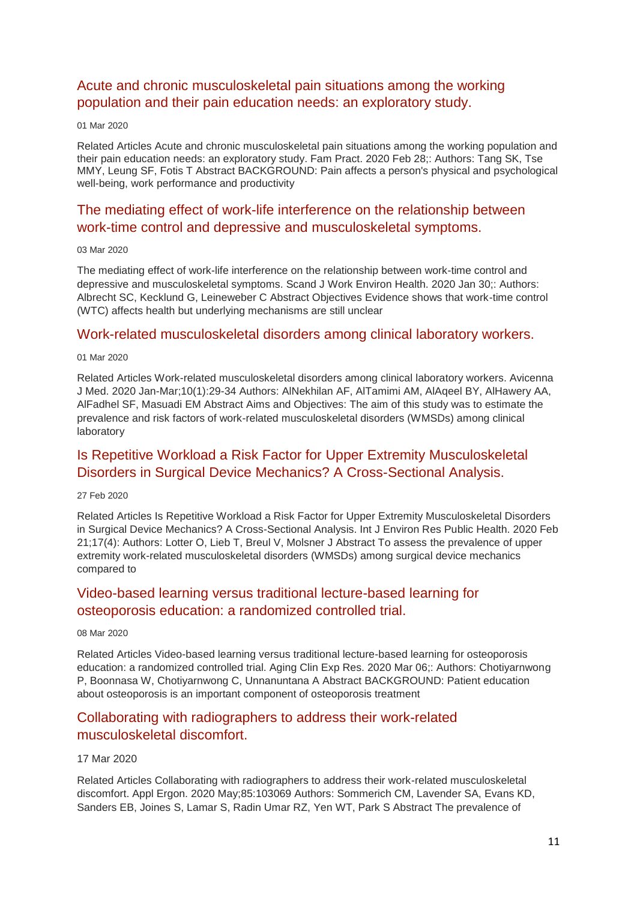## [Acute and chronic musculoskeletal pain situations among the working](http://transit.linexsystems.com/track/click/30370861/ca.linexsystems.com?p=eyJzIjoidzJTc3ozVzZMMmQzNUdsV0JnS3ZwNHBOUUE4IiwidiI6MSwicCI6IntcInVcIjozMDM3MDg2MSxcInZcIjoxLFwidXJsXCI6XCJodHRwOlxcXC9cXFwvY2EubGluZXhzeXN0ZW1zLmNvbVxcXC9jb250ZW50c1xcXC90cmFuc2l0XFxcLzM2NDMxOTQ4OTU_dXNlcl9pZD00NDM1MTUmbG9nPTc5Y2ZhYjYyNGM2ZjAyMDU3MTQ2YzFjZGFkZmYyZWRmJnA9OTMyOTMzMjUmbT0xJmM9MzUyOTEwODUyNSZvcmdfaWQ9MTc0ODFcIixcImlkXCI6XCIzMTZmODY5MDRhMTE0N2Y3ODcxZDgyZTE3YWVkOTczZlwiLFwidXJsX2lkc1wiOltcIjA1ZTliM2YxZjk4OTA1NGZlM2JjODI0YWQ4ZmExYjhmMWYyMzVkMTNcIl19In0)  [population and their pain education needs: an exploratory study.](http://transit.linexsystems.com/track/click/30370861/ca.linexsystems.com?p=eyJzIjoidzJTc3ozVzZMMmQzNUdsV0JnS3ZwNHBOUUE4IiwidiI6MSwicCI6IntcInVcIjozMDM3MDg2MSxcInZcIjoxLFwidXJsXCI6XCJodHRwOlxcXC9cXFwvY2EubGluZXhzeXN0ZW1zLmNvbVxcXC9jb250ZW50c1xcXC90cmFuc2l0XFxcLzM2NDMxOTQ4OTU_dXNlcl9pZD00NDM1MTUmbG9nPTc5Y2ZhYjYyNGM2ZjAyMDU3MTQ2YzFjZGFkZmYyZWRmJnA9OTMyOTMzMjUmbT0xJmM9MzUyOTEwODUyNSZvcmdfaWQ9MTc0ODFcIixcImlkXCI6XCIzMTZmODY5MDRhMTE0N2Y3ODcxZDgyZTE3YWVkOTczZlwiLFwidXJsX2lkc1wiOltcIjA1ZTliM2YxZjk4OTA1NGZlM2JjODI0YWQ4ZmExYjhmMWYyMzVkMTNcIl19In0)

#### 01 Mar 2020

Related Articles Acute and chronic musculoskeletal pain situations among the working population and their pain education needs: an exploratory study. Fam Pract. 2020 Feb 28;: Authors: Tang SK, Tse MMY, Leung SF, Fotis T Abstract BACKGROUND: Pain affects a person's physical and psychological well-being, work performance and productivity

## [The mediating effect of work-life interference on the relationship between](http://transit.linexsystems.com/track/click/30370861/ca.linexsystems.com?p=eyJzIjoidlZOaEdYTWtwWW0zdHhJc0FJNTNzUjdBdlRVIiwidiI6MSwicCI6IntcInVcIjozMDM3MDg2MSxcInZcIjoxLFwidXJsXCI6XCJodHRwOlxcXC9cXFwvY2EubGluZXhzeXN0ZW1zLmNvbVxcXC9jb250ZW50c1xcXC90cmFuc2l0XFxcLzM2NDU1NTExMzU_dXNlcl9pZD00NDM1MTUmbG9nPTc5Y2ZhYjYyNGM2ZjAyMDU3MTQ2YzFjZGFkZmYyZWRmJnA9OTMyOTMzMjUmbT0xJmM9MzUyOTExMTIyNSZvcmdfaWQ9MTc0ODFcIixcImlkXCI6XCIzMTZmODY5MDRhMTE0N2Y3ODcxZDgyZTE3YWVkOTczZlwiLFwidXJsX2lkc1wiOltcIjA1ZTliM2YxZjk4OTA1NGZlM2JjODI0YWQ4ZmExYjhmMWYyMzVkMTNcIl19In0)  [work-time control and depressive and musculoskeletal symptoms.](http://transit.linexsystems.com/track/click/30370861/ca.linexsystems.com?p=eyJzIjoidlZOaEdYTWtwWW0zdHhJc0FJNTNzUjdBdlRVIiwidiI6MSwicCI6IntcInVcIjozMDM3MDg2MSxcInZcIjoxLFwidXJsXCI6XCJodHRwOlxcXC9cXFwvY2EubGluZXhzeXN0ZW1zLmNvbVxcXC9jb250ZW50c1xcXC90cmFuc2l0XFxcLzM2NDU1NTExMzU_dXNlcl9pZD00NDM1MTUmbG9nPTc5Y2ZhYjYyNGM2ZjAyMDU3MTQ2YzFjZGFkZmYyZWRmJnA9OTMyOTMzMjUmbT0xJmM9MzUyOTExMTIyNSZvcmdfaWQ9MTc0ODFcIixcImlkXCI6XCIzMTZmODY5MDRhMTE0N2Y3ODcxZDgyZTE3YWVkOTczZlwiLFwidXJsX2lkc1wiOltcIjA1ZTliM2YxZjk4OTA1NGZlM2JjODI0YWQ4ZmExYjhmMWYyMzVkMTNcIl19In0)

#### 03 Mar 2020

The mediating effect of work-life interference on the relationship between work-time control and depressive and musculoskeletal symptoms. Scand J Work Environ Health. 2020 Jan 30;: Authors: Albrecht SC, Kecklund G, Leineweber C Abstract Objectives Evidence shows that work-time control (WTC) affects health but underlying mechanisms are still unclear

### [Work-related musculoskeletal disorders among clinical laboratory workers.](http://transit.linexsystems.com/track/click/30370861/ca.linexsystems.com?p=eyJzIjoiZFprcnVGOWF1Yk9wYjQwcU1GYUJlRWMxM000IiwidiI6MSwicCI6IntcInVcIjozMDM3MDg2MSxcInZcIjoxLFwidXJsXCI6XCJodHRwOlxcXC9cXFwvY2EubGluZXhzeXN0ZW1zLmNvbVxcXC9jb250ZW50c1xcXC90cmFuc2l0XFxcLzM2NDMxOTU4MjU_dXNlcl9pZD00NDM1MTUmbG9nPTc5Y2ZhYjYyNGM2ZjAyMDU3MTQ2YzFjZGFkZmYyZWRmJnA9OTMyOTMzMjUmbT0xJmM9MzUyOTExMTIyNSZvcmdfaWQ9MTc0ODFcIixcImlkXCI6XCIzMTZmODY5MDRhMTE0N2Y3ODcxZDgyZTE3YWVkOTczZlwiLFwidXJsX2lkc1wiOltcIjA1ZTliM2YxZjk4OTA1NGZlM2JjODI0YWQ4ZmExYjhmMWYyMzVkMTNcIl19In0)

### 01 Mar 2020

Related Articles Work-related musculoskeletal disorders among clinical laboratory workers. Avicenna J Med. 2020 Jan-Mar;10(1):29-34 Authors: AlNekhilan AF, AlTamimi AM, AlAqeel BY, AlHawery AA, AlFadhel SF, Masuadi EM Abstract Aims and Objectives: The aim of this study was to estimate the prevalence and risk factors of work-related musculoskeletal disorders (WMSDs) among clinical laboratory

## [Is Repetitive Workload a Risk Factor for Upper Extremity Musculoskeletal](http://transit.linexsystems.com/track/click/30370861/ca.linexsystems.com?p=eyJzIjoiZ0ZRV3VoMkNrRGJPQ19NMnZLekx0cGZ0ajhRIiwidiI6MSwicCI6IntcInVcIjozMDM3MDg2MSxcInZcIjoxLFwidXJsXCI6XCJodHRwOlxcXC9cXFwvY2EubGluZXhzeXN0ZW1zLmNvbVxcXC9jb250ZW50c1xcXC90cmFuc2l0XFxcLzM2NDA3Mzk2MzU_dXNlcl9pZD00NDM1MTUmbG9nPTc5Y2ZhYjYyNGM2ZjAyMDU3MTQ2YzFjZGFkZmYyZWRmJnA9OTMyOTMzMjUmbT0xJmM9MzUyOTEwODkxNSZvcmdfaWQ9MTc0ODFcIixcImlkXCI6XCIzMTZmODY5MDRhMTE0N2Y3ODcxZDgyZTE3YWVkOTczZlwiLFwidXJsX2lkc1wiOltcIjA1ZTliM2YxZjk4OTA1NGZlM2JjODI0YWQ4ZmExYjhmMWYyMzVkMTNcIl19In0)  [Disorders in Surgical Device Mechanics? A Cross-Sectional Analysis.](http://transit.linexsystems.com/track/click/30370861/ca.linexsystems.com?p=eyJzIjoiZ0ZRV3VoMkNrRGJPQ19NMnZLekx0cGZ0ajhRIiwidiI6MSwicCI6IntcInVcIjozMDM3MDg2MSxcInZcIjoxLFwidXJsXCI6XCJodHRwOlxcXC9cXFwvY2EubGluZXhzeXN0ZW1zLmNvbVxcXC9jb250ZW50c1xcXC90cmFuc2l0XFxcLzM2NDA3Mzk2MzU_dXNlcl9pZD00NDM1MTUmbG9nPTc5Y2ZhYjYyNGM2ZjAyMDU3MTQ2YzFjZGFkZmYyZWRmJnA9OTMyOTMzMjUmbT0xJmM9MzUyOTEwODkxNSZvcmdfaWQ9MTc0ODFcIixcImlkXCI6XCIzMTZmODY5MDRhMTE0N2Y3ODcxZDgyZTE3YWVkOTczZlwiLFwidXJsX2lkc1wiOltcIjA1ZTliM2YxZjk4OTA1NGZlM2JjODI0YWQ4ZmExYjhmMWYyMzVkMTNcIl19In0)

#### 27 Feb 2020

Related Articles Is Repetitive Workload a Risk Factor for Upper Extremity Musculoskeletal Disorders in Surgical Device Mechanics? A Cross-Sectional Analysis. Int J Environ Res Public Health. 2020 Feb 21;17(4): Authors: Lotter O, Lieb T, Breul V, Molsner J Abstract To assess the prevalence of upper extremity work-related musculoskeletal disorders (WMSDs) among surgical device mechanics compared to

## [Video-based learning versus traditional lecture-based learning for](http://transit.linexsystems.com/track/click/30370861/ca.linexsystems.com?p=eyJzIjoiTXpOWmlSeHI4a0dqY00zZzU4SU5HNVVQSkQ4IiwidiI6MSwicCI6IntcInVcIjozMDM3MDg2MSxcInZcIjoxLFwidXJsXCI6XCJodHRwOlxcXC9cXFwvY2EubGluZXhzeXN0ZW1zLmNvbVxcXC9jb250ZW50c1xcXC90cmFuc2l0XFxcLzM2NTA5NTc5ODU_dXNlcl9pZD00NDM1MTUmbG9nPTc5Y2ZhYjYyNGM2ZjAyMDU3MTQ2YzFjZGFkZmYyZWRmJnA9OTMyOTMzMjUmbT0xJmM9MzUyOTEwOTg3NSZvcmdfaWQ9MTc0ODFcIixcImlkXCI6XCIzMTZmODY5MDRhMTE0N2Y3ODcxZDgyZTE3YWVkOTczZlwiLFwidXJsX2lkc1wiOltcIjA1ZTliM2YxZjk4OTA1NGZlM2JjODI0YWQ4ZmExYjhmMWYyMzVkMTNcIl19In0)  [osteoporosis education: a randomized controlled trial.](http://transit.linexsystems.com/track/click/30370861/ca.linexsystems.com?p=eyJzIjoiTXpOWmlSeHI4a0dqY00zZzU4SU5HNVVQSkQ4IiwidiI6MSwicCI6IntcInVcIjozMDM3MDg2MSxcInZcIjoxLFwidXJsXCI6XCJodHRwOlxcXC9cXFwvY2EubGluZXhzeXN0ZW1zLmNvbVxcXC9jb250ZW50c1xcXC90cmFuc2l0XFxcLzM2NTA5NTc5ODU_dXNlcl9pZD00NDM1MTUmbG9nPTc5Y2ZhYjYyNGM2ZjAyMDU3MTQ2YzFjZGFkZmYyZWRmJnA9OTMyOTMzMjUmbT0xJmM9MzUyOTEwOTg3NSZvcmdfaWQ9MTc0ODFcIixcImlkXCI6XCIzMTZmODY5MDRhMTE0N2Y3ODcxZDgyZTE3YWVkOTczZlwiLFwidXJsX2lkc1wiOltcIjA1ZTliM2YxZjk4OTA1NGZlM2JjODI0YWQ4ZmExYjhmMWYyMzVkMTNcIl19In0)

#### 08 Mar 2020

Related Articles Video-based learning versus traditional lecture-based learning for osteoporosis education: a randomized controlled trial. Aging Clin Exp Res. 2020 Mar 06;: Authors: Chotiyarnwong P, Boonnasa W, Chotiyarnwong C, Unnanuntana A Abstract BACKGROUND: Patient education about osteoporosis is an important component of osteoporosis treatment

## [Collaborating with radiographers to address their work-related](http://transit.linexsystems.com/track/click/30370861/ca.linexsystems.com?p=eyJzIjoibXhUT0sycmtwa0FsN1R4bkY0b0Vqd2FyYUowIiwidiI6MSwicCI6IntcInVcIjozMDM3MDg2MSxcInZcIjoxLFwidXJsXCI6XCJodHRwOlxcXC9cXFwvY2EubGluZXhzeXN0ZW1zLmNvbVxcXC9jb250ZW50c1xcXC90cmFuc2l0XFxcLzM2NjA3ODY0NDU_dXNlcl9pZD00NDM1MTUmbG9nPTc5Y2ZhYjYyNGM2ZjAyMDU3MTQ2YzFjZGFkZmYyZWRmJnA9OTMyOTMzMjUmbT0xJmM9MzUyOTExMTIyNSZvcmdfaWQ9MTc0ODFcIixcImlkXCI6XCIzMTZmODY5MDRhMTE0N2Y3ODcxZDgyZTE3YWVkOTczZlwiLFwidXJsX2lkc1wiOltcIjA1ZTliM2YxZjk4OTA1NGZlM2JjODI0YWQ4ZmExYjhmMWYyMzVkMTNcIl19In0)  [musculoskeletal discomfort.](http://transit.linexsystems.com/track/click/30370861/ca.linexsystems.com?p=eyJzIjoibXhUT0sycmtwa0FsN1R4bkY0b0Vqd2FyYUowIiwidiI6MSwicCI6IntcInVcIjozMDM3MDg2MSxcInZcIjoxLFwidXJsXCI6XCJodHRwOlxcXC9cXFwvY2EubGluZXhzeXN0ZW1zLmNvbVxcXC9jb250ZW50c1xcXC90cmFuc2l0XFxcLzM2NjA3ODY0NDU_dXNlcl9pZD00NDM1MTUmbG9nPTc5Y2ZhYjYyNGM2ZjAyMDU3MTQ2YzFjZGFkZmYyZWRmJnA9OTMyOTMzMjUmbT0xJmM9MzUyOTExMTIyNSZvcmdfaWQ9MTc0ODFcIixcImlkXCI6XCIzMTZmODY5MDRhMTE0N2Y3ODcxZDgyZTE3YWVkOTczZlwiLFwidXJsX2lkc1wiOltcIjA1ZTliM2YxZjk4OTA1NGZlM2JjODI0YWQ4ZmExYjhmMWYyMzVkMTNcIl19In0)

### 17 Mar 2020

Related Articles Collaborating with radiographers to address their work-related musculoskeletal discomfort. Appl Ergon. 2020 May;85:103069 Authors: Sommerich CM, Lavender SA, Evans KD, Sanders EB, Joines S, Lamar S, Radin Umar RZ, Yen WT, Park S Abstract The prevalence of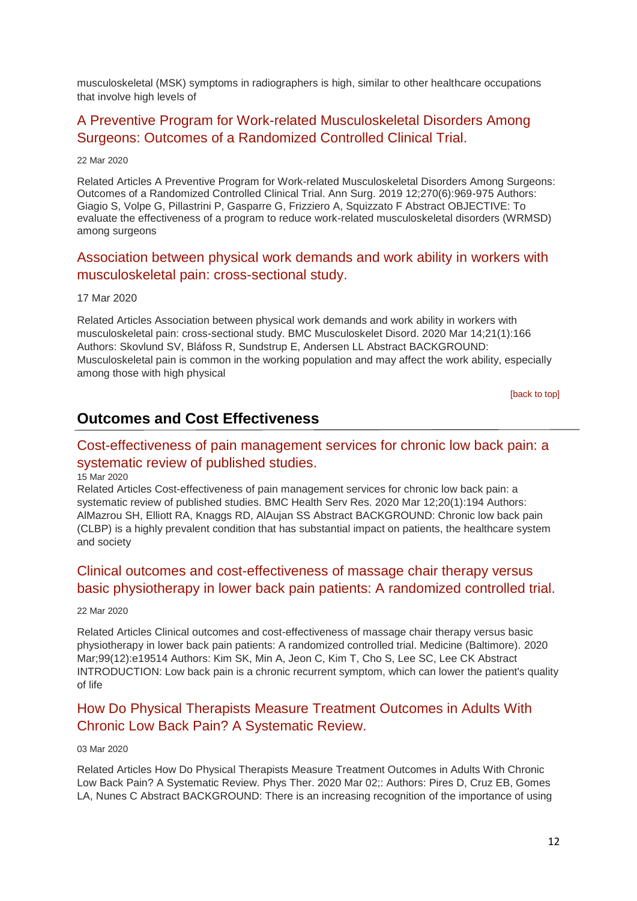musculoskeletal (MSK) symptoms in radiographers is high, similar to other healthcare occupations that involve high levels of

## [A Preventive Program for Work-related Musculoskeletal Disorders Among](http://transit.linexsystems.com/track/click/30370861/ca.linexsystems.com?p=eyJzIjoiczRvdFJFWkczWVQxS3VLOGd0V3RHemlBajN3IiwidiI6MSwicCI6IntcInVcIjozMDM3MDg2MSxcInZcIjoxLFwidXJsXCI6XCJodHRwOlxcXC9cXFwvY2EubGluZXhzeXN0ZW1zLmNvbVxcXC9jb250ZW50c1xcXC90cmFuc2l0XFxcLzM2NjYyODQzMDU_dXNlcl9pZD00NDM1MTUmbG9nPTc5Y2ZhYjYyNGM2ZjAyMDU3MTQ2YzFjZGFkZmYyZWRmJnA9OTMyOTMzMjUmbT0xJmM9MzUyOTExMTIyNSZvcmdfaWQ9MTc0ODFcIixcImlkXCI6XCIzMTZmODY5MDRhMTE0N2Y3ODcxZDgyZTE3YWVkOTczZlwiLFwidXJsX2lkc1wiOltcIjA1ZTliM2YxZjk4OTA1NGZlM2JjODI0YWQ4ZmExYjhmMWYyMzVkMTNcIl19In0)  [Surgeons: Outcomes of a Randomized Controlled Clinical Trial.](http://transit.linexsystems.com/track/click/30370861/ca.linexsystems.com?p=eyJzIjoiczRvdFJFWkczWVQxS3VLOGd0V3RHemlBajN3IiwidiI6MSwicCI6IntcInVcIjozMDM3MDg2MSxcInZcIjoxLFwidXJsXCI6XCJodHRwOlxcXC9cXFwvY2EubGluZXhzeXN0ZW1zLmNvbVxcXC9jb250ZW50c1xcXC90cmFuc2l0XFxcLzM2NjYyODQzMDU_dXNlcl9pZD00NDM1MTUmbG9nPTc5Y2ZhYjYyNGM2ZjAyMDU3MTQ2YzFjZGFkZmYyZWRmJnA9OTMyOTMzMjUmbT0xJmM9MzUyOTExMTIyNSZvcmdfaWQ9MTc0ODFcIixcImlkXCI6XCIzMTZmODY5MDRhMTE0N2Y3ODcxZDgyZTE3YWVkOTczZlwiLFwidXJsX2lkc1wiOltcIjA1ZTliM2YxZjk4OTA1NGZlM2JjODI0YWQ4ZmExYjhmMWYyMzVkMTNcIl19In0)

22 Mar 2020

Related Articles A Preventive Program for Work-related Musculoskeletal Disorders Among Surgeons: Outcomes of a Randomized Controlled Clinical Trial. Ann Surg. 2019 12;270(6):969-975 Authors: Giagio S, Volpe G, Pillastrini P, Gasparre G, Frizziero A, Squizzato F Abstract OBJECTIVE: To evaluate the effectiveness of a program to reduce work-related musculoskeletal disorders (WRMSD) among surgeons

### [Association between physical work demands and work ability in](http://transit.linexsystems.com/track/click/30370861/ca.linexsystems.com?p=eyJzIjoiSDh2dEpZd2FLVW13WGdHN2tVbnEzbXVjOFRNIiwidiI6MSwicCI6IntcInVcIjozMDM3MDg2MSxcInZcIjoxLFwidXJsXCI6XCJodHRwOlxcXC9cXFwvY2EubGluZXhzeXN0ZW1zLmNvbVxcXC9jb250ZW50c1xcXC90cmFuc2l0XFxcLzM2NjA3Nzg2MDU_dXNlcl9pZD00NDM1MTUmbG9nPTc5Y2ZhYjYyNGM2ZjAyMDU3MTQ2YzFjZGFkZmYyZWRmJnA9OTMyOTMzMjUmbT0xJmM9MzUyOTExMTIyNSZvcmdfaWQ9MTc0ODFcIixcImlkXCI6XCIzMTZmODY5MDRhMTE0N2Y3ODcxZDgyZTE3YWVkOTczZlwiLFwidXJsX2lkc1wiOltcIjA1ZTliM2YxZjk4OTA1NGZlM2JjODI0YWQ4ZmExYjhmMWYyMzVkMTNcIl19In0) workers with [musculoskeletal pain: cross-sectional study.](http://transit.linexsystems.com/track/click/30370861/ca.linexsystems.com?p=eyJzIjoiSDh2dEpZd2FLVW13WGdHN2tVbnEzbXVjOFRNIiwidiI6MSwicCI6IntcInVcIjozMDM3MDg2MSxcInZcIjoxLFwidXJsXCI6XCJodHRwOlxcXC9cXFwvY2EubGluZXhzeXN0ZW1zLmNvbVxcXC9jb250ZW50c1xcXC90cmFuc2l0XFxcLzM2NjA3Nzg2MDU_dXNlcl9pZD00NDM1MTUmbG9nPTc5Y2ZhYjYyNGM2ZjAyMDU3MTQ2YzFjZGFkZmYyZWRmJnA9OTMyOTMzMjUmbT0xJmM9MzUyOTExMTIyNSZvcmdfaWQ9MTc0ODFcIixcImlkXCI6XCIzMTZmODY5MDRhMTE0N2Y3ODcxZDgyZTE3YWVkOTczZlwiLFwidXJsX2lkc1wiOltcIjA1ZTliM2YxZjk4OTA1NGZlM2JjODI0YWQ4ZmExYjhmMWYyMzVkMTNcIl19In0)

### 17 Mar 2020

Related Articles Association between physical work demands and work ability in workers with musculoskeletal pain: cross-sectional study. BMC Musculoskelet Disord. 2020 Mar 14;21(1):166 Authors: Skovlund SV, Bláfoss R, Sundstrup E, Andersen LL Abstract BACKGROUND: Musculoskeletal pain is common in the working population and may affect the work ability, especially among those with high physical

[\[back to top\]](#page-0-1)

## **Outcomes and Cost Effectiveness**

## [Cost-effectiveness of pain management services for chronic low back pain: a](http://transit.linexsystems.com/track/click/30370861/ca.linexsystems.com?p=eyJzIjoiVU9GUHRsYjJNSTVFLTNEWE5PNVZXeGxCb21NIiwidiI6MSwicCI6IntcInVcIjozMDM3MDg2MSxcInZcIjoxLFwidXJsXCI6XCJodHRwOlxcXC9cXFwvY2EubGluZXhzeXN0ZW1zLmNvbVxcXC9jb250ZW50c1xcXC90cmFuc2l0XFxcLzM2NTgyMDI0MjU_dXNlcl9pZD00NDM1MTUmbG9nPTc5Y2ZhYjYyNGM2ZjAyMDU3MTQ2YzFjZGFkZmYyZWRmJnA9OTMyOTMzMjUmbT0xJmM9MzUyOTEwODkxNSZvcmdfaWQ9MTc0ODFcIixcImlkXCI6XCIzMTZmODY5MDRhMTE0N2Y3ODcxZDgyZTE3YWVkOTczZlwiLFwidXJsX2lkc1wiOltcIjA1ZTliM2YxZjk4OTA1NGZlM2JjODI0YWQ4ZmExYjhmMWYyMzVkMTNcIl19In0)  [systematic review of published studies.](http://transit.linexsystems.com/track/click/30370861/ca.linexsystems.com?p=eyJzIjoiVU9GUHRsYjJNSTVFLTNEWE5PNVZXeGxCb21NIiwidiI6MSwicCI6IntcInVcIjozMDM3MDg2MSxcInZcIjoxLFwidXJsXCI6XCJodHRwOlxcXC9cXFwvY2EubGluZXhzeXN0ZW1zLmNvbVxcXC9jb250ZW50c1xcXC90cmFuc2l0XFxcLzM2NTgyMDI0MjU_dXNlcl9pZD00NDM1MTUmbG9nPTc5Y2ZhYjYyNGM2ZjAyMDU3MTQ2YzFjZGFkZmYyZWRmJnA9OTMyOTMzMjUmbT0xJmM9MzUyOTEwODkxNSZvcmdfaWQ9MTc0ODFcIixcImlkXCI6XCIzMTZmODY5MDRhMTE0N2Y3ODcxZDgyZTE3YWVkOTczZlwiLFwidXJsX2lkc1wiOltcIjA1ZTliM2YxZjk4OTA1NGZlM2JjODI0YWQ4ZmExYjhmMWYyMzVkMTNcIl19In0)

#### 15 Mar 2020

Related Articles Cost-effectiveness of pain management services for chronic low back pain: a systematic review of published studies. BMC Health Serv Res. 2020 Mar 12;20(1):194 Authors: AlMazrou SH, Elliott RA, Knaggs RD, AlAujan SS Abstract BACKGROUND: Chronic low back pain (CLBP) is a highly prevalent condition that has substantial impact on patients, the healthcare system and society

## [Clinical outcomes and cost-effectiveness of massage chair therapy versus](http://transit.linexsystems.com/track/click/30370861/ca.linexsystems.com?p=eyJzIjoiem03WlhDZVdPUlJXLTEyd2ZSOU1BaUFIX2pjIiwidiI6MSwicCI6IntcInVcIjozMDM3MDg2MSxcInZcIjoxLFwidXJsXCI6XCJodHRwOlxcXC9cXFwvY2EubGluZXhzeXN0ZW1zLmNvbVxcXC9jb250ZW50c1xcXC90cmFuc2l0XFxcLzM2NjYyNzgyMzU_dXNlcl9pZD00NDM1MTUmbG9nPTc5Y2ZhYjYyNGM2ZjAyMDU3MTQ2YzFjZGFkZmYyZWRmJnA9OTMyOTMzMjUmbT0xJmM9MzUyOTEwODUyNSZvcmdfaWQ9MTc0ODFcIixcImlkXCI6XCIzMTZmODY5MDRhMTE0N2Y3ODcxZDgyZTE3YWVkOTczZlwiLFwidXJsX2lkc1wiOltcIjA1ZTliM2YxZjk4OTA1NGZlM2JjODI0YWQ4ZmExYjhmMWYyMzVkMTNcIl19In0)  [basic physiotherapy in lower back pain patients: A randomized controlled trial.](http://transit.linexsystems.com/track/click/30370861/ca.linexsystems.com?p=eyJzIjoiem03WlhDZVdPUlJXLTEyd2ZSOU1BaUFIX2pjIiwidiI6MSwicCI6IntcInVcIjozMDM3MDg2MSxcInZcIjoxLFwidXJsXCI6XCJodHRwOlxcXC9cXFwvY2EubGluZXhzeXN0ZW1zLmNvbVxcXC9jb250ZW50c1xcXC90cmFuc2l0XFxcLzM2NjYyNzgyMzU_dXNlcl9pZD00NDM1MTUmbG9nPTc5Y2ZhYjYyNGM2ZjAyMDU3MTQ2YzFjZGFkZmYyZWRmJnA9OTMyOTMzMjUmbT0xJmM9MzUyOTEwODUyNSZvcmdfaWQ9MTc0ODFcIixcImlkXCI6XCIzMTZmODY5MDRhMTE0N2Y3ODcxZDgyZTE3YWVkOTczZlwiLFwidXJsX2lkc1wiOltcIjA1ZTliM2YxZjk4OTA1NGZlM2JjODI0YWQ4ZmExYjhmMWYyMzVkMTNcIl19In0)

#### 22 Mar 2020

Related Articles Clinical outcomes and cost-effectiveness of massage chair therapy versus basic physiotherapy in lower back pain patients: A randomized controlled trial. Medicine (Baltimore). 2020 Mar;99(12):e19514 Authors: Kim SK, Min A, Jeon C, Kim T, Cho S, Lee SC, Lee CK Abstract INTRODUCTION: Low back pain is a chronic recurrent symptom, which can lower the patient's quality of life

## [How Do Physical Therapists Measure Treatment Outcomes in Adults With](http://transit.linexsystems.com/track/click/30370861/ca.linexsystems.com?p=eyJzIjoiVnMtb0ZJZElSeVV2cVhkdkJlWExCMEZLdUM4IiwidiI6MSwicCI6IntcInVcIjozMDM3MDg2MSxcInZcIjoxLFwidXJsXCI6XCJodHRwOlxcXC9cXFwvY2EubGluZXhzeXN0ZW1zLmNvbVxcXC9jb250ZW50c1xcXC90cmFuc2l0XFxcLzM2NDU1NTA5NzU_dXNlcl9pZD00NDM1MTUmbG9nPTc5Y2ZhYjYyNGM2ZjAyMDU3MTQ2YzFjZGFkZmYyZWRmJnA9OTMyOTMzMjUmbT0xJmM9MzUyOTEwODUyNSZvcmdfaWQ9MTc0ODFcIixcImlkXCI6XCIzMTZmODY5MDRhMTE0N2Y3ODcxZDgyZTE3YWVkOTczZlwiLFwidXJsX2lkc1wiOltcIjA1ZTliM2YxZjk4OTA1NGZlM2JjODI0YWQ4ZmExYjhmMWYyMzVkMTNcIl19In0)  [Chronic Low Back Pain? A Systematic Review.](http://transit.linexsystems.com/track/click/30370861/ca.linexsystems.com?p=eyJzIjoiVnMtb0ZJZElSeVV2cVhkdkJlWExCMEZLdUM4IiwidiI6MSwicCI6IntcInVcIjozMDM3MDg2MSxcInZcIjoxLFwidXJsXCI6XCJodHRwOlxcXC9cXFwvY2EubGluZXhzeXN0ZW1zLmNvbVxcXC9jb250ZW50c1xcXC90cmFuc2l0XFxcLzM2NDU1NTA5NzU_dXNlcl9pZD00NDM1MTUmbG9nPTc5Y2ZhYjYyNGM2ZjAyMDU3MTQ2YzFjZGFkZmYyZWRmJnA9OTMyOTMzMjUmbT0xJmM9MzUyOTEwODUyNSZvcmdfaWQ9MTc0ODFcIixcImlkXCI6XCIzMTZmODY5MDRhMTE0N2Y3ODcxZDgyZTE3YWVkOTczZlwiLFwidXJsX2lkc1wiOltcIjA1ZTliM2YxZjk4OTA1NGZlM2JjODI0YWQ4ZmExYjhmMWYyMzVkMTNcIl19In0)

### 03 Mar 2020

Related Articles How Do Physical Therapists Measure Treatment Outcomes in Adults With Chronic Low Back Pain? A Systematic Review. Phys Ther. 2020 Mar 02;: Authors: Pires D, Cruz EB, Gomes LA, Nunes C Abstract BACKGROUND: There is an increasing recognition of the importance of using